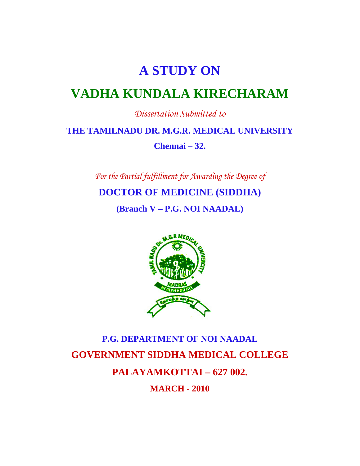# **A STUDY ON**

# **VADHA KUNDALA KIRECHARAM**

*Dissertation Submitted to* 

**THE TAMILNADU DR. M.G.R. MEDICAL UNIVERSITY** 

**Chennai – 32.** 

*For the Partial fulfillment for Awarding the Degree of* 

**DOCTOR OF MEDICINE (SIDDHA)** 

**(Branch V – P.G. NOI NAADAL)** 



# **P.G. DEPARTMENT OF NOI NAADAL GOVERNMENT SIDDHA MEDICAL COLLEGE PALAYAMKOTTAI – 627 002. MARCH - 2010**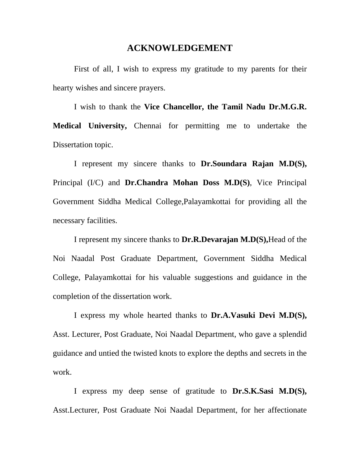#### **ACKNOWLEDGEMENT**

First of all, I wish to express my gratitude to my parents for their hearty wishes and sincere prayers.

 I wish to thank the **Vice Chancellor, the Tamil Nadu Dr.M.G.R. Medical University,** Chennai for permitting me to undertake the Dissertation topic.

 I represent my sincere thanks to **Dr.Soundara Rajan M.D(S),**  Principal (I/C) and **Dr.Chandra Mohan Doss M.D(S)**, Vice Principal Government Siddha Medical College,Palayamkottai for providing all the necessary facilities.

 I represent my sincere thanks to **Dr.R.Devarajan M.D(S),**Head of the Noi Naadal Post Graduate Department, Government Siddha Medical College, Palayamkottai for his valuable suggestions and guidance in the completion of the dissertation work.

 I express my whole hearted thanks to **Dr.A.Vasuki Devi M.D(S),** Asst. Lecturer, Post Graduate, Noi Naadal Department, who gave a splendid guidance and untied the twisted knots to explore the depths and secrets in the work.

 I express my deep sense of gratitude to **Dr.S.K.Sasi M.D(S),** Asst.Lecturer, Post Graduate Noi Naadal Department, for her affectionate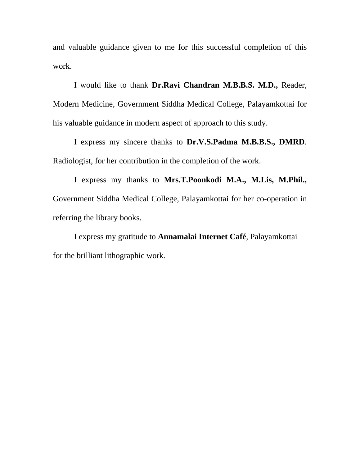and valuable guidance given to me for this successful completion of this work.

 I would like to thank **Dr.Ravi Chandran M.B.B.S. M.D.,** Reader, Modern Medicine, Government Siddha Medical College, Palayamkottai for his valuable guidance in modern aspect of approach to this study.

 I express my sincere thanks to **Dr.V.S.Padma M.B.B.S., DMRD**. Radiologist, for her contribution in the completion of the work.

 I express my thanks to **Mrs.T.Poonkodi M.A., M.Lis, M.Phil.,** Government Siddha Medical College, Palayamkottai for her co-operation in referring the library books.

 I express my gratitude to **Annamalai Internet Café**, Palayamkottai for the brilliant lithographic work.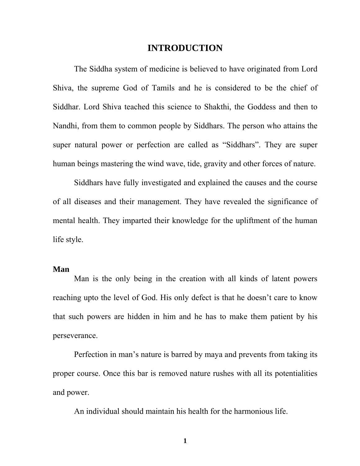## **INTRODUCTION**

The Siddha system of medicine is believed to have originated from Lord Shiva, the supreme God of Tamils and he is considered to be the chief of Siddhar. Lord Shiva teached this science to Shakthi, the Goddess and then to Nandhi, from them to common people by Siddhars. The person who attains the super natural power or perfection are called as "Siddhars". They are super human beings mastering the wind wave, tide, gravity and other forces of nature.

Siddhars have fully investigated and explained the causes and the course of all diseases and their management. They have revealed the significance of mental health. They imparted their knowledge for the upliftment of the human life style.

#### **Man**

Man is the only being in the creation with all kinds of latent powers reaching upto the level of God. His only defect is that he doesn't care to know that such powers are hidden in him and he has to make them patient by his perseverance.

Perfection in man's nature is barred by maya and prevents from taking its proper course. Once this bar is removed nature rushes with all its potentialities and power.

An individual should maintain his health for the harmonious life.

**1**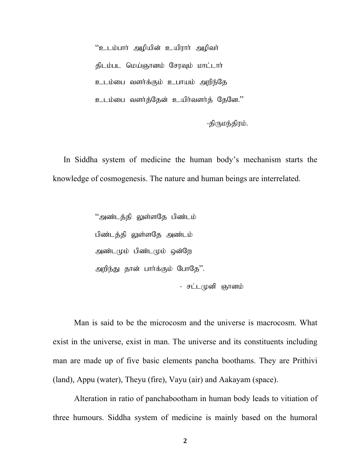"உடம்பார் அழியின் உயிரார் அழிவர் திடம்பட மெய்ஞானம் சேரவும் மாட்டார் உடம்பை வளர்க்கும் உபாயம் அறிந்தே உடம்பை வளர்த்தேன் உயிர்வளர்த் தேனே."

-திருமந்திரம்.

In Siddha system of medicine the human body's mechanism starts the knowledge of cosmogenesis. The nature and human beings are interrelated.

> "அண்டத்தி லுள்ளதே பிண்டம் பிண்டத்தி லுள்ளதே அண்டம் அண்டமும் பிண்டமும் ஒன்றே அறிந்து தான் பார்க்கும் போதே". - சட்டமுனி ஞானம்

Man is said to be the microcosm and the universe is macrocosm. What exist in the universe, exist in man. The universe and its constituents including man are made up of five basic elements pancha boothams. They are Prithivi (land), Appu (water), Theyu (fire), Vayu (air) and Aakayam (space).

Alteration in ratio of panchabootham in human body leads to vitiation of three humours. Siddha system of medicine is mainly based on the humoral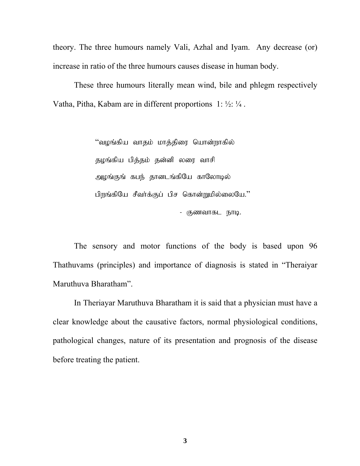theory. The three humours namely Vali, Azhal and Iyam. Any decrease (or) increase in ratio of the three humours causes disease in human body.

These three humours literally mean wind, bile and phlegm respectively Vatha, Pitha, Kabam are in different proportions  $1: \frac{1}{2}: \frac{1}{4}$ .

> "வழங்கிய வாதம் மாத்திரை யொன்றாகில் தழங்கிய பித்தம் தன்னி லரை வாசி அழங்குங் கபந் தானடங்கியே காலோடில் பிறங்கியே சீவர்க்குப் பிச கொன்றுமில்லையே." - குணவாகட நாடி.

The sensory and motor functions of the body is based upon 96 Thathuvams (principles) and importance of diagnosis is stated in "Theraiyar Maruthuva Bharatham".

 In Theriayar Maruthuva Bharatham it is said that a physician must have a clear knowledge about the causative factors, normal physiological conditions, pathological changes, nature of its presentation and prognosis of the disease before treating the patient.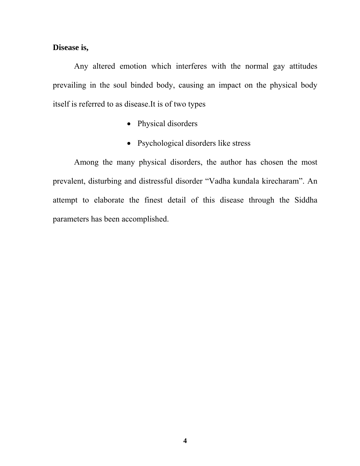#### **Disease is,**

Any altered emotion which interferes with the normal gay attitudes prevailing in the soul binded body, causing an impact on the physical body itself is referred to as disease.It is of two types

- Physical disorders
- Psychological disorders like stress

Among the many physical disorders, the author has chosen the most prevalent, disturbing and distressful disorder "Vadha kundala kirecharam". An attempt to elaborate the finest detail of this disease through the Siddha parameters has been accomplished.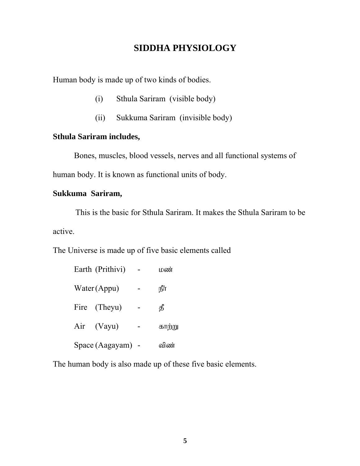## **SIDDHA PHYSIOLOGY**

Human body is made up of two kinds of bodies.

- (i) Sthula Sariram (visible body)
- (ii) Sukkuma Sariram (invisible body)

## **Sthula Sariram includes,**

Bones, muscles, blood vessels, nerves and all functional systems of human body. It is known as functional units of body.

## **Sukkuma Sariram,**

 This is the basic for Sthula Sariram. It makes the Sthula Sariram to be active.

The Universe is made up of five basic elements called

|  | Earth (Prithivi) | பண     |
|--|------------------|--------|
|  | Water (Appu)     | ௺      |
|  | Fire (Theyu)     | தீ     |
|  | Air (Vayu)       | காற்று |
|  | Space (Aagayam)  | விண்   |

The human body is also made up of these five basic elements.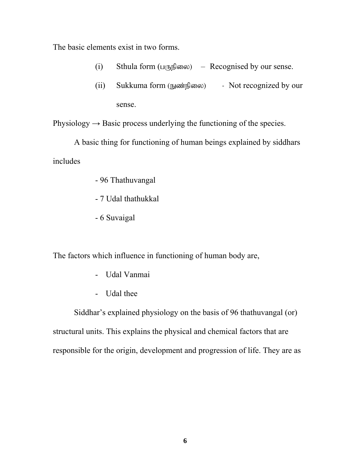The basic elements exist in two forms.

- (i) Sthula form  $(L(f, \vec{B}))$  Recognised by our sense.
- $(ii)$  Sukkuma form  $(\text{m} \otimes \text{m})$  Not recognized by our sense.

Physiology  $\rightarrow$  Basic process underlying the functioning of the species.

 A basic thing for functioning of human beings explained by siddhars includes

- 96 Thathuvangal
- 7 Udal thathukkal
- 6 Suvaigal

The factors which influence in functioning of human body are,

- Udal Vanmai
- Udal thee

 Siddhar's explained physiology on the basis of 96 thathuvangal (or) structural units. This explains the physical and chemical factors that are responsible for the origin, development and progression of life. They are as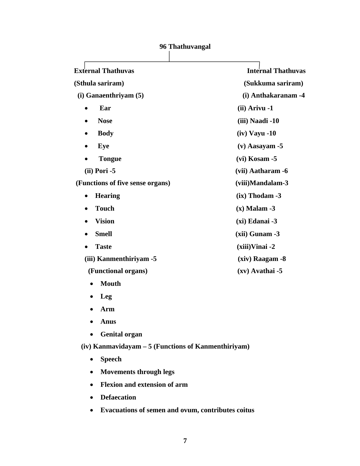| <b>External Thathuvas</b>                           | <b>Internal Thathuvas</b> |
|-----------------------------------------------------|---------------------------|
|                                                     |                           |
| (Sthula sariram)                                    | (Sukkuma sariram)         |
| $(i)$ Ganaenthriyam $(5)$                           | (i) Anthakaranam -4       |
| Ear<br>$\bullet$                                    | (ii) Arivu -1             |
| <b>Nose</b><br>٠                                    | (iii) Naadi -10           |
| <b>Body</b><br>$\bullet$                            | $(iv)$ Vayu -10           |
| Eye                                                 | $(v)$ Aasayam -5          |
| <b>Tongue</b>                                       | $(vi)$ Kosam -5           |
| $(ii)$ Pori -5                                      | (vii) Aatharam -6         |
| (Functions of five sense organs)                    | (viii)Mandalam-3          |
| <b>Hearing</b><br>$\bullet$                         | $(ix)$ Thodam -3          |
| <b>Touch</b>                                        | $(x)$ Malam -3            |
| <b>Vision</b>                                       | $(xi)$ Edanai -3          |
| <b>Smell</b>                                        | $(xii)$ Gunam $-3$        |
| <b>Taste</b>                                        | $(xiii)$ Vinai -2         |
| (iii) Kanmenthiriyam -5                             | $(xiv)$ Raagam -8         |
| (Functional organs)                                 | $(xv)$ Avathai -5         |
| <b>Mouth</b>                                        |                           |
| Leg                                                 |                           |
| Arm                                                 |                           |
| <b>Anus</b>                                         |                           |
| <b>Genital organ</b>                                |                           |
| (iv) Kanmavidayam – 5 (Functions of Kanmenthiriyam) |                           |
| <b>Speech</b>                                       |                           |

## **96 Thathuvangal**

- **Movements through legs**
- **Flexion and extension of arm**
- **Defaecation**
- **Evacuations of semen and ovum, contributes coitus**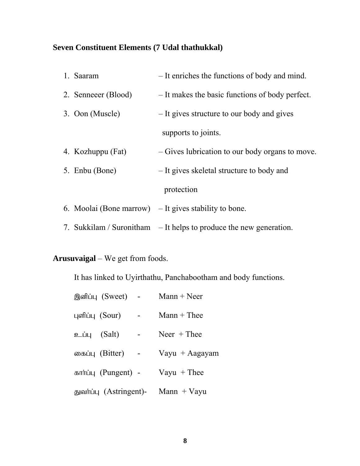## **Seven Constituent Elements (7 Udal thathukkal)**

| 1. Saaram           | - It enriches the functions of body and mind.                        |
|---------------------|----------------------------------------------------------------------|
| 2. Senneeer (Blood) | - It makes the basic functions of body perfect.                      |
| 3. Oon (Muscle)     | - It gives structure to our body and gives                           |
|                     | supports to joints.                                                  |
| 4. Kozhuppu (Fat)   | – Gives lubrication to our body organs to move.                      |
| 5. Enbu (Bone)      | - It gives skeletal structure to body and                            |
|                     | protection                                                           |
|                     | 6. Moolai (Bone marrow) $-$ It gives stability to bone.              |
|                     | 7. Sukkilam / Suronitham $-$ It helps to produce the new generation. |

**Arusuvaigal** – We get from foods.

It has linked to Uyirthathu, Panchabootham and body functions.

|                | இனிப்பு (Sweet) -       | $Mann + Neer$    |
|----------------|-------------------------|------------------|
|                | புளிப்பு (Sour)         | $Mann + The$ e   |
| உப்பு $(Salt)$ |                         | $Neer + Thee$    |
|                | கைப்பு (Bitter)         | Vayu $+$ Aagayam |
|                | கார்ப்பு (Pungent) -    | $V$ ayu + Thee   |
|                | துவர்ப்பு (Astringent)- | Mann $+$ Vayu    |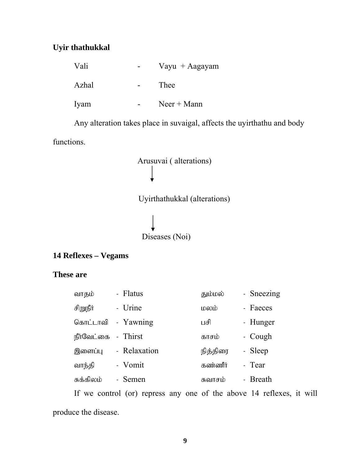## **Uyir thathukkal**

| Vali  | Vayu $+$ Aagayam |
|-------|------------------|
| Azhal | Thee             |
| Iyam  | $Neer + Mann$    |

Any alteration takes place in suvaigal, affects the uyirthathu and body

functions.



Uyirthathukkal (alterations)

Diseases (Noi)

## **14 Reflexes – Vegams**

## **These are**

| வாதம்      | - Flatus     | தும்மல்  | - Sneezing |
|------------|--------------|----------|------------|
| சிறுநீர்   | - Urine      | மலம்     | - Faeces   |
| கொட்டாவி   | - Yawning    | பசி      | - Hunger   |
| நீர்வேட்கை | - Thirst     | காசம்    | - Cough    |
| இளைப்பு    | - Relaxation | நித்திரை | - Sleep    |
| வாந்தி     | - Vomit      | கண்ணீர்  | - Tear     |
| சுக்கிலம்  | - Semen      | சுவாசம்  | - Breath   |

If we control (or) repress any one of the above 14 reflexes, it will produce the disease.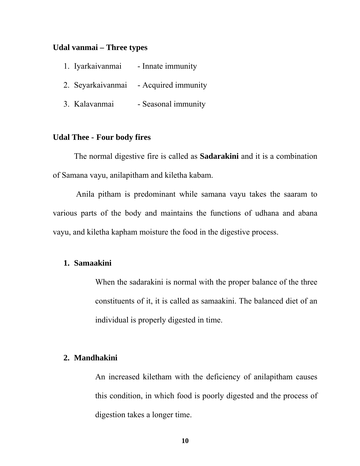#### **Udal vanmai – Three types**

| 1. Iyarkaivanmai | - Innate immunity                     |
|------------------|---------------------------------------|
|                  | 2. Seyarkaivanmai - Acquired immunity |
| 3. Kalavanmai    | - Seasonal immunity                   |

## **Udal Thee - Four body fires**

The normal digestive fire is called as **Sadarakini** and it is a combination of Samana vayu, anilapitham and kiletha kabam.

 Anila pitham is predominant while samana vayu takes the saaram to various parts of the body and maintains the functions of udhana and abana vayu, and kiletha kapham moisture the food in the digestive process.

#### **1. Samaakini**

When the sadarakini is normal with the proper balance of the three constituents of it, it is called as samaakini. The balanced diet of an individual is properly digested in time.

#### **2. Mandhakini**

An increased kiletham with the deficiency of anilapitham causes this condition, in which food is poorly digested and the process of digestion takes a longer time.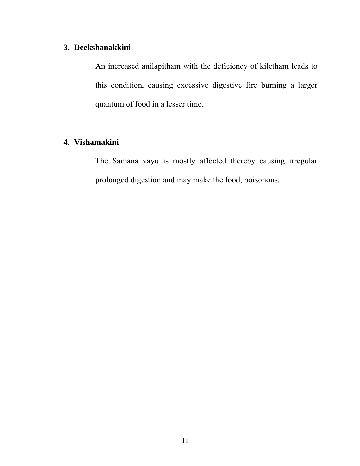## **3. Deekshanakkini**

An increased anilapitham with the deficiency of kiletham leads to this condition, causing excessive digestive fire burning a larger quantum of food in a lesser time.

## **4. Vishamakini**

The Samana vayu is mostly affected thereby causing irregular prolonged digestion and may make the food, poisonous.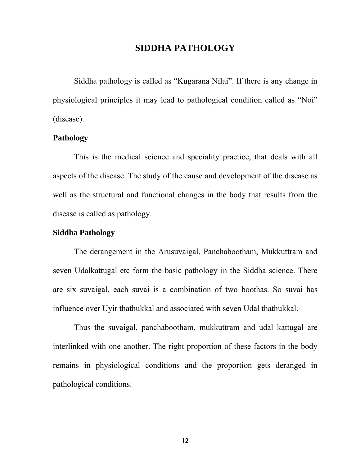## **SIDDHA PATHOLOGY**

Siddha pathology is called as "Kugarana Nilai". If there is any change in physiological principles it may lead to pathological condition called as "Noi" (disease).

## **Pathology**

This is the medical science and speciality practice, that deals with all aspects of the disease. The study of the cause and development of the disease as well as the structural and functional changes in the body that results from the disease is called as pathology.

## **Siddha Pathology**

The derangement in the Arusuvaigal, Panchabootham, Mukkuttram and seven Udalkattugal etc form the basic pathology in the Siddha science. There are six suvaigal, each suvai is a combination of two boothas. So suvai has influence over Uyir thathukkal and associated with seven Udal thathukkal.

Thus the suvaigal, panchabootham, mukkuttram and udal kattugal are interlinked with one another. The right proportion of these factors in the body remains in physiological conditions and the proportion gets deranged in pathological conditions.

**12**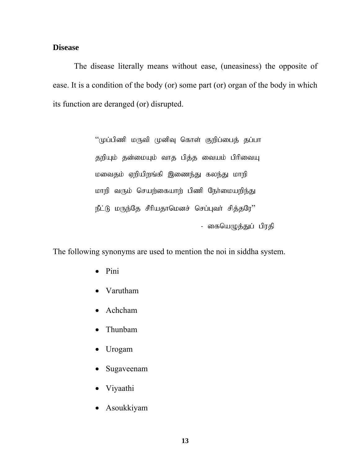#### **Disease**

The disease literally means without ease, (uneasiness) the opposite of ease. It is a condition of the body (or) some part (or) organ of the body in which its function are deranged (or) disrupted.

> $``$ முப்பிணி மருவி முனிவு கொள் குறிப்பைத் தப்பா தறியும் தன்மையும் வாத பித்த வையம் பிரிவையு மவைதம் ஏறியிறங்கி இணைந்து கலந்து மாறி மாறி வரும் செயற்கையாற் பிணி நேர்மையறிந்து  $\mathfrak{FLR}$  மருந்தே சீரியதாமெனச் செப்புவர் சித்தரே $"$ - கையெழுத்துப் பிரதி

The following synonyms are used to mention the noi in siddha system.

- Pini
- Varutham
- Achcham
- Thunbam
- Urogam
- Sugaveenam
- Viyaathi
- Asoukkiyam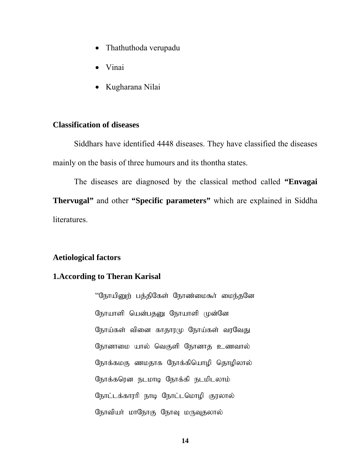- Thathuthoda verupadu
- Vinai
- Kugharana Nilai

## **Classification of diseases**

Siddhars have identified 4448 diseases. They have classified the diseases mainly on the basis of three humours and its thontha states.

The diseases are diagnosed by the classical method called **"Envagai Thervugal"** and other **"Specific parameters"** which are explained in Siddha literatures.

## **Aetiological factors**

## **1.According to Theran Karisal**

"நோயினுற் பத்திகேள் நோண்மைகூர் மைந்தனே நோயாளி யென்பதனு நோயாளி முன்னே நோய்கள் வினை காதாரமு நோய்கள் வரவேது நோனாமை யால் வெகுளி நோனாத உணவால் நோக்கமகு ணமதாக நோக்கியொழி தொழிலால் நோக்கரென நடமாடி நோக்கி நடமிடலாம் நோட்டக்காரரி நாடி நோட்டமொழி குரலால் நோவியர் மாநோகு நோவு மருவுதலால்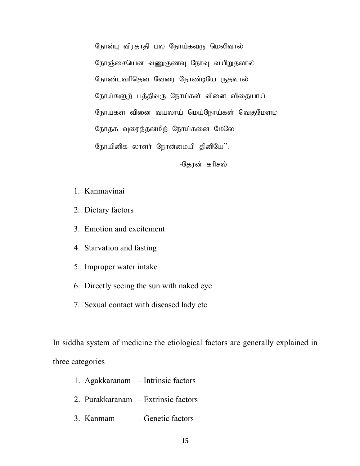நோன்பு விரதாதி பல நோய்கவரு மெலிவால் நோஞ்சையென வணுகுணவு நோவு வயிறுதலால் நோண்டவரிதென வேரை நோண்டியே ருதலால் நோய்களுற் பத்திவரு நோய்கள் வினை விதையாய் நோய்கள் வினை வயலாய் மெய்நோய்கள் வெகுமேளம் நோதக வுரைத்தனமிற் நோய்கனை மேலே நோயினிக லாளர் நோன்மையி தினியே''.

-தேரன் கரிசல்

- 1. Kanmavinai
- 2. Dietary factors
- 3. Emotion and excitement
- 4. Starvation and fasting
- 5. Improper water intake
- 6. Directly seeing the sun with naked eye
- 7. Sexual contact with diseased lady etc

In siddha system of medicine the etiological factors are generally explained in three categories

- 1. Agakkaranam Intrinsic factors
- 2. Purakkaranam Extrinsic factors
- 3. Kanmam Genetic factors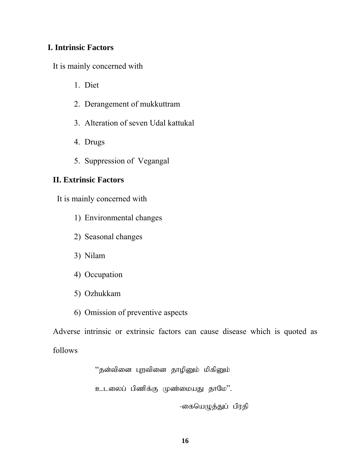## **I. Intrinsic Factors**

It is mainly concerned with

- 1. Diet
- 2. Derangement of mukkuttram
- 3. Alteration of seven Udal kattukal
- 4. Drugs
- 5. Suppression of Vegangal

## **II. Extrinsic Factors**

It is mainly concerned with

- 1) Environmental changes
- 2) Seasonal changes
- 3) Nilam
- 4) Occupation
- 5) Ozhukkam
- 6) Omission of preventive aspects

Adverse intrinsic or extrinsic factors can cause disease which is quoted as follows

"தன்வினை புறவினை தாழினும் மிகினும்

உடலைப் பிணிக்கு முண்மையது தாமே''.

-கையெழுத்துப் பிரதி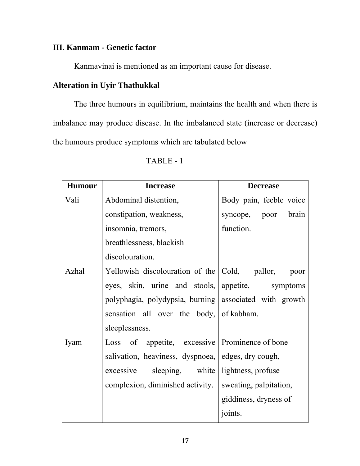## **III. Kanmam - Genetic factor**

Kanmavinai is mentioned as an important cause for disease.

## **Alteration in Uyir Thathukkal**

The three humours in equilibrium, maintains the health and when there is imbalance may produce disease. In the imbalanced state (increase or decrease) the humours produce symptoms which are tabulated below

| <b>Humour</b> | <b>Increase</b>                                        | <b>Decrease</b>         |  |
|---------------|--------------------------------------------------------|-------------------------|--|
| Vali          | Abdominal distention,                                  | Body pain, feeble voice |  |
|               | constipation, weakness,                                | syncope, poor brain     |  |
|               | insomnia, tremors,                                     | function.               |  |
|               | breathlessness, blackish                               |                         |  |
|               | discolouration.                                        |                         |  |
| Azhal         | Yellowish discolouration of the Cold, pallor,          | poor                    |  |
|               | eyes, skin, urine and stools, appetite, symptoms       |                         |  |
|               | polyphagia, polydypsia, burning associated with growth |                         |  |
|               | sensation all over the body, of kabham.                |                         |  |
|               | sleeplessness.                                         |                         |  |
| Iyam          | Loss of appetite, excessive   Prominence of bone       |                         |  |
|               | salivation, heaviness, dyspnoea, edges, dry cough,     |                         |  |
|               | excessive sleeping, white lightness, profuse           |                         |  |
|               | complexion, diminished activity.                       | sweating, palpitation,  |  |
|               |                                                        | giddiness, dryness of   |  |
|               |                                                        | joints.                 |  |

TABLE - 1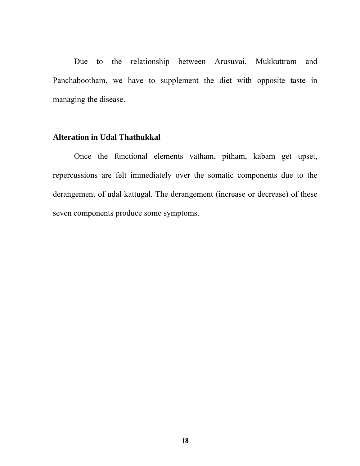Due to the relationship between Arusuvai, Mukkuttram and Panchabootham, we have to supplement the diet with opposite taste in managing the disease.

## **Alteration in Udal Thathukkal**

Once the functional elements vatham, pitham, kabam get upset, repercussions are felt immediately over the somatic components due to the derangement of udal kattugal. The derangement (increase or decrease) of these seven components produce some symptoms.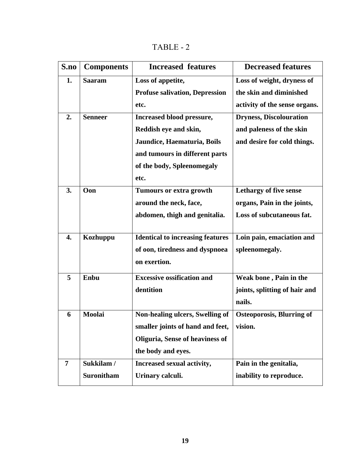TABLE - 2

| S.no             | <b>Components</b> | <b>Increased features</b>               | <b>Decreased features</b>        |
|------------------|-------------------|-----------------------------------------|----------------------------------|
| 1.               | <b>Saaram</b>     | Loss of appetite,                       | Loss of weight, dryness of       |
|                  |                   | <b>Profuse salivation, Depression</b>   | the skin and diminished          |
|                  |                   | etc.                                    | activity of the sense organs.    |
| 2.               | <b>Senneer</b>    | Increased blood pressure,               | <b>Dryness, Discolouration</b>   |
|                  |                   | Reddish eye and skin,                   | and paleness of the skin         |
|                  |                   | Jaundice, Haematuria, Boils             | and desire for cold things.      |
|                  |                   | and tumours in different parts          |                                  |
|                  |                   | of the body, Spleenomegaly              |                                  |
|                  |                   | etc.                                    |                                  |
| 3.               | Oon               | Tumours or extra growth                 | Lethargy of five sense           |
|                  |                   | around the neck, face,                  | organs, Pain in the joints,      |
|                  |                   | abdomen, thigh and genitalia.           | Loss of subcutaneous fat.        |
|                  |                   |                                         |                                  |
| $\overline{4}$ . | Kozhuppu          | <b>Identical to increasing features</b> | Loin pain, emaciation and        |
|                  |                   | of oon, tiredness and dyspnoea          | spleenomegaly.                   |
|                  |                   | on exertion.                            |                                  |
| 5                | Enbu              | <b>Excessive ossification and</b>       | Weak bone, Pain in the           |
|                  |                   | dentition                               | joints, splitting of hair and    |
|                  |                   |                                         | nails.                           |
| 6                | Moolai            | Non-healing ulcers, Swelling of         | <b>Osteoporosis, Blurring of</b> |
|                  |                   | smaller joints of hand and feet,        | vision.                          |
|                  |                   | Oliguria, Sense of heaviness of         |                                  |
|                  |                   | the body and eyes.                      |                                  |
| $\overline{7}$   | Sukkilam /        | Increased sexual activity,              | Pain in the genitalia,           |
|                  | <b>Suronitham</b> | Urinary calculi.                        | inability to reproduce.          |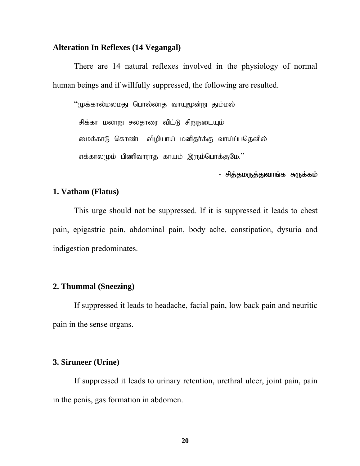#### **Alteration In Reflexes (14 Vegangal)**

There are 14 natural reflexes involved in the physiology of normal human beings and if willfully suppressed, the following are resulted.

"முக்கால்மலமது பொல்லாத வாயுமூன்று தும்மல் சிக்கா மலாறு சலதாரை விட்டு சிறுநடையும் மைக்காடு கொண்ட விழியாய் மனிதர்க்கு வாய்ப்பதெனில் எக்காலமும் பிணிவாராக காயம் இரும்பொக்குமே."

## - சித்தமருத்துவாங்க சுருக்கம்

#### **1. Vatham (Flatus)**

 This urge should not be suppressed. If it is suppressed it leads to chest pain, epigastric pain, abdominal pain, body ache, constipation, dysuria and indigestion predominates.

## **2. Thummal (Sneezing)**

 If suppressed it leads to headache, facial pain, low back pain and neuritic pain in the sense organs.

#### **3. Siruneer (Urine)**

 If suppressed it leads to urinary retention, urethral ulcer, joint pain, pain in the penis, gas formation in abdomen.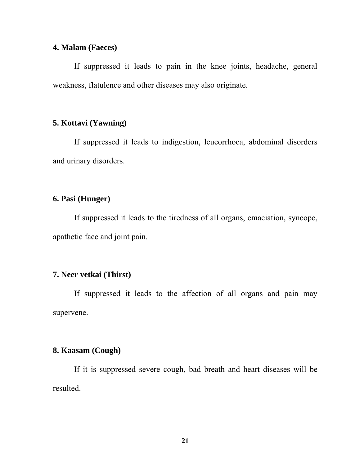## **4. Malam (Faeces)**

If suppressed it leads to pain in the knee joints, headache, general weakness, flatulence and other diseases may also originate.

#### **5. Kottavi (Yawning)**

 If suppressed it leads to indigestion, leucorrhoea, abdominal disorders and urinary disorders.

## **6. Pasi (Hunger)**

 If suppressed it leads to the tiredness of all organs, emaciation, syncope, apathetic face and joint pain.

## **7. Neer vetkai (Thirst)**

 If suppressed it leads to the affection of all organs and pain may supervene.

## **8. Kaasam (Cough)**

 If it is suppressed severe cough, bad breath and heart diseases will be resulted.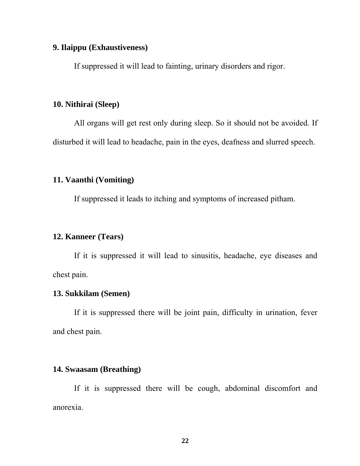#### **9. Ilaippu (Exhaustiveness)**

If suppressed it will lead to fainting, urinary disorders and rigor.

## **10. Nithirai (Sleep)**

 All organs will get rest only during sleep. So it should not be avoided. If disturbed it will lead to headache, pain in the eyes, deafness and slurred speech.

## **11. Vaanthi (Vomiting)**

If suppressed it leads to itching and symptoms of increased pitham.

### **12. Kanneer (Tears)**

 If it is suppressed it will lead to sinusitis, headache, eye diseases and chest pain.

## **13. Sukkilam (Semen)**

 If it is suppressed there will be joint pain, difficulty in urination, fever and chest pain.

## **14. Swaasam (Breathing)**

 If it is suppressed there will be cough, abdominal discomfort and anorexia.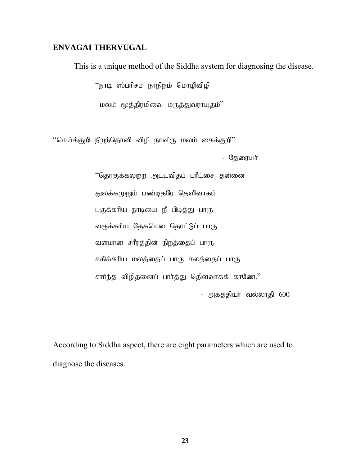## **ENVAGAI THERVUGAL**

This is a unique method of the Siddha system for diagnosing the disease.

"நாடி ஸ்பரிசம் நாநிறம் மொழிவிழி

மலம் மூத்திரமிவை மருத்துவராயுதம்''

 $``$ மெய்க்குறி நிறந்தொனி விழி நாவிரு மலம் கைக்குறி $"$ 

- தேரையா்

"தொகுக்கலுற்ற அட்டவிதப் பரீட்சை தன்னை துலக்கமுறும் பண்டிதரே தெளிவாகப் பகுக்கரிய நாடியை நீ பிடித்து பாரு வகுக்கரிய தேகமென தொட்டுப் பாரு வளமான சரீரத்தின் நிறத்தைப் பாரு சகிக்கரிய மலத்தைப் பாரு சலத்தைப் பாரு சார்ந்த விழிதனைப் பார்த்து தெிளவாகக் காணே." - அகத்தியா் வல்லாதி 600

According to Siddha aspect, there are eight parameters which are used to diagnose the diseases.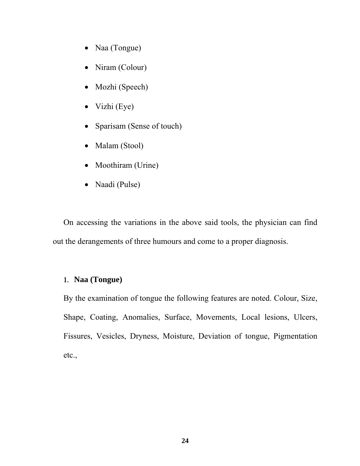- Naa (Tongue)
- Niram (Colour)
- Mozhi (Speech)
- Vizhi (Eye)
- Sparisam (Sense of touch)
- Malam (Stool)
- Moothiram (Urine)
- Naadi (Pulse)

On accessing the variations in the above said tools, the physician can find out the derangements of three humours and come to a proper diagnosis.

## 1. **Naa (Tongue)**

By the examination of tongue the following features are noted. Colour, Size, Shape, Coating, Anomalies, Surface, Movements, Local lesions, Ulcers, Fissures, Vesicles, Dryness, Moisture, Deviation of tongue, Pigmentation etc.,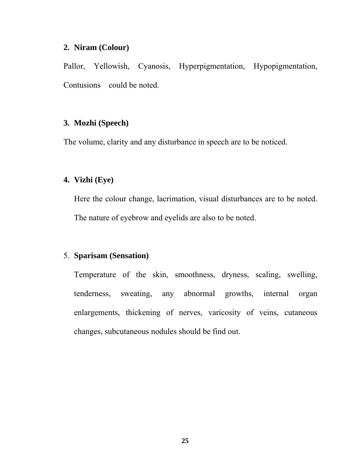#### **2. Niram (Colour)**

Pallor, Yellowish, Cyanosis, Hyperpigmentation, Hypopigmentation, Contusions could be noted.

## **3. Mozhi (Speech)**

The volume, clarity and any disturbance in speech are to be noticed.

## **4. Vizhi (Eye)**

Here the colour change, lacrimation, visual disturbances are to be noted. The nature of eyebrow and eyelids are also to be noted.

## 5. **Sparisam (Sensation)**

Temperature of the skin, smoothness, dryness, scaling, swelling, tenderness, sweating, any abnormal growths, internal organ enlargements, thickening of nerves, varicosity of veins, cutaneous changes, subcutaneous nodules should be find out.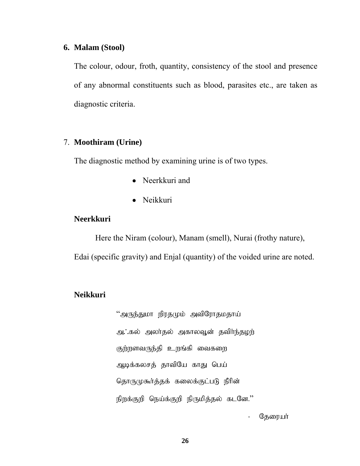#### **6. Malam (Stool)**

The colour, odour, froth, quantity, consistency of the stool and presence of any abnormal constituents such as blood, parasites etc., are taken as diagnostic criteria.

## 7. **Moothiram (Urine)**

The diagnostic method by examining urine is of two types.

- Neerkkuri and
- Neikkuri

#### **Neerkkuri**

Here the Niram (colour), Manam (smell), Nurai (frothy nature), Edai (specific gravity) and Enjal (quantity) of the voided urine are noted.

## **Neikkuri**

"அருந்துமா நிரதமும் அவிரோதமதாய் அ. கல் அலர்தல் அகாலவூன் தவிர்ந்தழற் குற்றளவருந்தி உறங்கி வைகறை ஆடிக்கலசத் தாவியே காது பெய் தொருமுகூர்த்தக் கலைக்குட்படு நீரின் நிறக்குறி நெய்க்குறி நிருமித்தல் கடனே."

- தேரையா்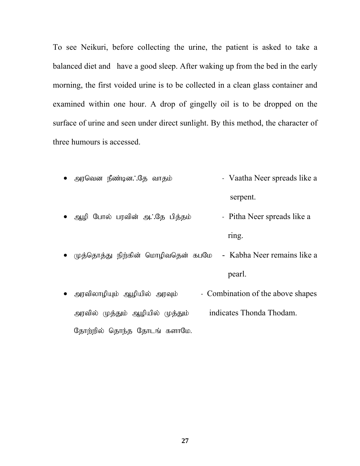To see Neikuri, before collecting the urine, the patient is asked to take a balanced diet and have a good sleep. After waking up from the bed in the early morning, the first voided urine is to be collected in a clean glass container and examined within one hour. A drop of gingelly oil is to be dropped on the surface of urine and seen under direct sunlight. By this method, the character of three humours is accessed.

- அரவென நீண்டின. சே வாதம் Vaatha Neer spreads like a serpent. • ஆழி போல் பரவின் அ∴தே பித்தம்  $\cdot$  Pitha Neer spreads like a ring. • முத்தொத்து நிற்கின் மொழிவதென் கபமே - Kabha Neer remains like a pearl.
- அரவிலாழியும் ஆழியில் அரவும்  $\qquad$  Combination of the above shapes அரவில் முத்தும் ஆழியில் முத்தும் indicates Thonda Thodam. தோற்றில் தொந்த தோடங் களாமே.

**27**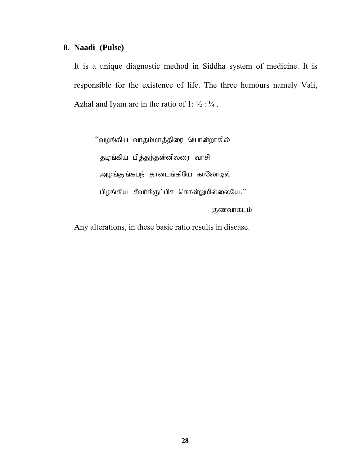## **8. Naadi (Pulse)**

It is a unique diagnostic method in Siddha system of medicine. It is responsible for the existence of life. The three humours namely Vali, Azhal and Iyam are in the ratio of 1:  $\frac{1}{2}$ :  $\frac{1}{4}$ .

"வழங்கிய வாதம்மாத்திரை யொன்றாகில் தழங்கிய பித்தந்தன்னிலரை வாசி அழங்குங்கபந் தானடங்கியே காலோடில் பிழங்கிய சீவா்க்குப்பிச கொன்றுமில்லையே.'' - குணவாகடம்

Any alterations, in these basic ratio results in disease.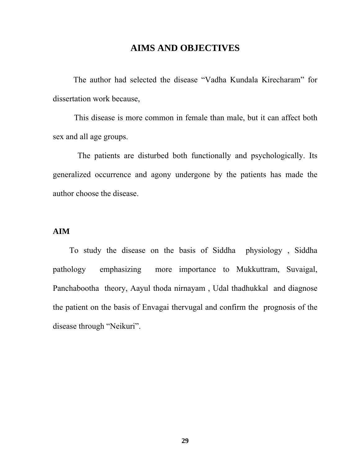## **AIMS AND OBJECTIVES**

 The author had selected the disease "Vadha Kundala Kirecharam" for dissertation work because,

 This disease is more common in female than male, but it can affect both sex and all age groups.

 The patients are disturbed both functionally and psychologically. Its generalized occurrence and agony undergone by the patients has made the author choose the disease.

## **AIM**

 To study the disease on the basis of Siddha physiology , Siddha pathology emphasizing more importance to Mukkuttram, Suvaigal, Panchabootha theory, Aayul thoda nirnayam , Udal thadhukkal and diagnose the patient on the basis of Envagai thervugal and confirm the prognosis of the disease through "Neikuri".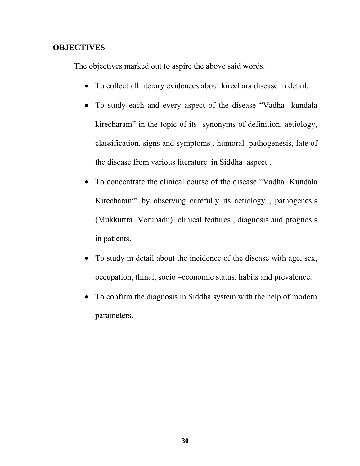## **OBJECTIVES**

The objectives marked out to aspire the above said words.

- To collect all literary evidences about kirechara disease in detail.
- To study each and every aspect of the disease "Vadha kundala kirecharam" in the topic of its synonyms of definition, aetiology, classification, signs and symptoms , humoral pathogenesis, fate of the disease from various literature in Siddha aspect .
- To concentrate the clinical course of the disease "Vadha Kundala Kirecharam" by observing carefully its aetiology , pathogenesis (Mukkuttra Verupadu) clinical features , diagnosis and prognosis in patients.
- To study in detail about the incidence of the disease with age, sex, occupation, thinai, socio –economic status, habits and prevalence.
- To confirm the diagnosis in Siddha system with the help of modern parameters.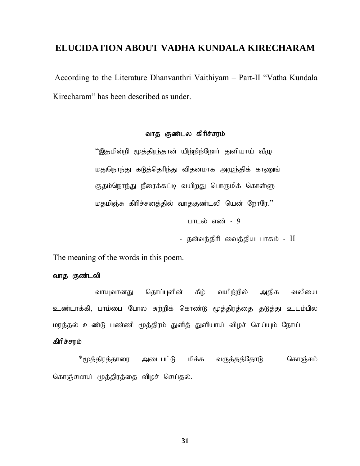## **ELUCIDATION ABOUT VADHA KUNDALA KIRECHARAM**

According to the Literature Dhanvanthri Vaithiyam – Part-II "Vatha Kundala Kirecharam" has been described as under.

## வாத குண்டல கிரிச்சரம்

 $\lq\lq$ இதமின்றி மூத்திரந்தான் யிற்றிற்றோர் துளியாய் வீழு மதுநொந்து கடுத்தெரிந்து விதனமாக அழுந்திக் காணுங் குதம்நொந்து நீரைக்கட்டி வயிறது பொருமிக் கொள்ளு மதமிஞ்சு கிரிச்சனத்தில் வாதகுண்டலி யென் றோரே." பாடல் எண் $-9$ 

- தன்வந்திரி வைத்திய பாகம் - II

The meaning of the words in this poem.

#### வாத குண்டலி

வாயுவானது தொப்புளின் கீழ் வயிற்றில் அதிக வலியை உண்டாக்கி, பாம்பை போல சுற்றிக் கொண்டு மூத்திரத்தை தடுத்து உடம்பில் மரத்தல் உண்டு பண்ணி மூத்திரம் துளித் துளியாய் விழச் செய்யும் நோய்

#### கிரிச்சரம்

\*மூத்திரத்தாரை அடைபட்டு மிக்க வருத்தத்தோடு கொஞ்சம் கொஞ்சமாய் மூத்திரத்தை விழச் செய்தல்.

**31**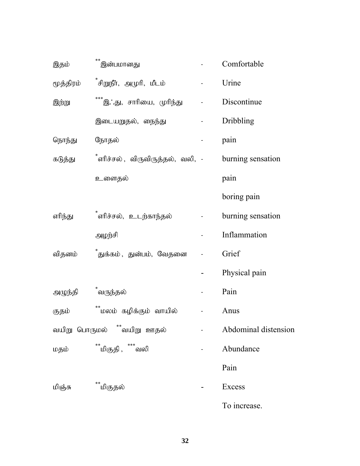| இதம்      | $* *$<br>இன்பமானது                                  |                | Comfortable          |
|-----------|-----------------------------------------------------|----------------|----------------------|
| மூத்திரம் | <sup>*</sup> சிறுநீா், அமுாி, மீடம்                 | $\blacksquare$ | Urine                |
| இற்று     | ***இ∴து, சாரியை, முரிந்து    -                      |                | Discontinue          |
|           | இடையறுதல், நைந்து                                   |                | Dribbling            |
| நொந்து    | நோதல்                                               |                | pain                 |
| கடுத்து   | <sup>*</sup> ளரிச்சல் , விருவிருத்தல், வலி, -       |                | burning sensation    |
|           | உளைதல்                                              |                | pain                 |
|           |                                                     |                | boring pain          |
| எரிந்து   | ்ளிச்சல், உடற்காந்தல்                               |                | burning sensation    |
|           | அழந்சி                                              |                | Inflammation         |
| விதனம்    | ்துக்கம் , துன்பம், வேதனை                           |                | Grief                |
|           |                                                     |                | Physical pain        |
| அழுந்தி   | ்வருந்தல்                                           |                | Pain                 |
| குதம்     | $\star\star$<br><sup>**</sup> மலம் கழிக்கும் வாயில் |                | Anus                 |
|           | வயிறு பொருமல்     **வயிறு  ஊதல்                     |                | Abdominal distension |
| மதம்      | **மிகுதி ,**** வலி                                  |                | Abundance            |
|           |                                                     |                | Pain                 |
| மிஞ்சு    | <sup>்</sup> மிகுதல்                                |                | Excess               |
|           |                                                     |                | To increase.         |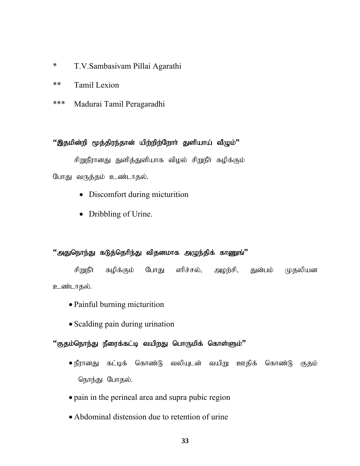- \* T.V.Sambasivam Pillai Agarathi
- \*\* Tamil Lexion
- \*\*\* Madurai Tamil Peragaradhi

## $``$ இதமின்றி மூத்திரந்தான் யிற்றிற்றோர் துளியாய் வீழும்<sup></sup>"

சிறுநீரானது துளித்துளியாக விழல் சிறுநீர் கழிக்கும் போது வருத்தம் உண்டாதல்.

- Discomfort during micturition
- Dribbling of Urine.

## $"$ அதுநொந்து கடுத்தெரிந்து விதனமாக அழுந்திக் காணுங் $"$

சிறுநீா கழிக்கும் போது ளிச்சல், அழற்சி, துன்பம் முதலியன உண்டாதல்.

- Painful burning micturition
- Scalding pain during urination

### $``$ குதம்நொந்து நீரைக்கட்டி வயிறது பொருமிக் கொள்ளும்''

- $\bullet$  நீரானது கட்டிக் கொண்டு வலியுடன் வயிறு ஊதிக் கொண்டு குதம் நொந்து போதல்.
- pain in the perineal area and supra pubic region
- Abdominal distension due to retention of urine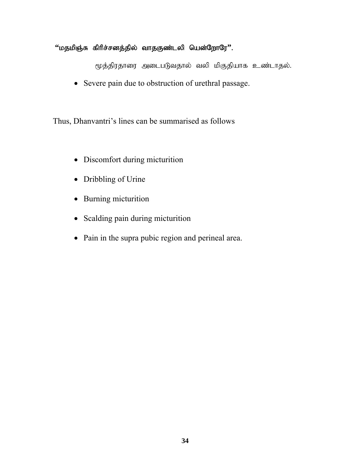# $``$ மதமிஞ்சு கிரிச்சனத்தில் வாதகுண்டலி யென்றோரே''.

மூத்திரதாரை அடைபடுவதால் வலி மிகுதியாக உண்டாதல்.

• Severe pain due to obstruction of urethral passage.

Thus, Dhanvantri's lines can be summarised as follows

- Discomfort during micturition
- Dribbling of Urine
- Burning micturition
- Scalding pain during micturition
- Pain in the supra pubic region and perineal area.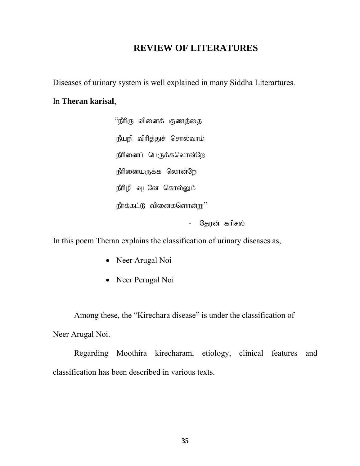# **REVIEW OF LITERATURES**

Diseases of urinary system is well explained in many Siddha Literartures.

# In **Theran karisal**,

 $\lq\lq$ நீரிரு வினைக் குணத்தை நீயறி விரித்துச் சொல்வாம் நீரினைப் பெருக்கலொன்றே நீரினையருக்க லொன்றே நீரிழி வுடனே கொல்லும்  $\hat{\mathbb{E}}$ ர்க்கட்டு வினைகளொன்று $"$ - தேரன் கரிசல்

In this poem Theran explains the classification of urinary diseases as,

- Neer Arugal Noi
- Neer Perugal Noi

Among these, the "Kirechara disease" is under the classification of Neer Arugal Noi.

Regarding Moothira kirecharam, etiology, clinical features and classification has been described in various texts.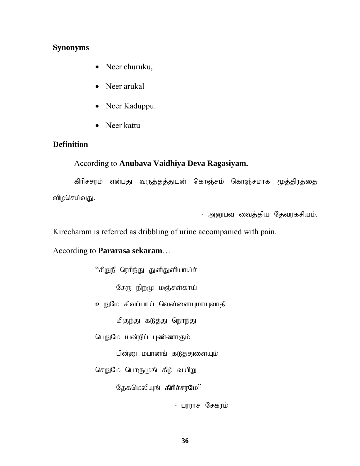### **Synonyms**

- Neer churuku,
- Neer arukal
- Neer Kaduppu.
- Neer kattu

### **Definition**

# According to **Anubava Vaidhiya Deva Ragasiyam.**

கிரிச்சரம் என்பது வருத்தத்துடன் கொஞ்சம் கொஞ்சமாக மூத்திரத்தை விழசெய்வது.

- அனுபவ வைத்திய தேவரகசியம்.

Kirecharam is referred as dribbling of urine accompanied with pain.

# According to **Pararasa sekaram**…

 $``$ சிறுநீ ரெரிந்து துளிதுளியாய்ச் சேரு நிறமு மஞ்சள்காய் உறுமே சிவப்பாய் வெள்ளையுமாயுவாதி மிகுந்து கடுத்து நொந்து பெறுமே யன்றிப் புண்ணாகும் பின்னு மபானங் கடுத்துளையும் செறுமே பொருமுங் கீழ் வயிறு தேகமெலியுங் கிரிச்சரமே $"$ 

- பரராச சேகரம்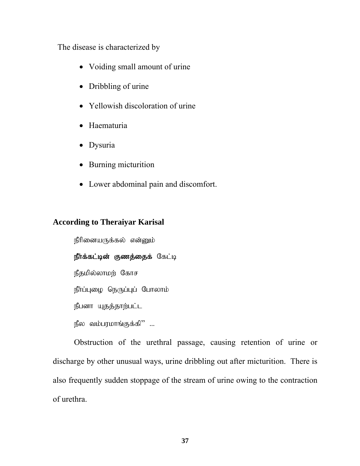The disease is characterized by

- Voiding small amount of urine
- Dribbling of urine
- Yellowish discoloration of urine
- Haematuria
- Dysuria
- Burning micturition
- Lower abdominal pain and discomfort.

# **According to Theraiyar Karisal**

நீரினையருக்கல் என்னும்

# நீர்க்கட்டின் குணத்தைக் கேட்டி

நீதமில்லாமற் கோச

நீர்ப்புழை நெருப்புப் போலாம்

நீபனா யுதத்தாற்பட்ட

 $\mathfrak{g}$ ல வம்பரமாங்குக்கி $"$  ...

Obstruction of the urethral passage, causing retention of urine or discharge by other unusual ways, urine dribbling out after micturition. There is also frequently sudden stoppage of the stream of urine owing to the contraction of urethra.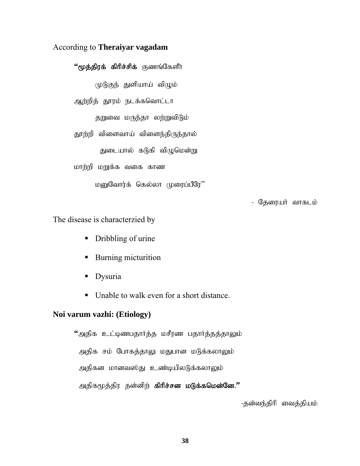### According to **Theraiyar vagadam**

<sup>\*</sup>\*மூத்திரக் கிரிச்சிக் குணங்கேளீர்

 $(\mathfrak{p}(\mathfrak{h})$ குந் துளியாய் விழும்

ஆற்றித் தூரம் நடக்கவொட்டா

தறுவை மருந்தா லற்றுவிடும்

தூற்றி விளைவாய் விளைந்திருந்தால்

துடையால் கடுகி விழுமென்று

மாற்றி மறுக்க வகை காண

மனுவோர்க் கெல்லா முரைப்பீரே''

- தேரையர் வாகடம்

The disease is characterzied by

- Dribbling of urine
- **Burning micturition**
- **Dysuria**
- Unable to walk even for a short distance.

#### **Noi varum vazhi: (Etiology)**

 $"$ அதிக உட்டிணபதார்த்த மசீரண பதார்த்தத்தாலும் அதிக சம் போகத்தாலு மதுபான மடுக்கலாலும் அதிகன மானவஸ்து உண்டியிலடுக்கலாலும் அதிகமூத்திர தன்னிற் **கிரிச்சன மடுக்கமென்னே.''** 

-தன்வந்திரி வைத்தியம்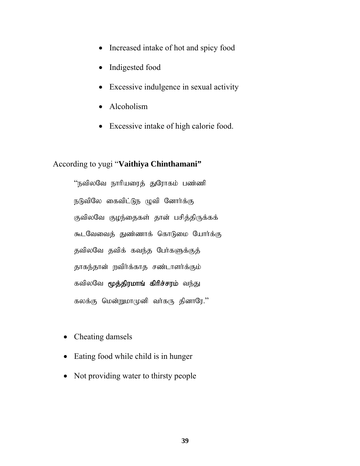- Increased intake of hot and spicy food
- Indigested food
- Excessive indulgence in sexual activity
- Alcoholism
- Excessive intake of high calorie food.

### According to yugi "**Vaithiya Chinthamani"**

"நவிலவே நாரியரைத் துரோகம் பண்ணி நடுவிலே கைவிட்டுந ழுவி னோர்க்கு குவிலவே குழந்தைகள் தான் பசித்திருக்கக் கூடவேவைத் துண்ணாக் கொடுமை யோர்க்கு தவிலவே தவிக் கவந்த பேர்களுக்குத் தாகந்தான் நவிர்க்காத சண்டாளர்க்கும் கவிலவே மூத்திரமாங் கிரிச்சரம் வந்து கலக்கு மென்றுமா $(p$ னி வர்கரு தினாரே."

- Cheating damsels
- Eating food while child is in hunger
- Not providing water to thirsty people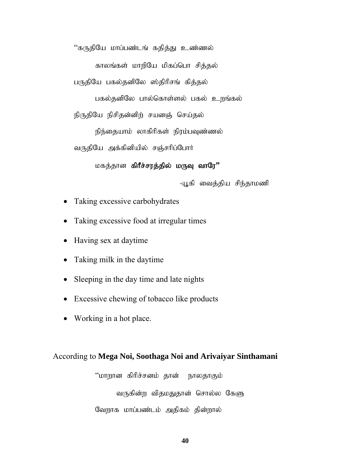"கருதியே மாப்பண்டங் கதித்து உண்ணல்

காலங்கள் மாறியே மிகப்பொ சித்தல்

பருதியே பகல்தனிலே ஸ்திரிசங் கித்தல்

பகல்தனிலே பால்கொள்ளல் பகல் உறங்கல்

நிருதியே நிசிதன்னிற் சயனஞ் செய்தல்

நிந்தையாம் லாகிரிகள் நிரம்பவுண்ணல்

வருதியே அக்கினியில் சஞ்சரிப்போர்

மகத்தான **கிரீச்சரத்தில் மருவு வாரே''** 

-யூகி வைத்திய சிந்தாமணி

- Taking excessive carbohydrates
- Taking excessive food at irregular times
- Having sex at daytime
- Taking milk in the daytime
- Sleeping in the day time and late nights
- Excessive chewing of tobacco like products
- Working in a hot place.

#### According to **Mega Noi, Soothaga Noi and Arivaiyar Sinthamani**

"மாறான கிரிச்சனம் தான் நாலதாகும் வருகின்ற விதமதுதான் சொல்ல கேளு வேறாக மாப்பண்டம் அதிகம் தின்றால்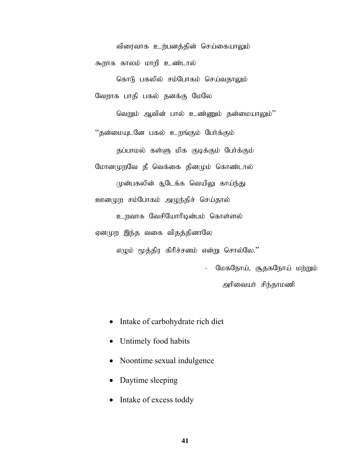விரைவாக உற்பனத்தின் செய்கையாலும் கூறாக காலம் மாறி உண்டால்

கொடு பகலில் சம்போகம் செய்வதாலும் வேறாக பாதி பகல் தனக்கு மேலே

வெறும் ஆவின் பால் உண்ணும் தன்மையாலும்''

"தன்மையுடனே பகல் உறங்கும் பேர்க்கும்

தப்பாமல் கள்ளு மிக குடிக்கும் பேர்க்கும்

மோனமுறவே தீ வெக்கை தினமும் கொண்டால்

முன்பகலின் சூடேக்க வெயிலு காய்ந்து ஊனமுற சம்போகம் அழுந்திச் செய்தால்

உறவாக வேசியோரிடின்பம் கொள்ளல்

ஏனமுற இந்த வகை விதத்தினாலே

எழும் மூத்திர கிரிச்சனம் என்று சொல்லே.''

மேகநோய், சூதகநோய் மற்றும் அரிவையர் சிந்தாமணி

- Intake of carbohydrate rich diet
- Untimely food habits
- Noontime sexual indulgence
- Daytime sleeping
- Intake of excess toddy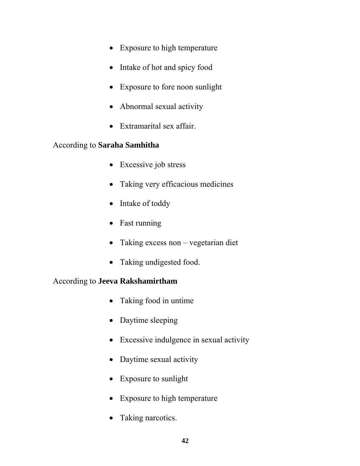- Exposure to high temperature
- Intake of hot and spicy food
- Exposure to fore noon sunlight
- Abnormal sexual activity
- Extramarital sex affair.

# According to **Saraha Samhitha**

- Excessive job stress
- Taking very efficacious medicines
- Intake of toddy
- Fast running
- Taking excess non vegetarian diet
- Taking undigested food.

# According to **Jeeva Rakshamirtham**

- Taking food in untime
- Daytime sleeping
- Excessive indulgence in sexual activity
- Daytime sexual activity
- Exposure to sunlight
- Exposure to high temperature
- Taking narcotics.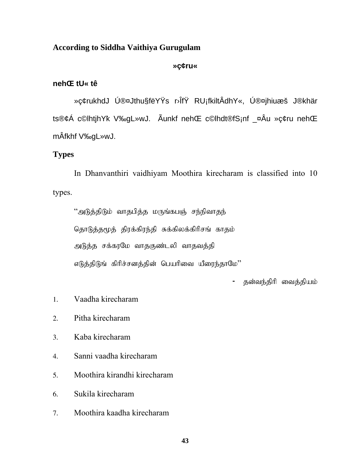### **According to Siddha Vaithiya Gurugulam**

#### **»ç¢ru«**

#### **nehŒ tU« tê**

»ç¢rukhdJ Ú®¤Jthu§fëYŸs r›ÎfŸ RU¡fkiltÂdhY«, Ú®¤jhiuæš J®khär ts®¢Á c©lhtjhYk; V‰gL»wJ. Ãunkf nehŒ c©lhdt®fS¡nf \_¤Âu »ç¢ru nehŒ mÂfkhf V‰gL»wJ.

# **Types**

In Dhanvanthiri vaidhiyam Moothira kirecharam is classified into 10 types.

 $"$ அடுத்திடும் வாதபித்த மருங்கபஞ் சந்நிவாதந் தொடுத்தமூத் திரக்கிரந்தி சுக்கிலக்கிரிசங் காதம் அடுத்த சக்கரமே வாதகுண்டலி வாதவத்தி  $\sigma$ டுத்திடுங் கிரிச்சனத்தின் பெயரிவை யீரைந்தாமே $"$ 

- தன்வந்திரி வைத்தியம்

- 1. Vaadha kirecharam
- 2. Pitha kirecharam
- 3. Kaba kirecharam
- 4. Sanni vaadha kirecharam
- 5. Moothira kirandhi kirecharam
- 6. Sukila kirecharam
- 7. Moothira kaadha kirecharam

**43**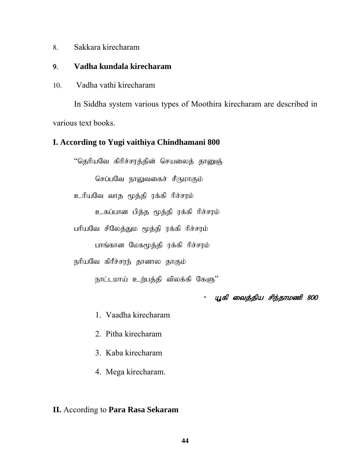8. Sakkara kirecharam

### 9. **Vadha kundala kirecharam**

10. Vadha vathi kirecharam

In Siddha system various types of Moothira kirecharam are described in various text books.

### **I. According to Yugi vaithiya Chindhamani 800**

"தெரியவே கிரிச்சரத்தின் செயலைத் தானுஞ் செப்பவே நாலுவகைச் சீருமாகும் உரியவே வாத மூத்தி ரக்கி ரிச்சரம் உகப்பான பித்த மூத்தி ரக்கி ரிச்சரம் பரியவே சிலேத்தும மூத்தி ரக்கி ரிச்சரம் பாங்கான மேகமூத்தி ரக்கி ரிச்சரம் நரியவே கிரீச்சரந் தானால தாகும் நாட்டமாய் உற்பத்தி விலக்கி கேளு'' - யூகி வைத்திய சிந்தாமணி 800

- 1. Vaadha kirecharam
- 2. Pitha kirecharam
- 3. Kaba kirecharam
- 4. Mega kirecharam.

### **II.** According to **Para Rasa Sekaram**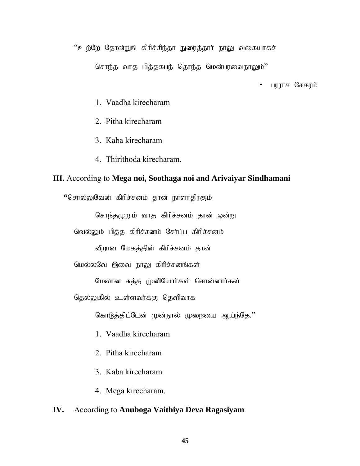"உற்றே தோன்றுங் கிரிச்சிந்தா நுரைத்தார் நாலு வகையாகச்

சொந்த வாத பித்தகபந் தொந்த மென்பரவைநாலும்''

- பரராச சேகரம்

- 1. Vaadha kirecharam
- 2. Pitha kirecharam
- 3. Kaba kirecharam
- 4. Thirithoda kirecharam.

#### **III.** According to **Mega noi, Soothaga noi and Arivaiyar Sindhamani**

**"**சொல்லுவேன் கிரிச்சனம் தான் நாளாதிரகும்

சொந்தமுறும் வாத கிரிச்சனம் தான் ஒன்று

வெல்லும் பித்த கிரிச்சனம் சேர்ப்ப கிரிச்சனம்

வீறான மேகத்தின் கிரிச்சனம் தான்

மெல்லவே இவை நாலு கிரிச்சனங்கள்

மேலான சுத்த முனியோர்கள் சொன்னார்கள்

தெல்லுகில் உள்ளவர்க்கு தெளிவாக

கொடுத்திட்டேன் முன்நூல் முறையை ஆய்ந்தே."

- 1. Vaadha kirecharam
- 2. Pitha kirecharam
- 3. Kaba kirecharam
- 4. Mega kirecharam.

### **IV.** According to **Anuboga Vaithiya Deva Ragasiyam**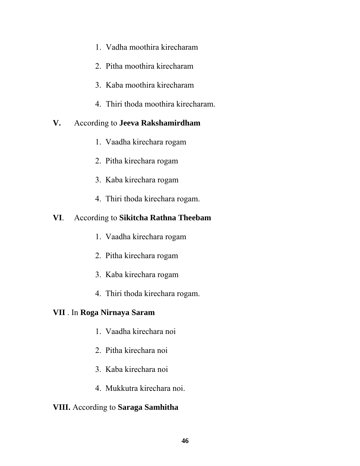- 1. Vadha moothira kirecharam
- 2. Pitha moothira kirecharam
- 3. Kaba moothira kirecharam
- 4. Thiri thoda moothira kirecharam.

# **V.** According to **Jeeva Rakshamirdham**

- 1. Vaadha kirechara rogam
- 2. Pitha kirechara rogam
- 3. Kaba kirechara rogam
- 4. Thiri thoda kirechara rogam.

# **VI**. According to **Sikitcha Rathna Theebam**

- 1. Vaadha kirechara rogam
- 2. Pitha kirechara rogam
- 3. Kaba kirechara rogam
- 4. Thiri thoda kirechara rogam.

# **VII** . In **Roga Nirnaya Saram**

- 1. Vaadha kirechara noi
- 2. Pitha kirechara noi
- 3. Kaba kirechara noi
- 4. Mukkutra kirechara noi.

# **VIII.** According to **Saraga Samhitha**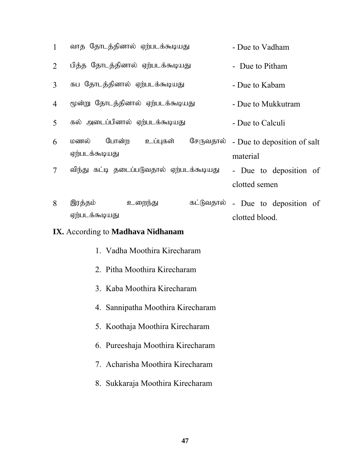| $\mathbf{1}$                                    | வாத தோடத்தினால் ஏற்படக்கூடியது            |                                   | - Due to Vadham    |                             |  |
|-------------------------------------------------|-------------------------------------------|-----------------------------------|--------------------|-----------------------------|--|
| $\overline{2}$                                  | பித்த தோடத்தினால் ஏற்படக்கூடியது          |                                   | - Due to Pitham    |                             |  |
| 3                                               | கப தோடத்தினால் ஏற்படக்கூடியது             |                                   | - Due to Kabam     |                             |  |
| 4                                               | மூன்று தோடத்தினால் ஏற்படக்கூடியது         |                                   | - Due to Mukkutram |                             |  |
| 5                                               | கல் அடைப்பினால் ஏற்படக்கூடியது            |                                   | - Due to Calculi   |                             |  |
| 6                                               | மணல் போன்ற உப்புகள்<br>ஏற்படக்கூடியது     | சேருவதால்                         | material           | - Due to deposition of salt |  |
| $\tau$                                          | விந்து கட்டி தடைப்படுவதால் ஏற்படக்கூடியது |                                   | clotted semen      | - Due to deposition of      |  |
| 8                                               | இரத்தம்<br>உறைந்து<br>ஏற்படக்கூடியது      | கட்டுவதால் - Due to deposition of | clotted blood.     |                             |  |
| <b>IX.</b> According to <b>Madhava Nidhanam</b> |                                           |                                   |                    |                             |  |

| 1. Vadha Moothira Kirecharam      |
|-----------------------------------|
| 2. Pitha Moothira Kirecharam      |
| 3. Kaba Moothira Kirecharam       |
| 4. Sannipatha Moothira Kirecharam |
| 5. Koothaja Moothira Kirecharam   |
| 6. Pureeshaja Moothira Kirecharam |
| 7. Acharisha Moothira Kirecharam  |
|                                   |

8. Sukkaraja Moothira Kirecharam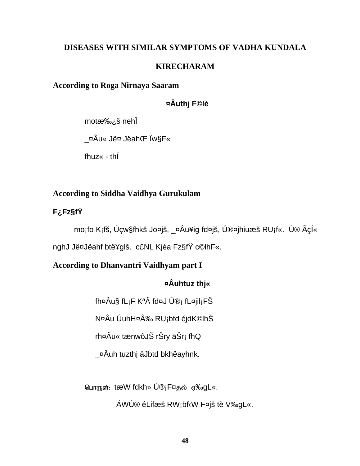# **DISEASES WITH SIMILAR SYMPTOMS OF VADHA KUNDALA**

### **KIRECHARAM**

# **According to Roga Nirnaya Saaram**

# **\_¤Âuthj F©lè**

mot承š nehÎ

\_¤Âu« Jë¤ JëahŒ Ïw§F«

fhuz« - thÍ

# **According to Siddha Vaidhya Gurukulam**

# **F¿Fz§fŸ**

mo¡fo K¡fš, Úçw§fhkš Jo¤jš, \_¤Âu¥ig fd¤jš, Ú®¤jhiuæš RU¡f«. Ú® ÃçÍ«

nghJ Jë¤Jëahf btë¥glš. c£NL Kjèa Fz§fŸ c©lhF«.

# **According to Dhanvantri Vaidhyam part I**

# **\_¤Âuhtuz thj«**

fh¤Âu§ fL¡F KªÂ fd¤J Ú®¡ fL¤jil¡FŠ

N¤Âu ÚuhH¤Â‰ RU¡bfd éjdK©lhŠ

rh¤Âu« tænwôJŠ rŠry äŠr¡ fhQ

\_¤Âuh tuzthj äJbtd bkhêayhnk.

பொருள்: tæW fdkh» Ú®¡F¤தல் ஏ‰gL«.

ÁWÚ® éLifæš RW¡bf‹W F¤jš tè V‰gL«.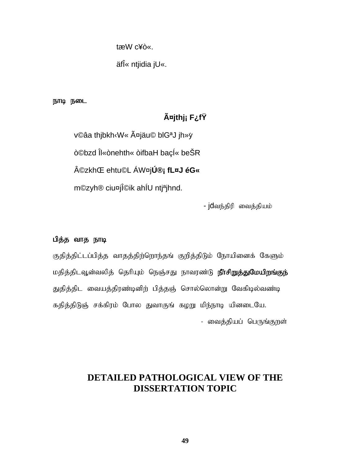tæW c¥ò«.

äfΫ ntjidia jU«.

நாடி நடை

# **äjthj¡ F¿fŸ**

v©âa thjbkh‹W« äjäu© blGaJ jh»y ò©bzd Îl«ònehth« òifbaH baçÍ« beŠR ©zkhŒ ehtu©L ÁW¤j**Ú®¡ fL¤J éG«** m©zyh® ciu¤jΩik ahÍU ntj<sup>a</sup>jhnd.

- jdவந்திரி வைத்தியம்

### பித்த வாத நாடி

குதித்திட்டப்பித்த வாதத்திற்றொந்தங் குறித்திடும் நோயினைக் கேளும் மதித்திடவூன்வலித் தெரியும் நெஞ்சது நாவரண்டு **நீர்சிறுத்துமேயிறங்குந்** துதித்திட வையத்திரண்டினிற் பித்தஞ் சொல்லொன்று வேகிடில்வண்டி கதித்திடுஞ் சக்கிரம் போல துவாகுங் கழறு மிந்நாடி யினடையே. - வைத்தியப் பெருங்குறள்

# **DETAILED PATHOLOGICAL VIEW OF THE DISSERTATION TOPIC**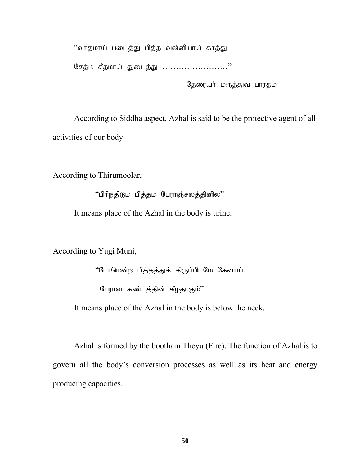"வாதமாய் படைத்து பித்த வன்னியாய் காத்து சேத்ம சீதமாய் துடைத்து ……………………."

- தேரையா் மருத்துவ பாரதம்

According to Siddha aspect, Azhal is said to be the protective agent of all activities of our body.

According to Thirumoolar,

 $"$ பிரிந்திடும் பித்தம் பேராஞ்சலத்தினில் $"$ 

It means place of the Azhal in the body is urine.

According to Yugi Muni,

"போமென்ற பித்தத்துக் கிருப்பிடமே கேளாய் பேரான கண்டத்தின் கீழதாகும்''

It means place of the Azhal in the body is below the neck.

 Azhal is formed by the bootham Theyu (Fire). The function of Azhal is to govern all the body's conversion processes as well as its heat and energy producing capacities.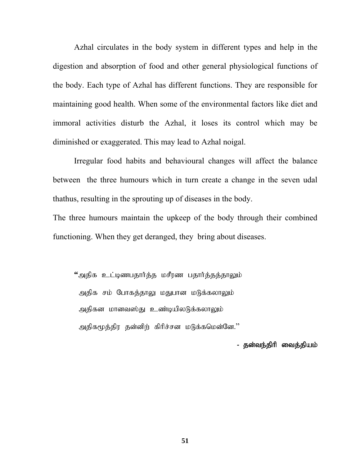Azhal circulates in the body system in different types and help in the digestion and absorption of food and other general physiological functions of the body. Each type of Azhal has different functions. They are responsible for maintaining good health. When some of the environmental factors like diet and immoral activities disturb the Azhal, it loses its control which may be diminished or exaggerated. This may lead to Azhal noigal.

Irregular food habits and behavioural changes will affect the balance between the three humours which in turn create a change in the seven udal thathus, resulting in the sprouting up of diseases in the body.

The three humours maintain the upkeep of the body through their combined functioning. When they get deranged, they bring about diseases.

 $"$ அதிக உட்டிணபதார்த்த மசீரண பதார்த்தத்தாலும் அதிக சம் போகத்தாலு மதுபான மடுக்கலாலும் அதிகன மானவஸ்து உண்டியிலடுக்கலாலும் அதிகமூத்திர தன்னிற் கிரிச்சன மடுக்கமென்னே."

- தன்வந்திரி வைத்தியம்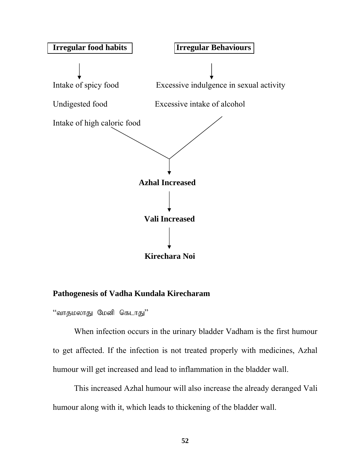

### **Pathogenesis of Vadha Kundala Kirecharam**

"வாதமலாது மேனி கெடாது"

When infection occurs in the urinary bladder Vadham is the first humour to get affected. If the infection is not treated properly with medicines, Azhal humour will get increased and lead to inflammation in the bladder wall.

This increased Azhal humour will also increase the already deranged Vali humour along with it, which leads to thickening of the bladder wall.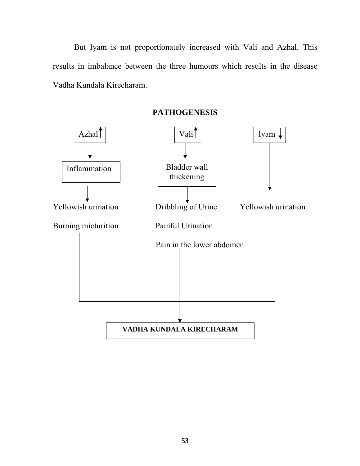But Iyam is not proportionately increased with Vali and Azhal. This results in imbalance between the three humours which results in the disease Vadha Kundala Kirecharam.

Yellowish urination Dribbling of Urine Yellowish urination Burning micturition Painful Urination Pain in the lower abdomen  $\Delta z$ hal  $\int$   $\sqrt{a^{2}+b^{2}}$   $\sqrt{b^{2}+c^{2}}$   $\sqrt{b^{2}+c^{2}}$   $\sqrt{c^{2}+c^{2}}$   $\sqrt{c^{2}+c^{2}}$   $\sqrt{c^{2}+c^{2}}$   $\sqrt{c^{2}+c^{2}}$   $\sqrt{c^{2}+c^{2}}$   $\sqrt{c^{2}+c^{2}}$   $\sqrt{c^{2}+c^{2}}$   $\sqrt{c^{2}+c^{2}}$   $\sqrt{c^{2}+c^{2}}$   $\sqrt{c^{2}+c^{2}}$   $\sqrt{c^{2}+c^{2$ Inflammation | Bladder wall thickening **VADHA KUNDALA KIRECHARAM** 

**PATHOGENESIS**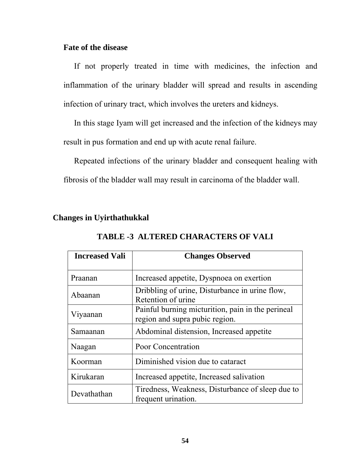### **Fate of the disease**

If not properly treated in time with medicines, the infection and inflammation of the urinary bladder will spread and results in ascending infection of urinary tract, which involves the ureters and kidneys.

 In this stage Iyam will get increased and the infection of the kidneys may result in pus formation and end up with acute renal failure.

 Repeated infections of the urinary bladder and consequent healing with fibrosis of the bladder wall may result in carcinoma of the bladder wall.

### **Changes in Uyirthathukkal**

| <b>Increased Vali</b> | <b>Changes Observed</b>                                                             |  |
|-----------------------|-------------------------------------------------------------------------------------|--|
| Praanan               | Increased appetite, Dyspnoea on exertion                                            |  |
| Abaanan               | Dribbling of urine, Disturbance in urine flow,<br>Retention of urine                |  |
| Viyaanan              | Painful burning micturition, pain in the perineal<br>region and supra pubic region. |  |
| Samaanan              | Abdominal distension, Increased appetite                                            |  |
| Naagan                | Poor Concentration                                                                  |  |
| Koorman               | Diminished vision due to cataract                                                   |  |
| Kirukaran             | Increased appetite, Increased salivation                                            |  |
| Devathathan           | Tiredness, Weakness, Disturbance of sleep due to<br>frequent urination.             |  |

### **TABLE -3 ALTERED CHARACTERS OF VALI**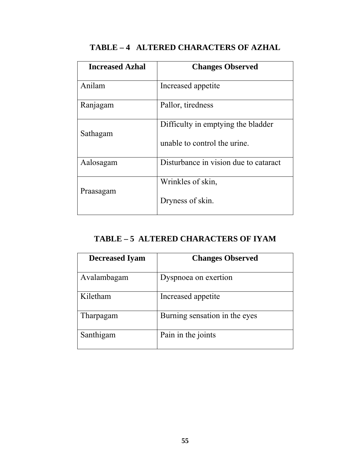| <b>Increased Azhal</b> | <b>Changes Observed</b>                                            |
|------------------------|--------------------------------------------------------------------|
| Anilam                 | Increased appetite                                                 |
| Ranjagam               | Pallor, tiredness                                                  |
| Sathagam               | Difficulty in emptying the bladder<br>unable to control the urine. |
| Aalosagam              | Disturbance in vision due to cataract                              |
| Praasagam              | Wrinkles of skin,<br>Dryness of skin.                              |

# **TABLE – 4 ALTERED CHARACTERS OF AZHAL**

# **TABLE – 5 ALTERED CHARACTERS OF IYAM**

| <b>Decreased Iyam</b> | <b>Changes Observed</b>       |
|-----------------------|-------------------------------|
| Avalambagam           | Dyspnoea on exertion          |
| Kiletham              | Increased appetite            |
| Tharpagam             | Burning sensation in the eyes |
| Santhigam             | Pain in the joints            |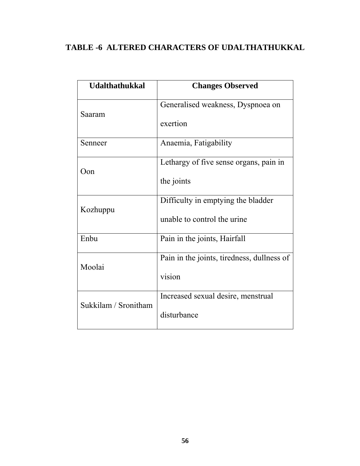# **TABLE -6 ALTERED CHARACTERS OF UDALTHATHUKKAL**

| <b>Udalthathukkal</b> | <b>Changes Observed</b>                    |
|-----------------------|--------------------------------------------|
| Saaram                | Generalised weakness, Dyspnoea on          |
|                       | exertion                                   |
| Senneer               | Anaemia, Fatigability                      |
| Oon                   | Lethargy of five sense organs, pain in     |
|                       | the joints                                 |
| Kozhuppu              | Difficulty in emptying the bladder         |
|                       | unable to control the urine                |
| Enbu                  | Pain in the joints, Hairfall               |
| Moolai                | Pain in the joints, tiredness, dullness of |
|                       | vision                                     |
| Sukkilam / Sronitham  | Increased sexual desire, menstrual         |
|                       | disturbance                                |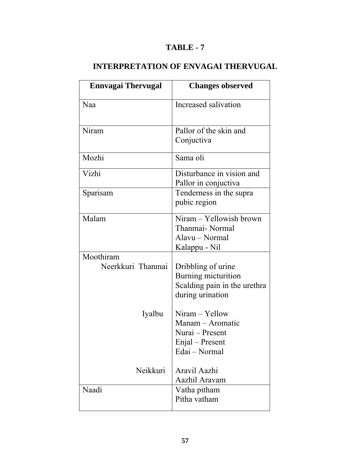# **TABLE - 7**

# **INTERPRETATION OF ENVAGAI THERVUGAL**

| <b>Ennvagai Thervugal</b>      | <b>Changes observed</b>                                                                       |
|--------------------------------|-----------------------------------------------------------------------------------------------|
| Naa                            | Increased salivation                                                                          |
| Niram                          | Pallor of the skin and<br>Conjuctiva                                                          |
| Mozhi                          | Sama oli                                                                                      |
| Vizhi                          | Disturbance in vision and<br>Pallor in conjuctiva                                             |
| Sparisam                       | Tenderness in the supra<br>pubic region                                                       |
| Malam                          | Niram - Yellowish brown<br>Thanmai-Normal<br>Alavu - Normal<br>Kalappu - Nil                  |
| Moothiram<br>Neerkkuri Thanmai | Dribbling of urine<br>Burning micturition<br>Scalding pain in the urethra<br>during urination |
| Iyalbu                         | Niram - Yellow<br>Manam - Aromatic<br>Nurai – Present<br>Enjal – Present<br>Edai - Normal     |
| Neikkuri                       | Aravil Aazhi<br>Aazhil Aravam                                                                 |
| Naadi                          | Vatha pitham<br>Pitha vatham                                                                  |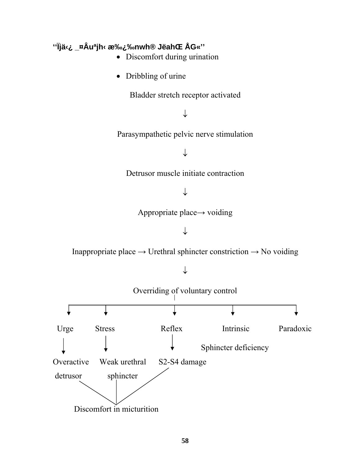# **''Ïjä‹¿ \_¤Âuªjh‹ 承‰nwh® JëahŒ ÅG«''**

- Discomfort during urination
- Dribbling of urine

Bladder stretch receptor activated

↓

Parasympathetic pelvic nerve stimulation

↓

Detrusor muscle initiate contraction

↓

Appropriate place→ voiding

↓

Inappropriate place  $\rightarrow$  Urethral sphincter constriction  $\rightarrow$  No voiding

↓

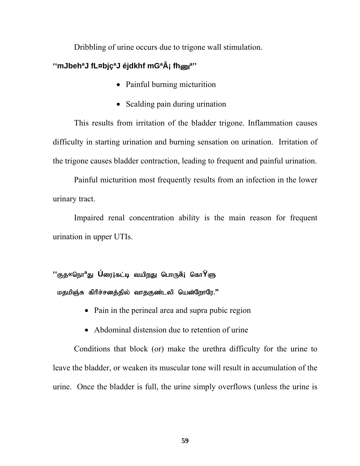Dribbling of urine occurs due to trigone wall stimulation.

# **''mJbehªJ fL¤bjçªJ éjdkhf mGªÂ¡ fh**Z**ª''**

- Painful burning micturition
- Scalding pain during urination

 This results from irritation of the bladder trigone. Inflammation causes difficulty in starting urination and burning sensation on urination. Irritation of the trigone causes bladder contraction, leading to frequent and painful urination.

Painful micturition most frequently results from an infection in the lower urinary tract.

Impaired renal concentration ability is the main reason for frequent urination in upper UTIs.

# **''**Fj**«**neh**ª**J **Ú**iu**¡**fl;b tapwJ nghU**ä¡** nfh**Ÿ**S மதமிஞ்சு கிரிச்சனத்தில் வாதகுண்டலி யென்றோரே.''

- Pain in the perineal area and supra pubic region
- Abdominal distension due to retention of urine

Conditions that block (or) make the urethra difficulty for the urine to leave the bladder, or weaken its muscular tone will result in accumulation of the urine. Once the bladder is full, the urine simply overflows (unless the urine is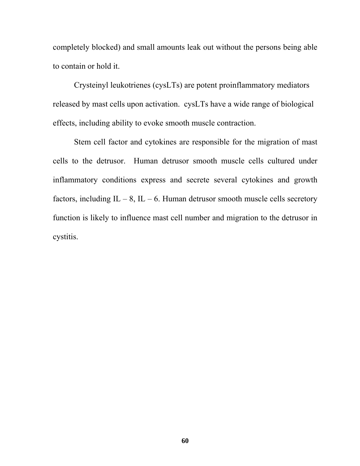completely blocked) and small amounts leak out without the persons being able to contain or hold it.

Crysteinyl leukotrienes (cysLTs) are potent proinflammatory mediators released by mast cells upon activation. cysLTs have a wide range of biological effects, including ability to evoke smooth muscle contraction.

Stem cell factor and cytokines are responsible for the migration of mast cells to the detrusor. Human detrusor smooth muscle cells cultured under inflammatory conditions express and secrete several cytokines and growth factors, including IL – 8, IL – 6. Human detrusor smooth muscle cells secretory function is likely to influence mast cell number and migration to the detrusor in cystitis.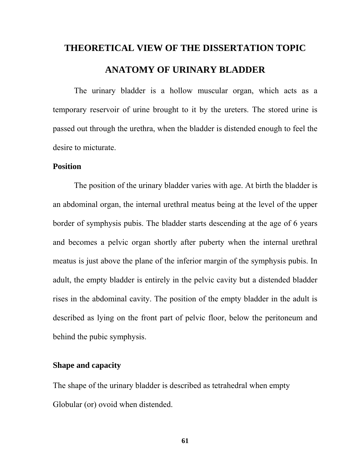# **THEORETICAL VIEW OF THE DISSERTATION TOPIC ANATOMY OF URINARY BLADDER**

The urinary bladder is a hollow muscular organ, which acts as a temporary reservoir of urine brought to it by the ureters. The stored urine is passed out through the urethra, when the bladder is distended enough to feel the desire to micturate.

### **Position**

The position of the urinary bladder varies with age. At birth the bladder is an abdominal organ, the internal urethral meatus being at the level of the upper border of symphysis pubis. The bladder starts descending at the age of 6 years and becomes a pelvic organ shortly after puberty when the internal urethral meatus is just above the plane of the inferior margin of the symphysis pubis. In adult, the empty bladder is entirely in the pelvic cavity but a distended bladder rises in the abdominal cavity. The position of the empty bladder in the adult is described as lying on the front part of pelvic floor, below the peritoneum and behind the pubic symphysis.

### **Shape and capacity**

The shape of the urinary bladder is described as tetrahedral when empty Globular (or) ovoid when distended.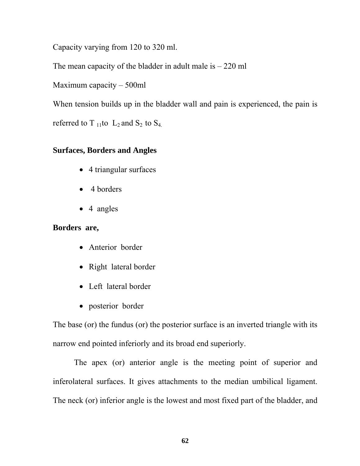Capacity varying from 120 to 320 ml.

The mean capacity of the bladder in adult male is  $-220$  ml

Maximum capacity – 500ml

When tension builds up in the bladder wall and pain is experienced, the pain is

referred to T<sub>11</sub>to  $L_2$  and  $S_2$  to  $S_4$ .

# **Surfaces, Borders and Angles**

- 4 triangular surfaces
- 4 borders
- 4 angles

# **Borders are,**

- Anterior border
- Right lateral border
- Left lateral border
- posterior border

The base (or) the fundus (or) the posterior surface is an inverted triangle with its narrow end pointed inferiorly and its broad end superiorly.

 The apex (or) anterior angle is the meeting point of superior and inferolateral surfaces. It gives attachments to the median umbilical ligament. The neck (or) inferior angle is the lowest and most fixed part of the bladder, and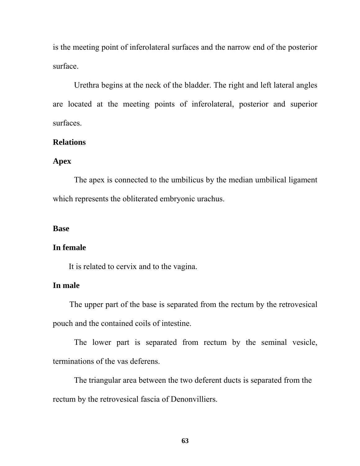is the meeting point of inferolateral surfaces and the narrow end of the posterior surface.

Urethra begins at the neck of the bladder. The right and left lateral angles are located at the meeting points of inferolateral, posterior and superior surfaces.

#### **Relations**

### **Apex**

The apex is connected to the umbilicus by the median umbilical ligament which represents the obliterated embryonic urachus.

#### **Base**

#### **In female**

It is related to cervix and to the vagina.

### **In male**

 The upper part of the base is separated from the rectum by the retrovesical pouch and the contained coils of intestine.

 The lower part is separated from rectum by the seminal vesicle, terminations of the vas deferens.

 The triangular area between the two deferent ducts is separated from the rectum by the retrovesical fascia of Denonvilliers.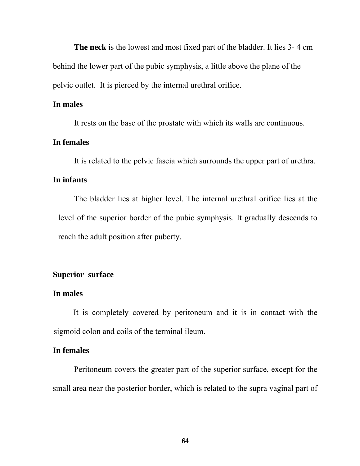**The neck** is the lowest and most fixed part of the bladder. It lies 3- 4 cm behind the lower part of the pubic symphysis, a little above the plane of the pelvic outlet. It is pierced by the internal urethral orifice.

### **In males**

It rests on the base of the prostate with which its walls are continuous.

### **In females**

It is related to the pelvic fascia which surrounds the upper part of urethra.

### **In infants**

 The bladder lies at higher level. The internal urethral orifice lies at the level of the superior border of the pubic symphysis. It gradually descends to reach the adult position after puberty.

### **Superior surface**

#### **In males**

 It is completely covered by peritoneum and it is in contact with the sigmoid colon and coils of the terminal ileum.

### **In females**

Peritoneum covers the greater part of the superior surface, except for the small area near the posterior border, which is related to the supra vaginal part of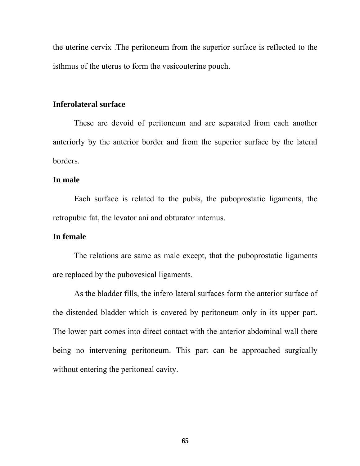the uterine cervix .The peritoneum from the superior surface is reflected to the isthmus of the uterus to form the vesicouterine pouch.

### **Inferolateral surface**

 These are devoid of peritoneum and are separated from each another anteriorly by the anterior border and from the superior surface by the lateral borders.

#### **In male**

Each surface is related to the pubis, the puboprostatic ligaments, the retropubic fat, the levator ani and obturator internus.

### **In female**

The relations are same as male except, that the puboprostatic ligaments are replaced by the pubovesical ligaments.

As the bladder fills, the infero lateral surfaces form the anterior surface of the distended bladder which is covered by peritoneum only in its upper part. The lower part comes into direct contact with the anterior abdominal wall there being no intervening peritoneum. This part can be approached surgically without entering the peritoneal cavity.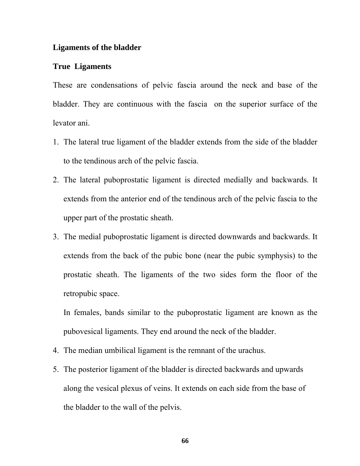#### **Ligaments of the bladder**

#### **True Ligaments**

These are condensations of pelvic fascia around the neck and base of the bladder. They are continuous with the fascia on the superior surface of the levator ani.

- 1. The lateral true ligament of the bladder extends from the side of the bladder to the tendinous arch of the pelvic fascia.
- 2. The lateral puboprostatic ligament is directed medially and backwards. It extends from the anterior end of the tendinous arch of the pelvic fascia to the upper part of the prostatic sheath.
- 3. The medial puboprostatic ligament is directed downwards and backwards. It extends from the back of the pubic bone (near the pubic symphysis) to the prostatic sheath. The ligaments of the two sides form the floor of the retropubic space.

In females, bands similar to the puboprostatic ligament are known as the pubovesical ligaments. They end around the neck of the bladder.

- 4. The median umbilical ligament is the remnant of the urachus.
- 5. The posterior ligament of the bladder is directed backwards and upwards along the vesical plexus of veins. It extends on each side from the base of the bladder to the wall of the pelvis.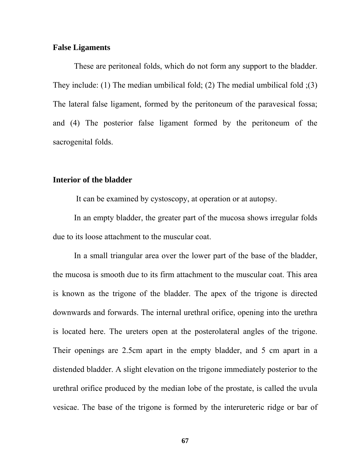#### **False Ligaments**

These are peritoneal folds, which do not form any support to the bladder. They include: (1) The median umbilical fold; (2) The medial umbilical fold ;(3) The lateral false ligament, formed by the peritoneum of the paravesical fossa; and (4) The posterior false ligament formed by the peritoneum of the sacrogenital folds.

#### **Interior of the bladder**

It can be examined by cystoscopy, at operation or at autopsy.

 In an empty bladder, the greater part of the mucosa shows irregular folds due to its loose attachment to the muscular coat.

 In a small triangular area over the lower part of the base of the bladder, the mucosa is smooth due to its firm attachment to the muscular coat. This area is known as the trigone of the bladder. The apex of the trigone is directed downwards and forwards. The internal urethral orifice, opening into the urethra is located here. The ureters open at the posterolateral angles of the trigone. Their openings are 2.5cm apart in the empty bladder, and 5 cm apart in a distended bladder. A slight elevation on the trigone immediately posterior to the urethral orifice produced by the median lobe of the prostate, is called the uvula vesicae. The base of the trigone is formed by the interureteric ridge or bar of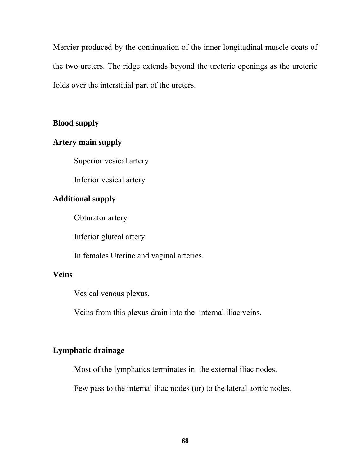Mercier produced by the continuation of the inner longitudinal muscle coats of the two ureters. The ridge extends beyond the ureteric openings as the ureteric folds over the interstitial part of the ureters.

### **Blood supply**

### **Artery main supply**

Superior vesical artery

Inferior vesical artery

# **Additional supply**

Obturator artery

Inferior gluteal artery

In females Uterine and vaginal arteries.

# **Veins**

Vesical venous plexus.

Veins from this plexus drain into the internal iliac veins.

# **Lymphatic drainage**

Most of the lymphatics terminates in the external iliac nodes.

Few pass to the internal iliac nodes (or) to the lateral aortic nodes.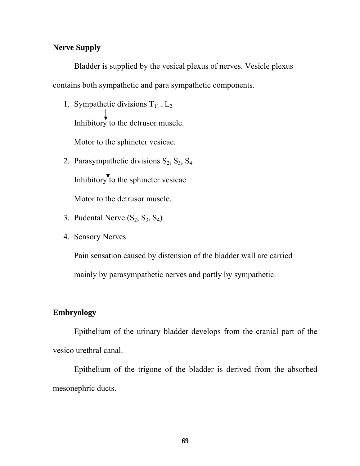### **Nerve Supply**

 Bladder is supplied by the vesical plexus of nerves. Vesicle plexus contains both sympathetic and para sympathetic components.

1. Sympathetic divisions  $T_{11}$  –  $L_{2}$ . Inhibitory to the detrusor muscle.

Motor to the sphincter vesicae.

- 2. Parasympathetic divisions  $S_2$ ,  $S_3$ ,  $S_4$ . Inhibitory to the sphincter vesicae Motor to the detrusor muscle.
- 3. Pudental Nerve  $(S_2, S_3, S_4)$
- 4. Sensory Nerves

Pain sensation caused by distension of the bladder wall are carried mainly by parasympathetic nerves and partly by sympathetic.

# **Embryology**

Epithelium of the urinary bladder develops from the cranial part of the vesico urethral canal.

Epithelium of the trigone of the bladder is derived from the absorbed mesonephric ducts.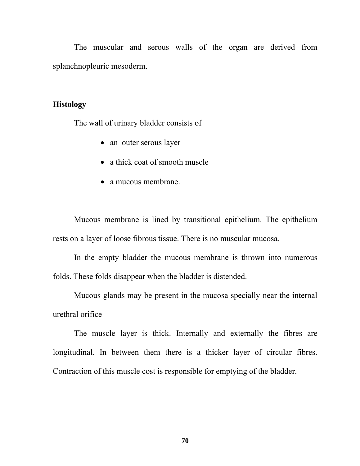The muscular and serous walls of the organ are derived from splanchnopleuric mesoderm.

#### **Histology**

The wall of urinary bladder consists of

- an outer serous layer
- a thick coat of smooth muscle
- a mucous membrane.

Mucous membrane is lined by transitional epithelium. The epithelium rests on a layer of loose fibrous tissue. There is no muscular mucosa.

In the empty bladder the mucous membrane is thrown into numerous folds. These folds disappear when the bladder is distended.

Mucous glands may be present in the mucosa specially near the internal urethral orifice

The muscle layer is thick. Internally and externally the fibres are longitudinal. In between them there is a thicker layer of circular fibres. Contraction of this muscle cost is responsible for emptying of the bladder.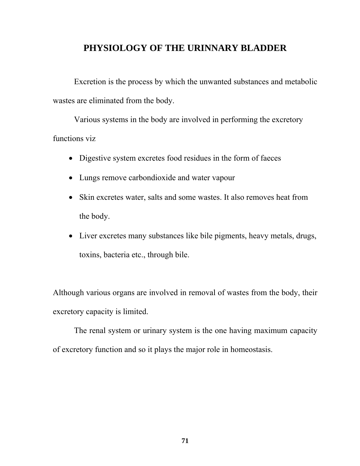# **PHYSIOLOGY OF THE URINNARY BLADDER**

Excretion is the process by which the unwanted substances and metabolic wastes are eliminated from the body.

Various systems in the body are involved in performing the excretory functions viz

- Digestive system excretes food residues in the form of faeces
- Lungs remove carbondioxide and water vapour
- Skin excretes water, salts and some wastes. It also removes heat from the body.
- Liver excretes many substances like bile pigments, heavy metals, drugs, toxins, bacteria etc., through bile.

Although various organs are involved in removal of wastes from the body, their excretory capacity is limited.

The renal system or urinary system is the one having maximum capacity of excretory function and so it plays the major role in homeostasis.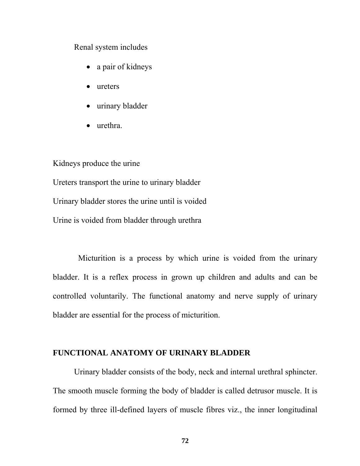Renal system includes

- a pair of kidneys
- ureters
- urinary bladder
- urethra.

Kidneys produce the urine Ureters transport the urine to urinary bladder Urinary bladder stores the urine until is voided

Urine is voided from bladder through urethra

 Micturition is a process by which urine is voided from the urinary bladder. It is a reflex process in grown up children and adults and can be controlled voluntarily. The functional anatomy and nerve supply of urinary bladder are essential for the process of micturition.

#### **FUNCTIONAL ANATOMY OF URINARY BLADDER**

 Urinary bladder consists of the body, neck and internal urethral sphincter. The smooth muscle forming the body of bladder is called detrusor muscle. It is formed by three ill-defined layers of muscle fibres viz., the inner longitudinal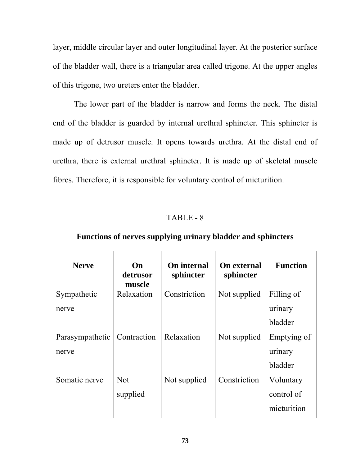layer, middle circular layer and outer longitudinal layer. At the posterior surface of the bladder wall, there is a triangular area called trigone. At the upper angles of this trigone, two ureters enter the bladder.

 The lower part of the bladder is narrow and forms the neck. The distal end of the bladder is guarded by internal urethral sphincter. This sphincter is made up of detrusor muscle. It opens towards urethra. At the distal end of urethra, there is external urethral sphincter. It is made up of skeletal muscle fibres. Therefore, it is responsible for voluntary control of micturition.

#### TABLE - 8

| <b>Nerve</b>    | On<br>detrusor<br>muscle | On internal<br>sphincter | <b>On external</b><br>sphincter | <b>Function</b> |
|-----------------|--------------------------|--------------------------|---------------------------------|-----------------|
| Sympathetic     | Relaxation               | Constriction             | Not supplied                    | Filling of      |
| nerve           |                          |                          |                                 | urinary         |
|                 |                          |                          |                                 | bladder         |
| Parasympathetic | Contraction              | Relaxation               | Not supplied                    | Emptying of     |
| nerve           |                          |                          |                                 | urinary         |
|                 |                          |                          |                                 | bladder         |
| Somatic nerve   | <b>Not</b>               | Not supplied             | Constriction                    | Voluntary       |
|                 | supplied                 |                          |                                 | control of      |
|                 |                          |                          |                                 | micturition     |

#### **Functions of nerves supplying urinary bladder and sphincters**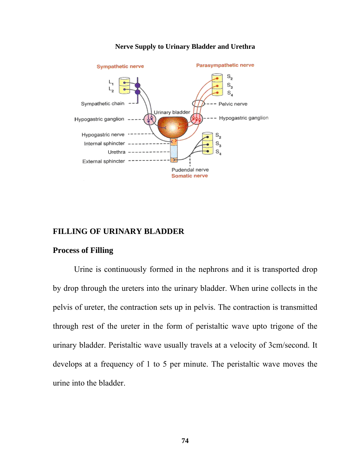

#### **Nerve Supply to Urinary Bladder and Urethra**

#### **FILLING OF URINARY BLADDER**

#### **Process of Filling**

Urine is continuously formed in the nephrons and it is transported drop by drop through the ureters into the urinary bladder. When urine collects in the pelvis of ureter, the contraction sets up in pelvis. The contraction is transmitted through rest of the ureter in the form of peristaltic wave upto trigone of the urinary bladder. Peristaltic wave usually travels at a velocity of 3cm/second. It develops at a frequency of 1 to 5 per minute. The peristaltic wave moves the urine into the bladder.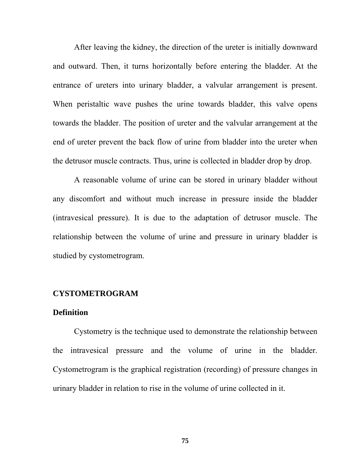After leaving the kidney, the direction of the ureter is initially downward and outward. Then, it turns horizontally before entering the bladder. At the entrance of ureters into urinary bladder, a valvular arrangement is present. When peristaltic wave pushes the urine towards bladder, this valve opens towards the bladder. The position of ureter and the valvular arrangement at the end of ureter prevent the back flow of urine from bladder into the ureter when the detrusor muscle contracts. Thus, urine is collected in bladder drop by drop.

 A reasonable volume of urine can be stored in urinary bladder without any discomfort and without much increase in pressure inside the bladder (intravesical pressure). It is due to the adaptation of detrusor muscle. The relationship between the volume of urine and pressure in urinary bladder is studied by cystometrogram.

#### **CYSTOMETROGRAM**

#### **Definition**

 Cystometry is the technique used to demonstrate the relationship between the intravesical pressure and the volume of urine in the bladder. Cystometrogram is the graphical registration (recording) of pressure changes in urinary bladder in relation to rise in the volume of urine collected in it.

**75**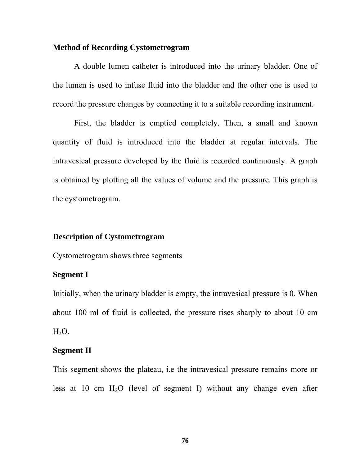#### **Method of Recording Cystometrogram**

 A double lumen catheter is introduced into the urinary bladder. One of the lumen is used to infuse fluid into the bladder and the other one is used to record the pressure changes by connecting it to a suitable recording instrument.

 First, the bladder is emptied completely. Then, a small and known quantity of fluid is introduced into the bladder at regular intervals. The intravesical pressure developed by the fluid is recorded continuously. A graph is obtained by plotting all the values of volume and the pressure. This graph is the cystometrogram.

#### **Description of Cystometrogram**

Cystometrogram shows three segments

#### **Segment I**

Initially, when the urinary bladder is empty, the intravesical pressure is 0. When about 100 ml of fluid is collected, the pressure rises sharply to about 10 cm  $H_2O$ .

#### **Segment II**

This segment shows the plateau, i.e the intravesical pressure remains more or less at 10 cm  $H_2O$  (level of segment I) without any change even after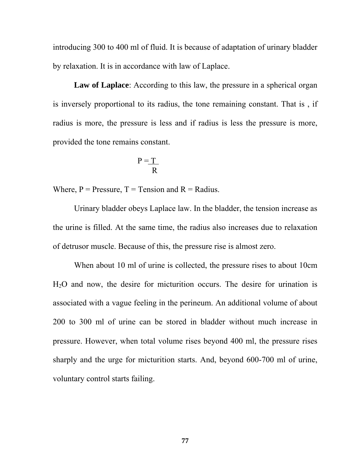introducing 300 to 400 ml of fluid. It is because of adaptation of urinary bladder by relaxation. It is in accordance with law of Laplace.

Law of Laplace: According to this law, the pressure in a spherical organ is inversely proportional to its radius, the tone remaining constant. That is , if radius is more, the pressure is less and if radius is less the pressure is more, provided the tone remains constant.

$$
P = \underline{T}
$$

Where,  $P = \text{pressure}, T = \text{Tension and } R = \text{Radius}.$ 

 Urinary bladder obeys Laplace law. In the bladder, the tension increase as the urine is filled. At the same time, the radius also increases due to relaxation of detrusor muscle. Because of this, the pressure rise is almost zero.

 When about 10 ml of urine is collected, the pressure rises to about 10cm H2O and now, the desire for micturition occurs. The desire for urination is associated with a vague feeling in the perineum. An additional volume of about 200 to 300 ml of urine can be stored in bladder without much increase in pressure. However, when total volume rises beyond 400 ml, the pressure rises sharply and the urge for micturition starts. And, beyond 600-700 ml of urine, voluntary control starts failing.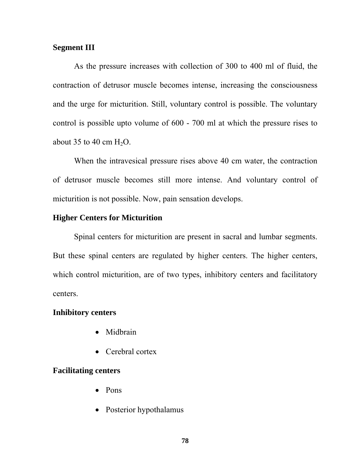#### **Segment III**

As the pressure increases with collection of 300 to 400 ml of fluid, the contraction of detrusor muscle becomes intense, increasing the consciousness and the urge for micturition. Still, voluntary control is possible. The voluntary control is possible upto volume of 600 - 700 ml at which the pressure rises to about 35 to 40 cm  $H_2O$ .

 When the intravesical pressure rises above 40 cm water, the contraction of detrusor muscle becomes still more intense. And voluntary control of micturition is not possible. Now, pain sensation develops.

#### **Higher Centers for Micturition**

Spinal centers for micturition are present in sacral and lumbar segments. But these spinal centers are regulated by higher centers. The higher centers, which control micturition, are of two types, inhibitory centers and facilitatory centers.

#### **Inhibitory centers**

- Midbrain
- Cerebral cortex

#### **Facilitating centers**

- Pons
- Posterior hypothalamus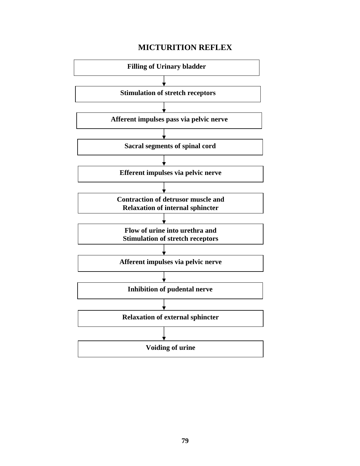#### **MICTURITION REFLEX**

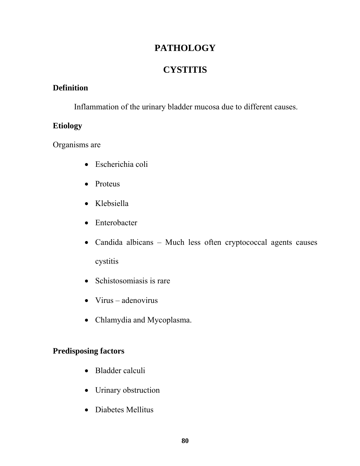# **PATHOLOGY**

# **CYSTITIS**

#### **Definition**

Inflammation of the urinary bladder mucosa due to different causes.

### **Etiology**

Organisms are

- Escherichia coli
- Proteus
- Klebsiella
- Enterobacter
- Candida albicans Much less often cryptococcal agents causes cystitis
- Schistosomiasis is rare
- Virus adenovirus
- Chlamydia and Mycoplasma.

### **Predisposing factors**

- Bladder calculi
- Urinary obstruction
- Diabetes Mellitus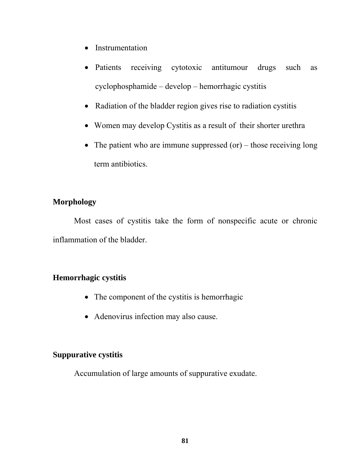- Instrumentation
- Patients receiving cytotoxic antitumour drugs such as cyclophosphamide – develop – hemorrhagic cystitis
- Radiation of the bladder region gives rise to radiation cystitis
- Women may develop Cystitis as a result of their shorter urethra
- The patient who are immune suppressed (or) those receiving long term antibiotics.

### **Morphology**

Most cases of cystitis take the form of nonspecific acute or chronic inflammation of the bladder.

### **Hemorrhagic cystitis**

- The component of the cystitis is hemorrhagic
- Adenovirus infection may also cause.

#### **Suppurative cystitis**

Accumulation of large amounts of suppurative exudate.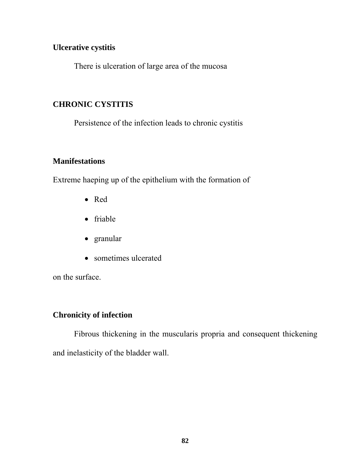#### **Ulcerative cystitis**

There is ulceration of large area of the mucosa

### **CHRONIC CYSTITIS**

Persistence of the infection leads to chronic cystitis

### **Manifestations**

Extreme haeping up of the epithelium with the formation of

- Red
- friable
- granular
- sometimes ulcerated

on the surface.

### **Chronicity of infection**

Fibrous thickening in the muscularis propria and consequent thickening and inelasticity of the bladder wall.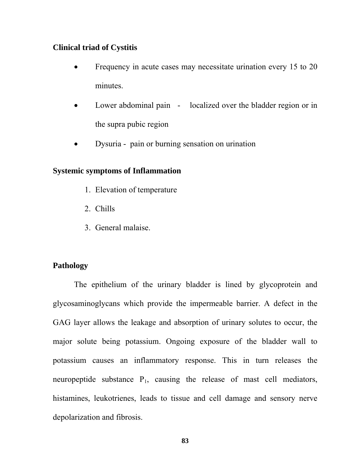#### **Clinical triad of Cystitis**

- Frequency in acute cases may necessitate urination every 15 to 20 minutes.
- Lower abdominal pain localized over the bladder region or in the supra pubic region
- Dysuria pain or burning sensation on urination

#### **Systemic symptoms of Inflammation**

- 1. Elevation of temperature
- 2. Chills
- 3. General malaise.

#### **Pathology**

The epithelium of the urinary bladder is lined by glycoprotein and glycosaminoglycans which provide the impermeable barrier. A defect in the GAG layer allows the leakage and absorption of urinary solutes to occur, the major solute being potassium. Ongoing exposure of the bladder wall to potassium causes an inflammatory response. This in turn releases the neuropeptide substance  $P_1$ , causing the release of mast cell mediators, histamines, leukotrienes, leads to tissue and cell damage and sensory nerve depolarization and fibrosis.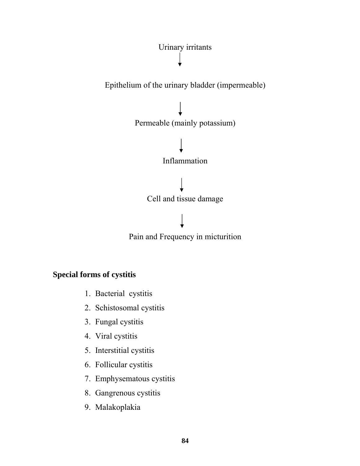

### **Special forms of cystitis**

- 1. Bacterial cystitis
- 2. Schistosomal cystitis
- 3. Fungal cystitis
- 4. Viral cystitis
- 5. Interstitial cystitis
- 6. Follicular cystitis
- 7. Emphysematous cystitis
- 8. Gangrenous cystitis
- 9. Malakoplakia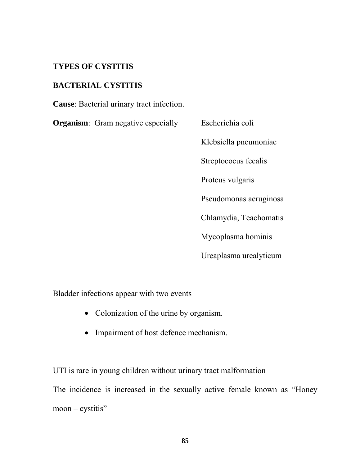#### **TYPES OF CYSTITIS**

#### **BACTERIAL CYSTITIS**

**Cause**: Bacterial urinary tract infection.

**Organism**: Gram negative especially Escherichia coli

Klebsiella pneumoniae Streptococus fecalis Proteus vulgaris Pseudomonas aeruginosa Chlamydia, Teachomatis Mycoplasma hominis Ureaplasma urealyticum

Bladder infections appear with two events

- Colonization of the urine by organism.
- Impairment of host defence mechanism.

UTI is rare in young children without urinary tract malformation The incidence is increased in the sexually active female known as "Honey moon – cystitis"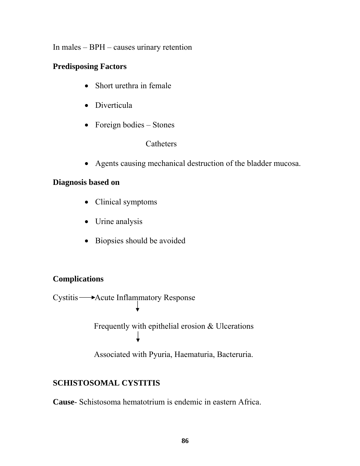In males – BPH – causes urinary retention

#### **Predisposing Factors**

- Short urethra in female
- Diverticula
- Foreign bodies Stones

#### **Catheters**

• Agents causing mechanical destruction of the bladder mucosa.

### **Diagnosis based on**

- Clinical symptoms
- Urine analysis
- Biopsies should be avoided

### **Complications**

Cystitis **- - > Acute Inflammatory Response** 

╈

Frequently with epithelial erosion & Ulcerations

Associated with Pyuria, Haematuria, Bacteruria.

# **SCHISTOSOMAL CYSTITIS**

**Cause**- Schistosoma hematotrium is endemic in eastern Africa.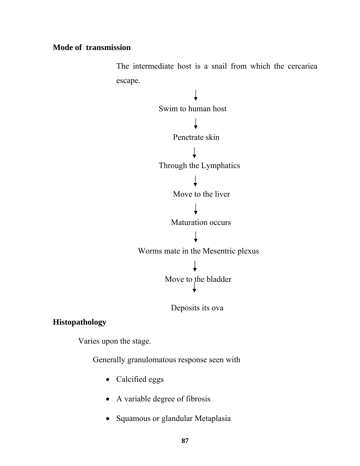#### **Mode of transmission**

The intermediate host is a snail from which the cercariea escape.



Deposits its ova

### **Histopathology**

Varies upon the stage.

Generally granulomatous response seen with

- Calcified eggs
- A variable degree of fibrosis
- Squamous or glandular Metaplasia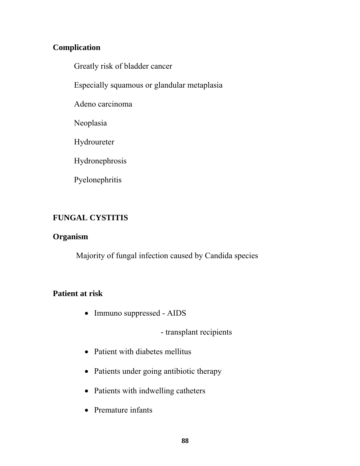### **Complication**

Greatly risk of bladder cancer

Especially squamous or glandular metaplasia

Adeno carcinoma

Neoplasia

Hydroureter

Hydronephrosis

Pyelonephritis

# **FUNGAL CYSTITIS**

### **Organism**

Majority of fungal infection caused by Candida species

# **Patient at risk**

• Immuno suppressed - AIDS

- transplant recipients

- Patient with diabetes mellitus
- Patients under going antibiotic therapy
- Patients with indwelling catheters
- Premature infants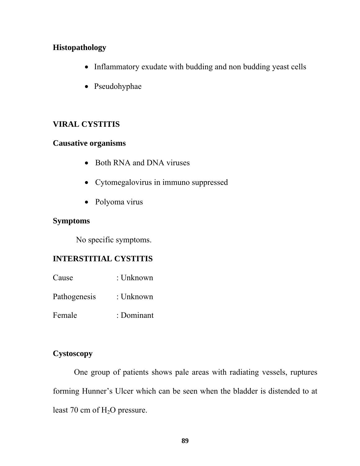#### **Histopathology**

- Inflammatory exudate with budding and non budding yeast cells
- Pseudohyphae

### **VIRAL CYSTITIS**

#### **Causative organisms**

- Both RNA and DNA viruses
- Cytomegalovirus in immuno suppressed
- Polyoma virus

#### **Symptoms**

No specific symptoms.

### **INTERSTITIAL CYSTITIS**

- Cause : Unknown
- Pathogenesis : Unknown
- Female : Dominant

#### **Cystoscopy**

 One group of patients shows pale areas with radiating vessels, ruptures forming Hunner's Ulcer which can be seen when the bladder is distended to at least 70 cm of  $H_2O$  pressure.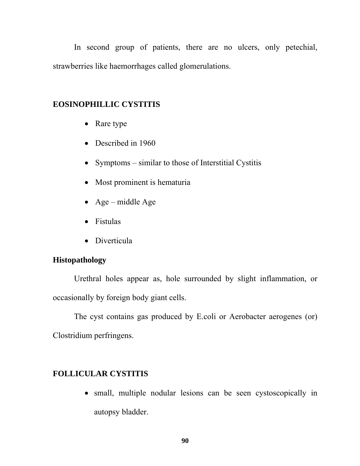In second group of patients, there are no ulcers, only petechial, strawberries like haemorrhages called glomerulations.

#### **EOSINOPHILLIC CYSTITIS**

- Rare type
- Described in 1960
- Symptoms similar to those of Interstitial Cystitis
- Most prominent is hematuria
- Age middle Age
- Fistulas
- Diverticula

#### **Histopathology**

Urethral holes appear as, hole surrounded by slight inflammation, or occasionally by foreign body giant cells.

The cyst contains gas produced by E.coli or Aerobacter aerogenes (or) Clostridium perfringens.

#### **FOLLICULAR CYSTITIS**

• small, multiple nodular lesions can be seen cystoscopically in autopsy bladder.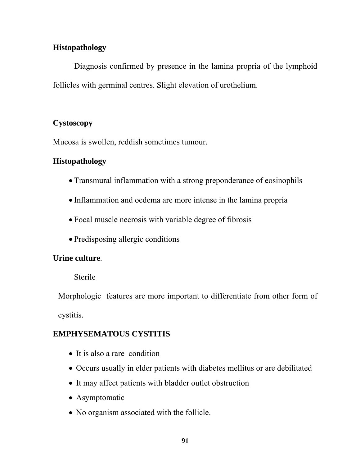### **Histopathology**

Diagnosis confirmed by presence in the lamina propria of the lymphoid follicles with germinal centres. Slight elevation of urothelium.

### **Cystoscopy**

Mucosa is swollen, reddish sometimes tumour.

### **Histopathology**

- Transmural inflammation with a strong preponderance of eosinophils
- Inflammation and oedema are more intense in the lamina propria
- Focal muscle necrosis with variable degree of fibrosis
- Predisposing allergic conditions

# **Urine culture**.

Sterile

Morphologic features are more important to differentiate from other form of cystitis.

# **EMPHYSEMATOUS CYSTITIS**

- It is also a rare condition
- Occurs usually in elder patients with diabetes mellitus or are debilitated
- It may affect patients with bladder outlet obstruction
- Asymptomatic
- No organism associated with the follicle.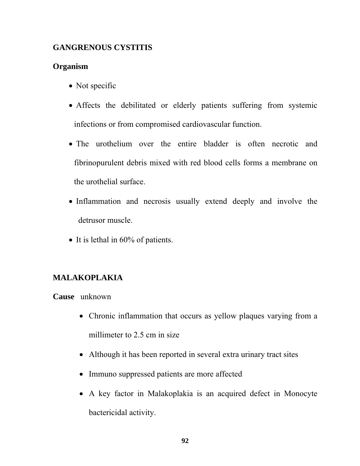### **GANGRENOUS CYSTITIS**

### **Organism**

- Not specific
- Affects the debilitated or elderly patients suffering from systemic infections or from compromised cardiovascular function.
- The urothelium over the entire bladder is often necrotic and fibrinopurulent debris mixed with red blood cells forms a membrane on the urothelial surface.
- Inflammation and necrosis usually extend deeply and involve the detrusor muscle.
- It is lethal in 60% of patients.

### **MALAKOPLAKIA**

**Cause** unknown

- Chronic inflammation that occurs as yellow plaques varying from a millimeter to 2.5 cm in size
- Although it has been reported in several extra urinary tract sites
- Immuno suppressed patients are more affected
- A key factor in Malakoplakia is an acquired defect in Monocyte bactericidal activity.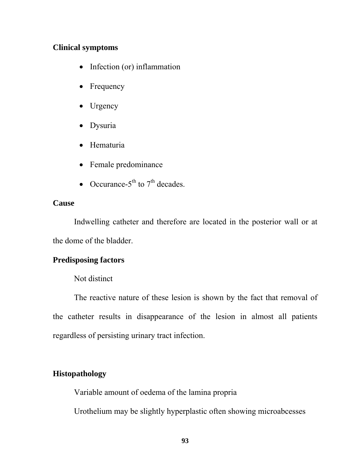#### **Clinical symptoms**

- Infection (or) inflammation
- Frequency
- Urgency
- Dysuria
- Hematuria
- Female predominance
- Occurance- $5<sup>th</sup>$  to  $7<sup>th</sup>$  decades.

#### **Cause**

Indwelling catheter and therefore are located in the posterior wall or at the dome of the bladder.

#### **Predisposing factors**

#### Not distinct

The reactive nature of these lesion is shown by the fact that removal of the catheter results in disappearance of the lesion in almost all patients regardless of persisting urinary tract infection.

#### **Histopathology**

Variable amount of oedema of the lamina propria

Urothelium may be slightly hyperplastic often showing microabcesses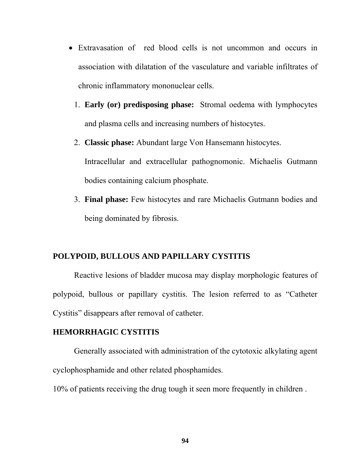- Extravasation of red blood cells is not uncommon and occurs in association with dilatation of the vasculature and variable infiltrates of chronic inflammatory mononuclear cells.
	- 1. **Early (or) predisposing phase:** Stromal oedema with lymphocytes and plasma cells and increasing numbers of histocytes.
	- 2. **Classic phase:** Abundant large Von Hansemann histocytes. Intracellular and extracellular pathognomonic. Michaelis Gutmann bodies containing calcium phosphate.
	- 3. **Final phase:** Few histocytes and rare Michaelis Gutmann bodies and being dominated by fibrosis.

#### **POLYPOID, BULLOUS AND PAPILLARY CYSTITIS**

Reactive lesions of bladder mucosa may display morphologic features of polypoid, bullous or papillary cystitis. The lesion referred to as "Catheter Cystitis" disappears after removal of catheter.

#### **HEMORRHAGIC CYSTITIS**

Generally associated with administration of the cytotoxic alkylating agent cyclophosphamide and other related phosphamides.

10% of patients receiving the drug tough it seen more frequently in children .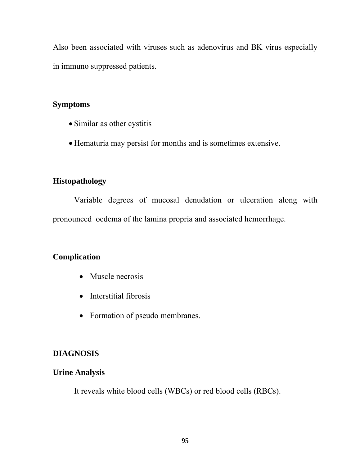Also been associated with viruses such as adenovirus and BK virus especially in immuno suppressed patients.

#### **Symptoms**

- Similar as other cystitis
- Hematuria may persist for months and is sometimes extensive.

### **Histopathology**

Variable degrees of mucosal denudation or ulceration along with pronounced oedema of the lamina propria and associated hemorrhage.

# **Complication**

- Muscle necrosis
- Interstitial fibrosis
- Formation of pseudo membranes.

# **DIAGNOSIS**

### **Urine Analysis**

It reveals white blood cells (WBCs) or red blood cells (RBCs).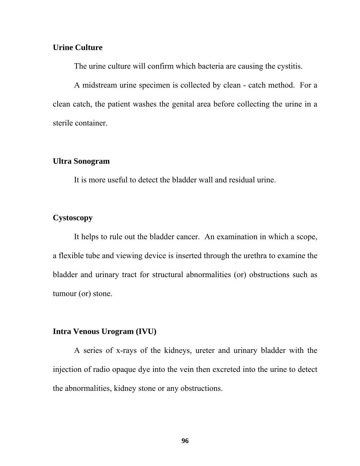#### **Urine Culture**

The urine culture will confirm which bacteria are causing the cystitis.

A midstream urine specimen is collected by clean - catch method. For a clean catch, the patient washes the genital area before collecting the urine in a sterile container.

#### **Ultra Sonogram**

It is more useful to detect the bladder wall and residual urine.

#### **Cystoscopy**

It helps to rule out the bladder cancer. An examination in which a scope, a flexible tube and viewing device is inserted through the urethra to examine the bladder and urinary tract for structural abnormalities (or) obstructions such as tumour (or) stone.

#### **Intra Venous Urogram (IVU)**

A series of x-rays of the kidneys, ureter and urinary bladder with the injection of radio opaque dye into the vein then excreted into the urine to detect the abnormalities, kidney stone or any obstructions.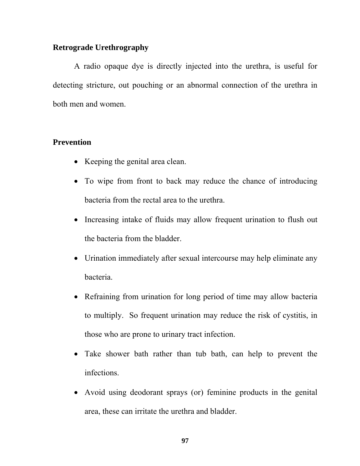#### **Retrograde Urethrography**

A radio opaque dye is directly injected into the urethra, is useful for detecting stricture, out pouching or an abnormal connection of the urethra in both men and women.

#### **Prevention**

- Keeping the genital area clean.
- To wipe from front to back may reduce the chance of introducing bacteria from the rectal area to the urethra.
- Increasing intake of fluids may allow frequent urination to flush out the bacteria from the bladder.
- Urination immediately after sexual intercourse may help eliminate any bacteria.
- Refraining from urination for long period of time may allow bacteria to multiply. So frequent urination may reduce the risk of cystitis, in those who are prone to urinary tract infection.
- Take shower bath rather than tub bath, can help to prevent the infections.
- Avoid using deodorant sprays (or) feminine products in the genital area, these can irritate the urethra and bladder.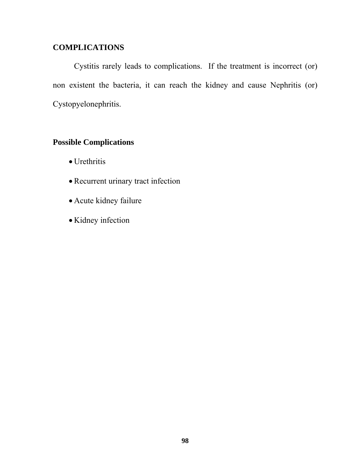### **COMPLICATIONS**

 Cystitis rarely leads to complications. If the treatment is incorrect (or) non existent the bacteria, it can reach the kidney and cause Nephritis (or) Cystopyelonephritis.

#### **Possible Complications**

- Urethritis
- Recurrent urinary tract infection
- Acute kidney failure
- Kidney infection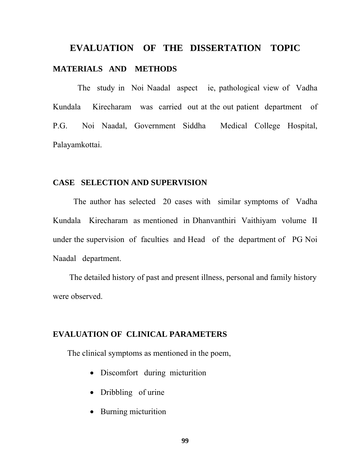# **EVALUATION OF THE DISSERTATION TOPIC MATERIALS AND METHODS**

 The study in Noi Naadal aspect ie, pathological view of Vadha Kundala Kirecharam was carried out at the out patient department of P.G. Noi Naadal, Government Siddha Medical College Hospital, Palayamkottai.

#### **CASE SELECTION AND SUPERVISION**

 The author has selected 20 cases with similar symptoms of Vadha Kundala Kirecharam as mentioned in Dhanvanthiri Vaithiyam volume II under the supervision of faculties and Head of the department of PG Noi Naadal department.

 The detailed history of past and present illness, personal and family history were observed.

#### **EVALUATION OF CLINICAL PARAMETERS**

The clinical symptoms as mentioned in the poem,

- Discomfort during micturition
- Dribbling of urine
- Burning micturition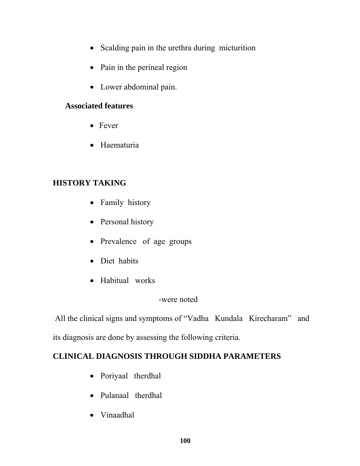- Scalding pain in the urethra during micturition
- Pain in the perineal region
- Lower abdominal pain.

### **Associated features**

- Fever
- Haematuria

# **HISTORY TAKING**

- Family history
- Personal history
- Prevalence of age groups
- Diet habits
- Habitual works

### -were noted

 All the clinical signs and symptoms of "Vadha Kundala Kirecharam" and its diagnosis are done by assessing the following criteria.

# **CLINICAL DIAGNOSIS THROUGH SIDDHA PARAMETERS**

- Poriyaal therdhal
- Pulanaal therdhal
- Vinaadhal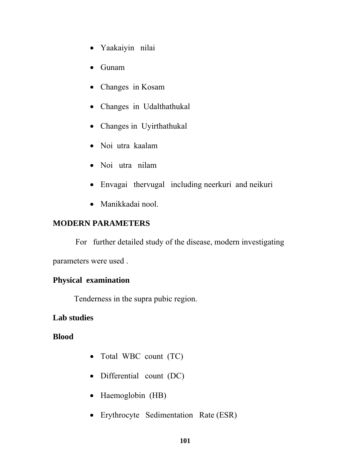- Yaakaiyin nilai
- Gunam
- Changes in Kosam
- Changes in Udalthathukal
- Changes in Uyirthathukal
- Noi utra kaalam
- Noi utra nilam
- Envagai thervugal including neerkuri and neikuri
- Manikkadai nool.

### **MODERN PARAMETERS**

 For further detailed study of the disease, modern investigating parameters were used .

### **Physical examination**

Tenderness in the supra pubic region.

### **Lab studies**

**Blood** 

- Total WBC count (TC)
- Differential count (DC)
- Haemoglobin (HB)
- Erythrocyte Sedimentation Rate (ESR)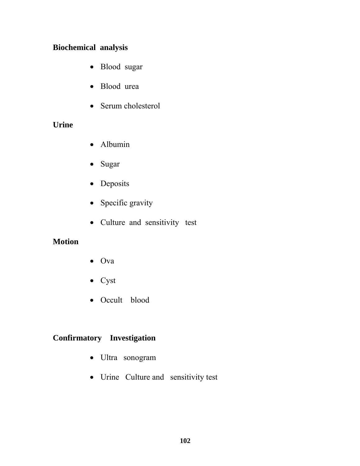### **Biochemical analysis**

- Blood sugar
- Blood urea
- Serum cholesterol

### **Urine**

- Albumin
- Sugar
- Deposits
- Specific gravity
- Culture and sensitivity test

### **Motion**

- Ova
- Cyst
- Occult blood

# **Confirmatory Investigation**

- Ultra sonogram
- Urine Culture and sensitivity test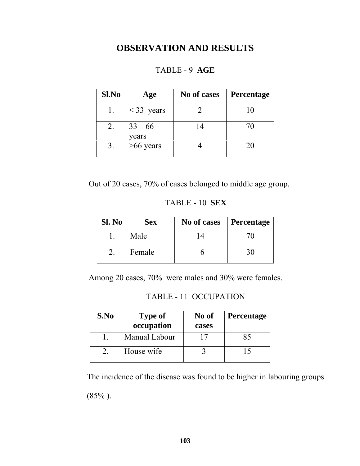# **OBSERVATION AND RESULTS**

| Sl.No | Age                | No of cases | Percentage |
|-------|--------------------|-------------|------------|
|       | $<$ 33 years       |             | 10         |
|       | $33 - 66$<br>years | 14          | 70         |
|       | $>66$ years        |             | 20         |

### TABLE - 9 **AGE**

Out of 20 cases, 70% of cases belonged to middle age group.

#### TABLE - 10 **SEX**

| Sl. No | <b>Sex</b> | No of cases | Percentage |
|--------|------------|-------------|------------|
|        | Male       |             |            |
|        | Female     |             |            |

Among 20 cases, 70% were males and 30% were females.

TABLE - 11 OCCUPATION

| S.No | <b>Type of</b><br>occupation | No of<br>cases | <b>Percentage</b> |
|------|------------------------------|----------------|-------------------|
|      | Manual Labour                |                | X5                |
|      | House wife                   |                |                   |

The incidence of the disease was found to be higher in labouring groups (85% ).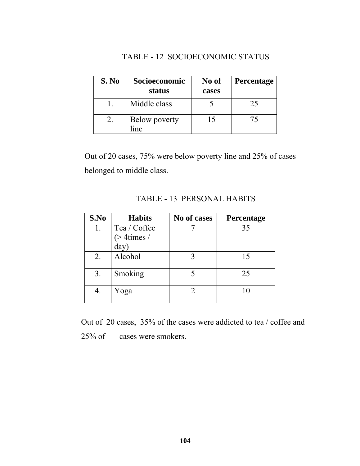### TABLE - 12SOCIOECONOMIC STATUS

| S. No | Socioeconomic<br>status          | No of<br>cases | <b>Percentage</b> |
|-------|----------------------------------|----------------|-------------------|
|       | Middle class                     |                | 25                |
|       | Below poverty<br><sub>1</sub> ne | 15             | 75                |

Out of 20 cases, 75% were below poverty line and 25% of cases belonged to middle class.

| S.No | <b>Habits</b>   | No of cases | <b>Percentage</b> |
|------|-----------------|-------------|-------------------|
| 1.   | Tea / Coffee    |             | 35                |
|      | $($ > 4 times / |             |                   |
|      | day)            |             |                   |
| 2.   | Alcohol         |             | 15                |
| 3.   | Smoking         |             | 25                |
| 4.   | Yoga            |             |                   |

TABLE - 13PERSONAL HABITS

Out of 20 cases, 35% of the cases were addicted to tea / coffee and 25% of cases were smokers.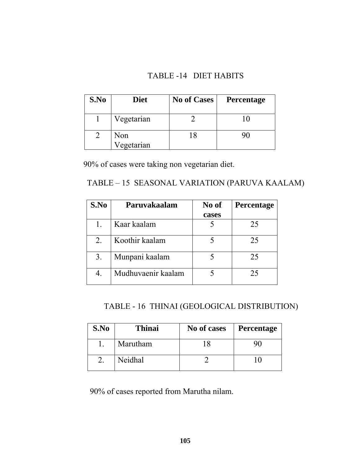### TABLE -14 DIET HABITS

| S.No | <b>Diet</b>       | <b>No of Cases</b> | <b>Percentage</b> |
|------|-------------------|--------------------|-------------------|
|      | Vegetarian        |                    |                   |
|      | Non<br>Vegetarian | 18                 |                   |

90% of cases were taking non vegetarian diet.

# TABLE – 15 SEASONAL VARIATION (PARUVA KAALAM)

| S.No | Paruvakaalam       | No of | <b>Percentage</b> |
|------|--------------------|-------|-------------------|
|      |                    | cases |                   |
|      | Kaar kaalam        |       | 25                |
| 2.   | Koothir kaalam     |       | 25                |
| 3.   | Munpani kaalam     |       | 25                |
| 4.   | Mudhuvaenir kaalam |       | 25                |

# TABLE - 16THINAI (GEOLOGICAL DISTRIBUTION)

| S.No | <b>Thinai</b> | No of cases | <b>Percentage</b> |
|------|---------------|-------------|-------------------|
|      | Marutham      |             |                   |
|      | Neidhal       |             |                   |

90% of cases reported from Marutha nilam.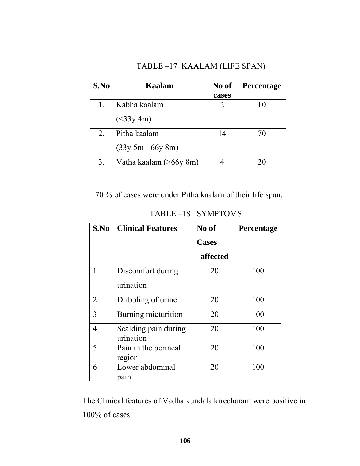# TABLE –17KAALAM (LIFE SPAN)

| S.No | Kaalam                 | No of | <b>Percentage</b> |
|------|------------------------|-------|-------------------|
|      |                        | cases |                   |
| 1.   | Kabha kaalam           | 2     | 10                |
|      | (<33y 4m)              |       |                   |
| 2.   | Pitha kaalam           | 14    | 70                |
|      | $(33y 5m - 66y 8m)$    |       |                   |
| 3.   | Vatha kaalam (>66y 8m) |       | 20                |
|      |                        |       |                   |

70 % of cases were under Pitha kaalam of their life span.

|  | TABLE-18 SYMPTOMS |
|--|-------------------|
|--|-------------------|

| S.No | <b>Clinical Features</b>          | No of        | Percentage |
|------|-----------------------------------|--------------|------------|
|      |                                   | <b>Cases</b> |            |
|      |                                   | affected     |            |
|      | Discomfort during                 | 20           | 100        |
|      | urination                         |              |            |
| 2    | Dribbling of urine                | 20           | 100        |
| 3    | Burning micturition               | 20           | 100        |
| 4    | Scalding pain during<br>urination | 20           | 100        |
| 5    | Pain in the perineal<br>region    | 20           | 100        |
| 6    | Lower abdominal<br>pain           | 20           | 100        |

The Clinical features of Vadha kundala kirecharam were positive in 100% of cases.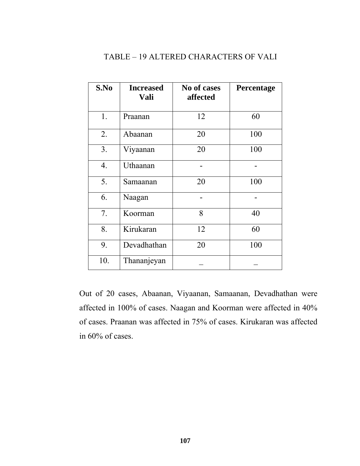# TABLE – 19 ALTERED CHARACTERS OF VALI

| S.No | <b>Increased</b><br>Vali | No of cases<br>affected | Percentage |
|------|--------------------------|-------------------------|------------|
| 1.   | Praanan                  | 12                      | 60         |
| 2.   | Abaanan                  | 20                      | 100        |
| 3.   | Viyaanan                 | 20                      | 100        |
| 4.   | Uthaanan                 |                         |            |
| 5.   | Samaanan                 | 20                      | 100        |
| 6.   | Naagan                   |                         |            |
| 7.   | Koorman                  | 8                       | 40         |
| 8.   | Kirukaran                | 12                      | 60         |
| 9.   | Devadhathan              | 20                      | 100        |
| 10.  | Thananjeyan              |                         |            |

Out of 20 cases, Abaanan, Viyaanan, Samaanan, Devadhathan were affected in 100% of cases. Naagan and Koorman were affected in 40% of cases. Praanan was affected in 75% of cases. Kirukaran was affected in 60% of cases.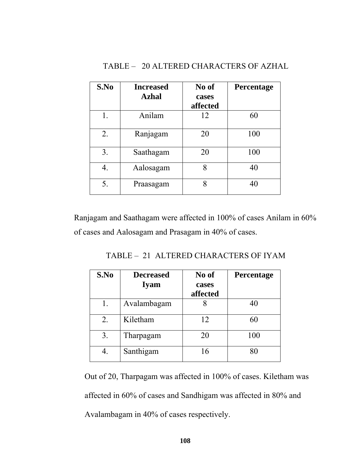| S.No | <b>Increased</b> | No of    | Percentage |
|------|------------------|----------|------------|
|      | <b>Azhal</b>     | cases    |            |
|      |                  | affected |            |
| 1.   | Anilam           | 12       | 60         |
| 2.   | Ranjagam         | 20       | 100        |
| 3.   | Saathagam        | 20       | 100        |
| 4.   | Aalosagam        | 8        | 40         |
| 5.   | Praasagam        | 8        | 40         |

Ranjagam and Saathagam were affected in 100% of cases Anilam in 60% of cases and Aalosagam and Prasagam in 40% of cases.

TABLE – 21ALTERED CHARACTERS OF IYAM

| S.No | <b>Decreased</b><br><b>Iyam</b> | No of<br>cases<br>affected | <b>Percentage</b> |
|------|---------------------------------|----------------------------|-------------------|
| 1.   | Avalambagam                     |                            | 40                |
| 2.   | Kiletham                        | 12                         | 60                |
| 3.   | Tharpagam                       | 20                         | 100               |
|      | Santhigam                       | 16                         | 80                |

Out of 20, Tharpagam was affected in 100% of cases. Kiletham was affected in 60% of cases and Sandhigam was affected in 80% and Avalambagam in 40% of cases respectively.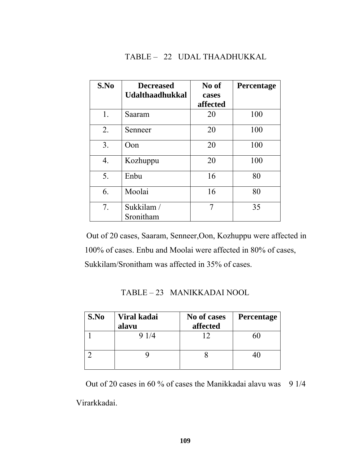#### TABLE – 22UDAL THAADHUKKAL

| S.No | <b>Decreased</b><br><b>Udalthaadhukkal</b> | No of<br>cases<br>affected | Percentage |
|------|--------------------------------------------|----------------------------|------------|
| 1.   | Saaram                                     | 20                         | 100        |
| 2.   | Senneer                                    | 20                         | 100        |
| 3.   | Oon                                        | 20                         | 100        |
| 4.   | Kozhuppu                                   | 20                         | 100        |
| 5.   | Enbu                                       | 16                         | 80         |
| 6.   | Moolai                                     | 16                         | 80         |
| 7.   | Sukkilam /<br>Sronitham                    | 7                          | 35         |

Out of 20 cases, Saaram, Senneer,Oon, Kozhuppu were affected in 100% of cases. Enbu and Moolai were affected in 80% of cases, Sukkilam/Sronitham was affected in 35% of cases.

| TABLE – 23 MANIKKADAI NOOL |
|----------------------------|
|                            |

| S.No | Viral kadai | No of cases | Percentage |
|------|-------------|-------------|------------|
|      | alavu       | affected    |            |
|      | 9 1/4       |             |            |
|      |             |             |            |
|      |             |             |            |
|      |             |             |            |

Out of 20 cases in 60 % of cases the Manikkadai alavu was 9 1/4

Virarkkadai.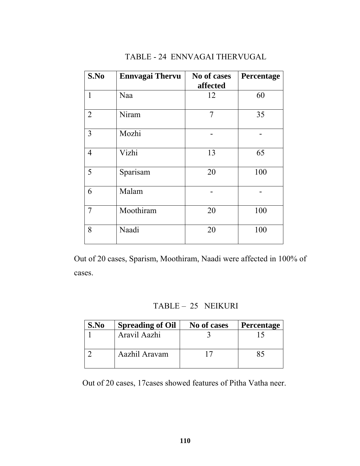| S.No           | <b>Ennvagai Thervu</b> | No of cases<br>affected | Percentage |
|----------------|------------------------|-------------------------|------------|
| 1              | Naa                    | 12                      | 60         |
| $\overline{2}$ | Niram                  | 7                       | 35         |
| 3              | Mozhi                  |                         |            |
| $\overline{4}$ | Vizhi                  | 13                      | 65         |
| 5              | Sparisam               | 20                      | 100        |
| 6              | Malam                  |                         |            |
| $\overline{7}$ | Moothiram              | 20                      | 100        |
| 8              | Naadi                  | 20                      | 100        |

# TABLE - 24ENNVAGAI THERVUGAL

Out of 20 cases, Sparism, Moothiram, Naadi were affected in 100% of cases.

# TABLE – 25 NEIKURI

| S.No | <b>Spreading of Oil</b> | No of cases | <b>Percentage</b> |
|------|-------------------------|-------------|-------------------|
|      | Aravil Aazhi            |             |                   |
|      | Aazhil Aravam           |             |                   |
|      |                         |             |                   |

Out of 20 cases, 17cases showed features of Pitha Vatha neer.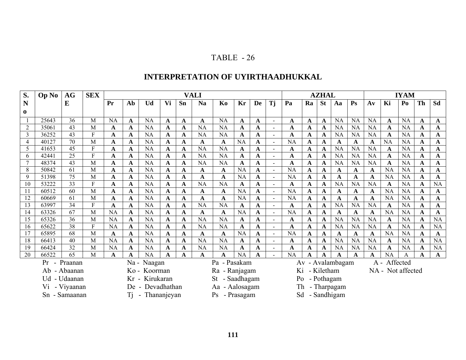# **INTERPRETATION OF UYIRTHAADHUKKAL**

| S.             | Op No                                                                  | AG           | <b>SEX</b>          |                        | <b>VALI</b>      |                        |                      |             |                                 |                                  |                |                  |                          |                |                  | <b>AZHAL</b>               |                        |                        | <b>IYAM</b>       |                          |                        |                            |                 |
|----------------|------------------------------------------------------------------------|--------------|---------------------|------------------------|------------------|------------------------|----------------------|-------------|---------------------------------|----------------------------------|----------------|------------------|--------------------------|----------------|------------------|----------------------------|------------------------|------------------------|-------------------|--------------------------|------------------------|----------------------------|-----------------|
| N              |                                                                        | E            |                     | Pr                     | Ab               | Ud                     | Vi                   | Sn          | <b>Na</b>                       | Ko                               | Kr             | <b>De</b>        | Tj                       | Pa             | Ra               | <b>St</b>                  | Aa                     | $\mathbf{P}\mathbf{s}$ | $A\mathbf{v}$     | Ki                       | Po                     | Th                         | Sd              |
| 0              |                                                                        |              |                     |                        |                  |                        |                      |             |                                 |                                  |                |                  |                          |                |                  |                            |                        |                        |                   |                          |                        |                            |                 |
|                | 25643                                                                  | 36           | M                   | <b>NA</b>              | A                | <b>NA</b>              | A                    | A           | A                               | <b>NA</b>                        | A              | A                | $\sim$                   | A              | A                | A                          | <b>NA</b>              | NA                     | <b>NA</b>         | A                        | <b>NA</b>              | $\mathbf A$                | A               |
| $\overline{2}$ | 35061                                                                  | 43           | M                   | A                      | $\mathbf A$      | <b>NA</b>              | A                    | A           | <b>NA</b>                       | <b>NA</b>                        | A              | $\mathbf A$      | $\sim$                   | A              | A                | $\mathbf{A}$               | <b>NA</b>              | <b>NA</b>              | NA                | $\mathbf A$              | <b>NA</b>              | $\mathbf{A}$               | A               |
| $\mathfrak{Z}$ | 36252                                                                  | 43           | F                   | A                      | A                | NA                     | A                    | A           | <b>NA</b>                       | <b>NA</b>                        | A              | A                | $\overline{\phantom{a}}$ | A              | A                | A                          | <b>NA</b>              | NA                     | NA                | A                        | <b>NA</b>              | $\mathbf A$                | A               |
| 4              | 40127                                                                  | 70           | M                   | A                      | $\mathbf{A}$     | <b>NA</b>              | A                    | $\mathbf A$ | A                               | $\mathbf A$                      | <b>NA</b>      | $\mathbf A$      | $\sim$                   | <b>NA</b>      | $\mathbf A$      | $\mathbf A$                | A                      | $\mathbf A$            | $\mathbf A$       | NA                       | NA                     | $\mathbf{A}$               | A               |
|                | 41653                                                                  | 45           | F                   | A                      | A                | <b>NA</b>              | A                    | A           | <b>NA</b>                       | <b>NA</b>                        | A              | A                | $\blacksquare$           | A              | A                | A                          | <b>NA</b>              | <b>NA</b>              | NA                | A                        | <b>NA</b>              | $\mathbf A$                | A               |
| 6              | 42441                                                                  | 25           | F                   | A                      | $\mathbf A$      | <b>NA</b>              | A                    | A           | <b>NA</b>                       | <b>NA</b>                        | A              | $\mathbf A$      | $\blacksquare$           | A              | A                | $\mathbf A$                | <b>NA</b>              | <b>NA</b>              | NA                | $\mathbf A$              | <b>NA</b>              | $\mathbf{A}$               | A               |
|                | 48374                                                                  | 43           | M                   | A                      | A                | <b>NA</b>              | A                    | A           | <b>NA</b>                       | <b>NA</b>                        | $\mathbf{A}$   | $\mathbf A$      | $\overline{\phantom{a}}$ | A              | A                | A                          | <b>NA</b>              | $\rm NA$               | NA                | A                        | <b>NA</b>              | $\mathbf A$                | A               |
| 8              | 50842                                                                  | 61           | M                   | $\mathbf A$            | $\mathbf{A}$     | <b>NA</b>              | A                    | A           | A                               | $\mathbf A$                      | <b>NA</b>      | $\mathbf A$      | $\sim$                   | <b>NA</b>      | $\mathbf A$      | $\mathbf A$                | A                      | $\mathbf A$            | $\mathbf A$       | <b>NA</b>                | <b>NA</b>              | $\mathbf{A}$               | A               |
| 9              | 51398                                                                  | 75           | M                   | A                      | A                | <b>NA</b>              | A                    | A           | A                               | A                                | <b>NA</b>      | $\mathbf A$      | $\overline{\phantom{a}}$ | <b>NA</b>      | A                | A                          | A                      | A                      | A                 | <b>NA</b>                | <b>NA</b>              | $\mathbf A$                | A               |
| 10             | 53222                                                                  | 33           | F                   | A                      | A                | <b>NA</b>              | A                    | A           | <b>NA</b>                       | <b>NA</b>                        | A              | $\mathbf A$      | $\overline{\phantom{a}}$ | A              | A                | $\mathbf A$                | <b>NA</b>              | <b>NA</b>              | $\rm NA$          | $\mathbf A$              | <b>NA</b>              | $\mathbf A$                | <b>NA</b>       |
|                | 60512                                                                  | 60           | M                   | A                      | A                | <b>NA</b>              | A                    | A           | A                               | A                                | <b>NA</b>      | $\mathbf A$      | $\overline{\phantom{a}}$ | <b>NA</b>      | A                | A                          | A                      | A                      | A                 | NA                       | <b>NA</b>              | $\mathbf A$                | A               |
| 12             | 60669                                                                  | 61           | M                   | $\mathbf A$            | $\mathbf A$      | <b>NA</b>              | A                    | A           | A                               | A                                | <b>NA</b>      | $\mathbf A$      | $\sim$                   | <b>NA</b>      | A                | $\mathbf{A}$               | A                      | $\mathbf A$            | $\mathbf A$       | <b>NA</b>                | <b>NA</b>              | $\mathbf{A}$               | A               |
| 13             | 63997                                                                  | 34           | F                   | A                      | A                | <b>NA</b>              | A                    | A           | <b>NA</b>                       | <b>NA</b>                        | A              | A                | $\overline{\phantom{a}}$ | A              | A                | A                          | <b>NA</b>              | <b>NA</b>              | NA                | A                        | <b>NA</b>              | $\mathbf A$                | A               |
| 14             | 63326                                                                  | 67           | M                   | <b>NA</b>              | $\mathbf A$      | <b>NA</b>              | A                    | A           | A                               | $\mathbf A$                      | <b>NA</b>      | $\mathbf A$      | $\blacksquare$           | <b>NA</b>      | A                | $\mathbf A$                | A                      | $\mathbf A$            | $\mathbf A$       | <b>NA</b>                | <b>NA</b>              | $\mathbf A$                | A               |
| 15<br>16       | 65326<br>65622                                                         | 36<br>38     | M<br>$\overline{F}$ | <b>NA</b><br><b>NA</b> | $\mathbf A$      | <b>NA</b><br><b>NA</b> | A                    | A           | <b>NA</b><br><b>NA</b>          | <b>NA</b><br>NA                  | A              | A                | $\sim$                   | A              | A                | $\mathbf A$                | <b>NA</b><br><b>NA</b> | NA<br>NA               | NA<br>NA          | A                        | <b>NA</b><br><b>NA</b> | $\mathbf A$                | <b>NA</b><br>NA |
| 17             | 65895                                                                  | 68           | M                   | A                      | $\mathbf A$<br>A | <b>NA</b>              | A<br>A               | A           | A                               | A                                | A<br><b>NA</b> | $\mathbf A$<br>A | $\sim$<br>$\sim$         | A<br><b>NA</b> | $\mathbf A$      | $\mathbf A$<br>$\mathbf A$ | A                      | A                      | A                 | $\mathbf A$<br><b>NA</b> | <b>NA</b>              | $\mathbf A$<br>$\mathbf A$ |                 |
| 18             | 66413                                                                  | 40           | M                   | <b>NA</b>              | $\mathbf A$      | <b>NA</b>              | A                    | A<br>A      | <b>NA</b>                       | <b>NA</b>                        | $\mathbf A$    | $\mathbf A$      | $\overline{\phantom{a}}$ | A              | A<br>$\mathbf A$ | $\mathbf{A}$               | <b>NA</b>              | NA                     | NA                | $\mathbf A$              | <b>NA</b>              | $\mathbf A$                | A<br>NA         |
| 19             | 66424                                                                  | 32           | M                   | <b>NA</b>              | A                | <b>NA</b>              | A                    | A           | <b>NA</b>                       | NA                               | A              | A                | $\sim$                   | A              | A                | A                          | <b>NA</b>              | NA                     | NA                | A                        | <b>NA</b>              | $\mathbf A$                | NA              |
| 20             | 66522                                                                  | 65           | M                   | $\mathbf A$            | A                | <b>NA</b>              | A                    | A           | A                               | A                                | <b>NA</b>      | A                | $\sim$                   | <b>NA</b>      | A                | A                          |                        | A                      | A                 | <b>NA</b>                | A                      | $\mathbf A$                | A               |
|                |                                                                        | Pr - Praanan |                     |                        | Na - Naagan      |                        |                      |             | Pa - Pasakam                    |                                  |                |                  | Av - Avalambagam         |                |                  |                            |                        | A - Affected           |                   |                          |                        |                            |                 |
|                |                                                                        | Ab - Abaanan |                     |                        | Ko - Koorman     |                        |                      |             |                                 |                                  |                |                  | - Kiletham<br>Ki         |                |                  |                            |                        |                        | NA - Not affected |                          |                        |                            |                 |
|                |                                                                        | Ud - Udaanan |                     |                        | Kr - Kirukaran   |                        |                      |             | Ra - Ranjagam<br>St - Saadhagam |                                  |                |                  | - Pothagam<br>Po         |                |                  |                            |                        |                        |                   |                          |                        |                            |                 |
|                |                                                                        |              |                     |                        |                  |                        | Aa - Aalosagam<br>Th |             |                                 |                                  |                |                  |                          |                |                  |                            |                        |                        |                   |                          |                        |                            |                 |
|                | Vi - Viyaanan<br>- Devadhathan<br>De<br>Sn - Samaanan<br>- Thananjeyan |              |                     |                        |                  |                        |                      |             |                                 | - Tharpagam<br>- Sandhigam<br>Sd |                |                  |                          |                |                  |                            |                        |                        |                   |                          |                        |                            |                 |
|                |                                                                        |              |                     |                        | Тi               |                        |                      |             |                                 | Ps - Prasagam                    |                |                  |                          |                |                  |                            |                        |                        |                   |                          |                        |                            |                 |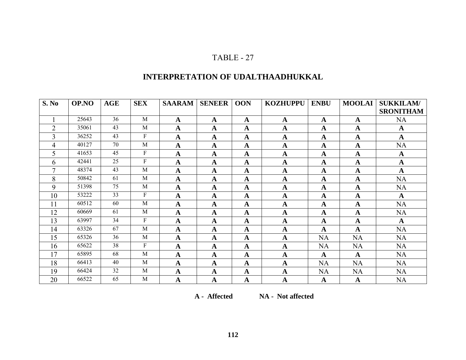# **INTERPRETATION OF UDALTHAADHUKKAL**

| S. No          | OP.NO | <b>AGE</b> | <b>SEX</b> | <b>SAARAM</b> | <b>SENEER</b> | <b>OON</b>   | <b>KOZHUPPU</b> | <b>ENBU</b> | <b>MOOLAI</b> | <b>SUKKILAM/</b> |
|----------------|-------|------------|------------|---------------|---------------|--------------|-----------------|-------------|---------------|------------------|
|                |       |            |            |               |               |              |                 |             |               | <b>SRONITHAM</b> |
| $\mathbf{1}$   | 25643 | 36         | M          | $\mathbf A$   | $\mathbf A$   | $\mathbf A$  | $\mathbf A$     | $\mathbf A$ | $\mathbf A$   | <b>NA</b>        |
| $\overline{2}$ | 35061 | 43         | M          | $\mathbf A$   | $\mathbf A$   | $\mathbf A$  | $\mathbf A$     | $\mathbf A$ | $\mathbf A$   | $\mathbf A$      |
| 3              | 36252 | 43         | ${\bf F}$  | $\mathbf A$   | $\mathbf A$   | $\mathbf A$  | $\mathbf A$     | $\mathbf A$ | $\mathbf A$   | $\mathbf A$      |
| 4              | 40127 | 70         | M          | $\mathbf A$   | $\mathbf A$   | $\mathbf A$  | $\mathbf A$     | $\mathbf A$ | $\mathbf A$   | <b>NA</b>        |
| 5              | 41653 | 45         | ${\bf F}$  | $\mathbf A$   | $\mathbf A$   | $\mathbf A$  | $\mathbf A$     | $\mathbf A$ | $\mathbf A$   | $\mathbf A$      |
| 6              | 42441 | 25         | ${\bf F}$  | $\mathbf A$   | $\mathbf A$   | $\mathbf A$  | $\mathbf A$     | $\mathbf A$ | $\mathbf A$   | $\mathbf A$      |
| 7              | 48374 | 43         | M          | $\mathbf A$   | $\mathbf A$   | $\mathbf A$  | $\mathbf A$     | $\mathbf A$ | $\mathbf A$   | $\mathbf{A}$     |
| 8              | 50842 | 61         | M          | $\mathbf A$   | $\mathbf A$   | $\mathbf A$  | $\mathbf A$     | $\mathbf A$ | $\mathbf A$   | <b>NA</b>        |
| 9              | 51398 | 75         | M          | $\mathbf A$   | $\mathbf A$   | $\mathbf A$  | $\mathbf A$     | $\mathbf A$ | $\mathbf A$   | <b>NA</b>        |
| 10             | 53222 | 33         | ${\bf F}$  | $\mathbf A$   | $\mathbf A$   | $\mathbf A$  | $\mathbf A$     | $\mathbf A$ | $\mathbf A$   | $\mathbf A$      |
| 11             | 60512 | 60         | M          | $\mathbf A$   | $\mathbf A$   | A            | $\mathbf A$     | $\mathbf A$ | $\mathbf A$   | <b>NA</b>        |
| 12             | 60669 | 61         | M          | $\mathbf A$   | $\mathbf A$   | $\mathbf A$  | $\mathbf A$     | $\mathbf A$ | $\mathbf A$   | <b>NA</b>        |
| 13             | 63997 | 34         | ${\bf F}$  | $\mathbf A$   | $\mathbf A$   | $\mathbf A$  | $\mathbf A$     | $\mathbf A$ | $\mathbf A$   | $\mathbf A$      |
| 14             | 63326 | 67         | M          | $\mathbf A$   | $\mathbf A$   | $\mathbf A$  | $\mathbf A$     | $\mathbf A$ | $\mathbf A$   | <b>NA</b>        |
| 15             | 65326 | 36         | M          | $\mathbf A$   | $\mathbf A$   | $\mathbf A$  | $\mathbf A$     | <b>NA</b>   | <b>NA</b>     | <b>NA</b>        |
| 16             | 65622 | 38         | ${\bf F}$  | $\mathbf A$   | $\mathbf A$   | $\mathbf A$  | $\mathbf A$     | <b>NA</b>   | <b>NA</b>     | <b>NA</b>        |
| 17             | 65895 | 68         | M          | $\mathbf A$   | $\mathbf A$   | $\mathbf A$  | $\mathbf A$     | $\mathbf A$ | $\mathbf A$   | <b>NA</b>        |
| 18             | 66413 | 40         | M          | $\mathbf A$   | $\mathbf A$   | $\mathbf A$  | $\mathbf A$     | <b>NA</b>   | <b>NA</b>     | NA               |
| 19             | 66424 | 32         | M          | $\mathbf A$   | $\mathbf A$   | $\mathbf A$  | $\mathbf A$     | <b>NA</b>   | <b>NA</b>     | <b>NA</b>        |
| 20             | 66522 | 65         | M          | $\mathbf A$   | $\mathbf A$   | $\mathbf{A}$ | $\mathbf A$     | $\mathbf A$ | $\mathbf A$   | <b>NA</b>        |

**A - Affected NA - Not affected**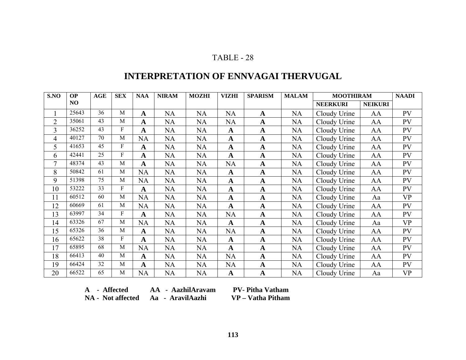# **INTERPRETATION OF ENNVAGAI THERVUGAL**

| S.NO           | <b>OP</b> | AGE | <b>SEX</b>   | <b>NAA</b>   | <b>NIRAM</b> | <b>MOZHI</b> | <b>VIZHI</b> | <b>SPARISM</b> | <b>MALAM</b> | <b>MOOTHIRAM</b> |                | <b>NAADI</b> |
|----------------|-----------|-----|--------------|--------------|--------------|--------------|--------------|----------------|--------------|------------------|----------------|--------------|
|                | NO        |     |              |              |              |              |              |                |              | <b>NEERKURI</b>  | <b>NEIKURI</b> |              |
|                | 25643     | 36  | M            | $\mathbf A$  | <b>NA</b>    | <b>NA</b>    | <b>NA</b>    | A              | <b>NA</b>    | Cloudy Urine     | AA             | PV           |
| $\overline{2}$ | 35061     | 43  | M            | $\mathbf A$  | NA           | NA           | <b>NA</b>    | $\mathbf A$    | NA           | Cloudy Urine     | AA             | PV           |
| 3              | 36252     | 43  | $\mathbf{F}$ | A            | NA           | NA           | $\mathbf{A}$ | $\mathbf{A}$   | NA           | Cloudy Urine     | AA             | PV           |
| 4              | 40127     | 70  | M            | <b>NA</b>    | NA           | NA           | $\mathbf{A}$ | $\mathbf{A}$   | NA           | Cloudy Urine     | AA             | PV           |
| 5              | 41653     | 45  | ${\bf F}$    | A            | NA           | NA           | $\mathbf{A}$ | $\mathbf A$    | NA           | Cloudy Urine     | AA             | PV           |
| 6              | 42441     | 25  | $\mathbf{F}$ | $\mathbf A$  | NA           | NA           | $\mathbf{A}$ | $\mathbf A$    | NA           | Cloudy Urine     | AA             | PV           |
| $\tau$         | 48374     | 43  | M            | $\mathbf{A}$ | NA           | NA           | <b>NA</b>    | $\mathbf A$    | NA           | Cloudy Urine     | AA             | PV           |
| 8              | 50842     | 61  | M            | <b>NA</b>    | NA           | NA           | $\mathbf{A}$ | $\mathbf A$    | NA           | Cloudy Urine     | AA             | PV           |
| 9              | 51398     | 75  | M            | <b>NA</b>    | NA           | NA           | $\mathbf{A}$ | $\mathbf A$    | NA           | Cloudy Urine     | AA             | PV           |
| 10             | 53222     | 33  | $\mathbf{F}$ | $\mathbf A$  | NA           | NA           | $\mathbf{A}$ | $\mathbf{A}$   | NA           | Cloudy Urine     | AA             | PV           |
| 11             | 60512     | 60  | M            | <b>NA</b>    | <b>NA</b>    | NA           | $\mathbf{A}$ | $\mathbf A$    | <b>NA</b>    | Cloudy Urine     | Aa             | <b>VP</b>    |
| 12             | 60669     | 61  | M            | <b>NA</b>    | NA           | NA           | $\mathbf{A}$ | $\mathbf{A}$   | NA           | Cloudy Urine     | AA             | PV           |
| 13             | 63997     | 34  | F            | $\mathbf A$  | NA           | NA           | <b>NA</b>    | $\mathbf A$    | NA           | Cloudy Urine     | AA             | PV           |
| 14             | 63326     | 67  | M            | <b>NA</b>    | <b>NA</b>    | NA           | $\mathbf{A}$ | $\mathbf A$    | NA           | Cloudy Urine     | Aa             | <b>VP</b>    |
| 15             | 65326     | 36  | M            | $\mathbf A$  | NA           | NA           | <b>NA</b>    | $\mathbf A$    | NA           | Cloudy Urine     | AA             | PV           |
| 16             | 65622     | 38  | $\mathbf{F}$ | $\mathbf A$  | NA           | NA           | $\mathbf{A}$ | $\mathbf A$    | NA           | Cloudy Urine     | AA             | PV           |
| 17             | 65895     | 68  | M            | <b>NA</b>    | NA           | NA           | $\mathbf{A}$ | $\mathbf A$    | NA           | Cloudy Urine     | AA             | PV           |
| 18             | 66413     | 40  | M            | $\mathbf A$  | NA           | NA           | <b>NA</b>    | $\mathbf{A}$   | NA           | Cloudy Urine     | AA             | PV           |
| 19             | 66424     | 32  | M            | $\mathbf A$  | NA           | NA           | <b>NA</b>    | $\mathbf{A}$   | NA           | Cloudy Urine     | AA             | PV           |
| 20             | 66522     | 65  | $\mathbf{M}$ | <b>NA</b>    | NA           | NA           | $\mathbf{A}$ | $\mathbf{A}$   | NA           | Cloudy Urine     | Aa             | <b>VP</b>    |

A - Affected **AA - AazhilAravam NA - Not affected Aa - AravilAazhi VP – Vatha Pitham** 

**PV- Pitha Vatham**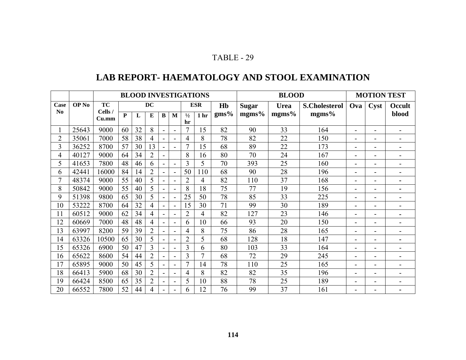# **LAB REPORT- HAEMATOLOGY AND STOOL EXAMINATION**

|                |                  |                  |    |    |                |                          |                          |                | <b>BLOOD INVESTIGATIONS</b> |              | <b>BLOOD</b> |                      |       |                          | <b>MOTION TEST</b>       |                          |  |  |
|----------------|------------------|------------------|----|----|----------------|--------------------------|--------------------------|----------------|-----------------------------|--------------|--------------|----------------------|-------|--------------------------|--------------------------|--------------------------|--|--|
| Case           | OP <sub>No</sub> | TC               |    | DC |                |                          | <b>ESR</b><br>Hb         |                |                             | <b>Sugar</b> | <b>Urea</b>  | <b>S.Cholesterol</b> | Ova   | <b>Cyst</b>              | Occult                   |                          |  |  |
| N <sub>0</sub> |                  | Cells /<br>Cu.mm | P  | L  | E              | $\bf{B}$                 | M                        | $\frac{1}{2}$  | 1 <sub>hr</sub>             | $gms\%$      | mgms%        | mgms%                | mgms% |                          |                          | blood                    |  |  |
|                |                  |                  |    |    |                |                          |                          | hr             |                             |              |              |                      |       |                          |                          |                          |  |  |
|                | 25643            | 9000             | 60 | 32 | 8              | $\blacksquare$           | $\blacksquare$           | $\tau$         | 15                          | 82           | 90           | 33                   | 164   | $\blacksquare$           | $\blacksquare$           | $\overline{\phantom{0}}$ |  |  |
| $\overline{2}$ | 35061            | 7000             | 58 | 38 | 4              | $\blacksquare$           | $\overline{\phantom{a}}$ | 4              | 8                           | 78           | 82           | 22                   | 150   | $\overline{\phantom{0}}$ | ۰                        | $\blacksquare$           |  |  |
| $\overline{3}$ | 36252            | 8700             | 57 | 30 | 13             | $\blacksquare$           |                          | $\tau$         | 15                          | 68           | 89           | 22                   | 173   | $\overline{\phantom{a}}$ | ۰                        | ۳                        |  |  |
| 4              | 40127            | 9000             | 64 | 34 | $\overline{2}$ | Ξ.                       |                          | 8              | 16                          | 80           | 70           | 24                   | 167   | $\overline{a}$           |                          | -                        |  |  |
| 5              | 41653            | 7800             | 48 | 46 | 6              | $\blacksquare$           |                          | 3              | 5                           | 70           | 393          | 25                   | 160   | $\overline{\phantom{0}}$ |                          | $\blacksquare$           |  |  |
| 6              | 42441            | 16000            | 84 | 14 | $\overline{2}$ |                          | $\overline{\phantom{0}}$ | 50             | 110                         | 68           | 90           | 28                   | 196   | $\overline{\phantom{0}}$ |                          | -                        |  |  |
|                | 48374            | 9000             | 55 | 40 | 5              | $\overline{\phantom{a}}$ |                          | $\overline{2}$ | 4                           | 82           | 110          | 37                   | 168   | $\blacksquare$           |                          | $\blacksquare$           |  |  |
| 8              | 50842            | 9000             | 55 | 40 | 5              | $\overline{\phantom{a}}$ | $\blacksquare$           | 8              | 18                          | 75           | 77           | 19                   | 156   | $\overline{\phantom{a}}$ | ۰                        | $\blacksquare$           |  |  |
| 9              | 51398            | 9800             | 65 | 30 | 5              | $\blacksquare$           | $\blacksquare$           | 25             | 50                          | 78           | 85           | 33                   | 225   | $\overline{\phantom{a}}$ | ۰                        | $\overline{\phantom{0}}$ |  |  |
| 10             | 53222            | 8700             | 64 | 32 | 4              | $\blacksquare$           | $\blacksquare$           | 15             | 30                          | 71           | 99           | 30                   | 189   | $\blacksquare$           | $\overline{\phantom{0}}$ | -                        |  |  |
| 11             | 60512            | 9000             | 62 | 34 | 4              | $\blacksquare$           | $\overline{\phantom{0}}$ | $\overline{2}$ | 4                           | 82           | 127          | 23                   | 146   | $\blacksquare$           | -                        | $\blacksquare$           |  |  |
| 12             | 60669            | 7000             | 48 | 48 | 4              | $\overline{\phantom{0}}$ | $\blacksquare$           | 6              | 10                          | 66           | 93           | 20                   | 150   | $\overline{\phantom{a}}$ | $\overline{\phantom{0}}$ | $\overline{\phantom{0}}$ |  |  |
| 13             | 63997            | 8200             | 59 | 39 | $\overline{2}$ | Ξ.                       | $\blacksquare$           | 4              | 8                           | 75           | 86           | 28                   | 165   | $\overline{\phantom{a}}$ | -                        | -                        |  |  |
| 14             | 63326            | 10500            | 65 | 30 | 5              | $\blacksquare$           |                          | $\overline{2}$ | 5                           | 68           | 128          | 18                   | 147   | $\overline{a}$           |                          | $\blacksquare$           |  |  |
| 15             | 65326            | 6900             | 50 | 47 | $\overline{3}$ | $\blacksquare$           |                          | 3              | 6                           | 80           | 103          | 33                   | 164   | $\overline{\phantom{0}}$ | ۳                        | $\overline{\phantom{0}}$ |  |  |
| 16             | 65622            | 8600             | 54 | 44 | $\overline{2}$ | $\blacksquare$           |                          | 3              | 7                           | 68           | 72           | 29                   | 245   | $\blacksquare$           |                          | -                        |  |  |
| 17             | 65895            | 9000             | 50 | 45 | 5              | Ξ.                       |                          | $\overline{7}$ | 14                          | 78           | 110          | 25                   | 165   | $\blacksquare$           |                          | $\blacksquare$           |  |  |
| 18             | 66413            | 5900             | 68 | 30 | $\overline{2}$ | $\blacksquare$           |                          | 4              | 8                           | 82           | 82           | 35                   | 196   | -                        |                          | -                        |  |  |
| 19             | 66424            | 8500             | 65 | 35 | $\overline{2}$ | $\blacksquare$           | $\overline{\phantom{a}}$ | 5              | 10                          | 88           | 78           | 25                   | 189   | $\blacksquare$           | -                        | $\blacksquare$           |  |  |
| 20             | 66552            | 7800             | 52 | 44 | 4              |                          |                          | 6              | 12                          | 76           | 99           | 37                   | 161   | $\blacksquare$           |                          | $\blacksquare$           |  |  |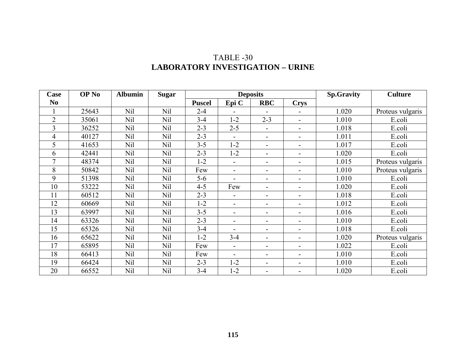| <b>Case</b>    | OP <sub>No</sub> | <b>Albumin</b>  | <b>Sugar</b>    |               | <b>Deposits</b> |                              | <b>Sp.Gravity</b>        | <b>Culture</b> |                  |
|----------------|------------------|-----------------|-----------------|---------------|-----------------|------------------------------|--------------------------|----------------|------------------|
| N <sub>0</sub> |                  |                 |                 | <b>Puscel</b> | Epi C           | <b>RBC</b>                   | <b>Crys</b>              |                |                  |
|                | 25643            | <b>Nil</b>      | Nil             | $2 - 4$       |                 |                              |                          | 1.020          | Proteus vulgaris |
| $\overline{2}$ | 35061            | Nil             | <b>Nil</b>      | $3 - 4$       | $1 - 2$         | $2 - 3$                      | $\overline{\phantom{a}}$ | 1.010          | E.coli           |
| 3              | 36252            | Nil             | Nil             | $2 - 3$       | $2 - 5$         | $\blacksquare$               | $\overline{\phantom{a}}$ | 1.018          | E.coli           |
| 4              | 40127            | <b>Nil</b>      | <b>Nil</b>      | $2 - 3$       |                 | $\blacksquare$               | $\blacksquare$           | 1.011          | E.coli           |
| 5              | 41653            | <b>Nil</b>      | <b>Nil</b>      | $3 - 5$       | $1 - 2$         | $\overline{\phantom{0}}$     | $\overline{\phantom{a}}$ | 1.017          | E.coli           |
| 6              | 42441            | <b>Nil</b>      | Nil             | $2 - 3$       | $1 - 2$         | $\overline{\phantom{a}}$     | $\overline{\phantom{a}}$ | 1.020          | E.coli           |
| 7              | 48374            | <b>Nil</b>      | Nil             | $1 - 2$       |                 | $\blacksquare$               | $\blacksquare$           | 1.015          | Proteus vulgaris |
| 8              | 50842            | <b>Nil</b>      | <b>Nil</b>      | Few           |                 | $\overline{\phantom{0}}$     | $\overline{\phantom{a}}$ | 1.010          | Proteus vulgaris |
| 9              | 51398            | <b>Nil</b>      | <b>Nil</b>      | $5-6$         |                 | -                            | $\blacksquare$           | 1.010          | E.coli           |
| 10             | 53222            | Nil             | <b>Nil</b>      | $4 - 5$       | Few             | $\overline{\phantom{0}}$     | $\blacksquare$           | 1.020          | E.coli           |
| 11             | 60512            | <b>Nil</b>      | <b>Nil</b>      | $2 - 3$       |                 | $\overline{\phantom{0}}$     | $\overline{\phantom{0}}$ | 1.018          | E.coli           |
| 12             | 60669            | Nil             | Nil             | $1 - 2$       |                 | $\qquad \qquad \blacksquare$ | $\blacksquare$           | 1.012          | E.coli           |
| 13             | 63997            | Nil             | <b>Nil</b>      | $3 - 5$       |                 | $\blacksquare$               | $\overline{\phantom{0}}$ | 1.016          | E.coli           |
| 14             | 63326            | Nil             | Nil             | $2 - 3$       |                 | $\overline{\phantom{0}}$     | $\blacksquare$           | 1.010          | E.coli           |
| 15             | 65326            | N <sub>il</sub> | N <sub>il</sub> | $3 - 4$       |                 | $\blacksquare$               | $\blacksquare$           | 1.018          | E.coli           |
| 16             | 65622            | Nil             | Nil             | $1 - 2$       | $3 - 4$         | $\overline{\phantom{0}}$     | $\blacksquare$           | 1.020          | Proteus vulgaris |
| 17             | 65895            | Nil             | <b>Nil</b>      | Few           |                 | $\overline{\phantom{0}}$     | $\blacksquare$           | 1.022          | E.coli           |
| 18             | 66413            | Nil             | Nil             | Few           |                 | $\blacksquare$               | $\blacksquare$           | 1.010          | E.coli           |
| 19             | 66424            | <b>Nil</b>      | Nil             | $2 - 3$       | $1 - 2$         | $\qquad \qquad \blacksquare$ | $\blacksquare$           | 1.010          | E.coli           |
| 20             | 66552            | Nil             | <b>Nil</b>      | $3 - 4$       | $1 - 2$         | $\overline{\phantom{0}}$     | $\blacksquare$           | 1.020          | E.coli           |

#### TABLE -30 **LABORATORY INVESTIGATION – URINE**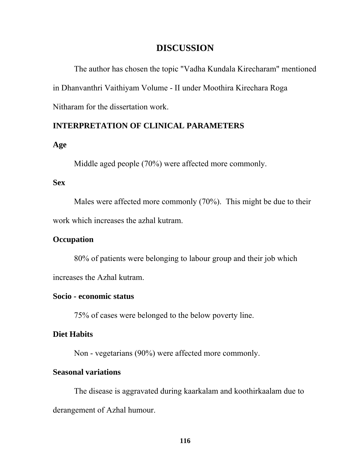# **DISCUSSION**

The author has chosen the topic "Vadha Kundala Kirecharam" mentioned in Dhanvanthri Vaithiyam Volume - II under Moothira Kirechara Roga Nitharam for the dissertation work.

#### **INTERPRETATION OF CLINICAL PARAMETERS**

#### **Age**

Middle aged people (70%) were affected more commonly.

#### **Sex**

Males were affected more commonly (70%). This might be due to their work which increases the azhal kutram.

#### **Occupation**

80% of patients were belonging to labour group and their job which increases the Azhal kutram.

#### **Socio - economic status**

75% of cases were belonged to the below poverty line.

#### **Diet Habits**

Non - vegetarians (90%) were affected more commonly.

#### **Seasonal variations**

The disease is aggravated during kaarkalam and koothirkaalam due to derangement of Azhal humour.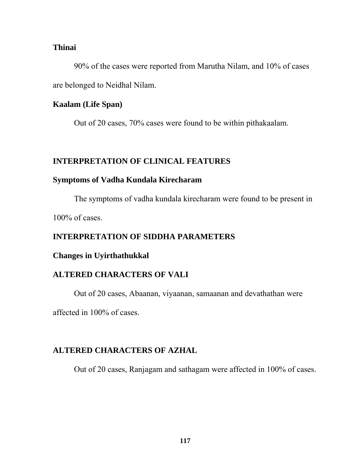#### **Thinai**

90% of the cases were reported from Marutha Nilam, and 10% of cases are belonged to Neidhal Nilam.

#### **Kaalam (Life Span)**

Out of 20 cases, 70% cases were found to be within pithakaalam.

# **INTERPRETATION OF CLINICAL FEATURES**

#### **Symptoms of Vadha Kundala Kirecharam**

The symptoms of vadha kundala kirecharam were found to be present in

100% of cases.

# **INTERPRETATION OF SIDDHA PARAMETERS**

# **Changes in Uyirthathukkal**

# **ALTERED CHARACTERS OF VALI**

Out of 20 cases, Abaanan, viyaanan, samaanan and devathathan were

affected in 100% of cases.

# **ALTERED CHARACTERS OF AZHAL**

Out of 20 cases, Ranjagam and sathagam were affected in 100% of cases.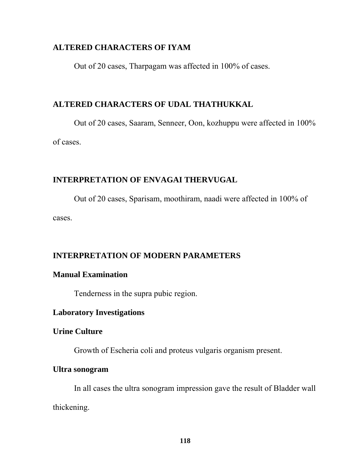#### **ALTERED CHARACTERS OF IYAM**

Out of 20 cases, Tharpagam was affected in 100% of cases.

# **ALTERED CHARACTERS OF UDAL THATHUKKAL**

 Out of 20 cases, Saaram, Senneer, Oon, kozhuppu were affected in 100% of cases.

# **INTERPRETATION OF ENVAGAI THERVUGAL**

 Out of 20 cases, Sparisam, moothiram, naadi were affected in 100% of cases.

# **INTERPRETATION OF MODERN PARAMETERS**

# **Manual Examination**

Tenderness in the supra pubic region.

# **Laboratory Investigations**

# **Urine Culture**

Growth of Escheria coli and proteus vulgaris organism present.

#### **Ultra sonogram**

 In all cases the ultra sonogram impression gave the result of Bladder wall thickening.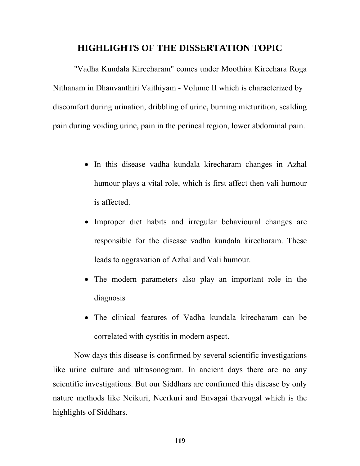# **HIGHLIGHTS OF THE DISSERTATION TOPIC**

"Vadha Kundala Kirecharam" comes under Moothira Kirechara Roga Nithanam in Dhanvanthiri Vaithiyam - Volume II which is characterized by discomfort during urination, dribbling of urine, burning micturition, scalding pain during voiding urine, pain in the perineal region, lower abdominal pain.

- In this disease vadha kundala kirecharam changes in Azhal humour plays a vital role, which is first affect then vali humour is affected.
- Improper diet habits and irregular behavioural changes are responsible for the disease vadha kundala kirecharam. These leads to aggravation of Azhal and Vali humour.
- The modern parameters also play an important role in the diagnosis
- The clinical features of Vadha kundala kirecharam can be correlated with cystitis in modern aspect.

Now days this disease is confirmed by several scientific investigations like urine culture and ultrasonogram. In ancient days there are no any scientific investigations. But our Siddhars are confirmed this disease by only nature methods like Neikuri, Neerkuri and Envagai thervugal which is the highlights of Siddhars.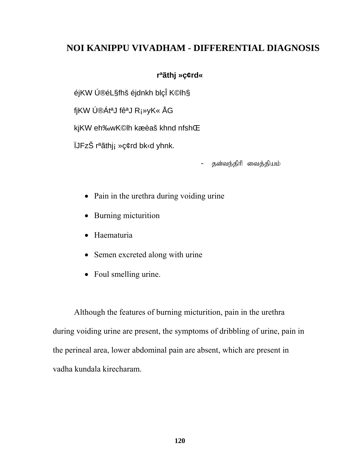# **NOI KANIPPU VIVADHAM - DIFFERENTIAL DIAGNOSIS**

# **rªãthj »ç¢rd«**

éjKW Ú®éL§fhš éjdnkh blçÎ K©lh§

fjKW Ú®ÁtªJ fêªJ R¡»yK« ÅG

kjKW eh‰wK©lh kæèaš khnd nfshŒ

ÏJFzŠ rªãthj¡ »ç¢rd bk‹d yhnk.

தன்வந்திரி வைத்தியம்

- Pain in the urethra during voiding urine
- Burning micturition
- Haematuria
- Semen excreted along with urine
- Foul smelling urine.

 Although the features of burning micturition, pain in the urethra during voiding urine are present, the symptoms of dribbling of urine, pain in the perineal area, lower abdominal pain are absent, which are present in vadha kundala kirecharam.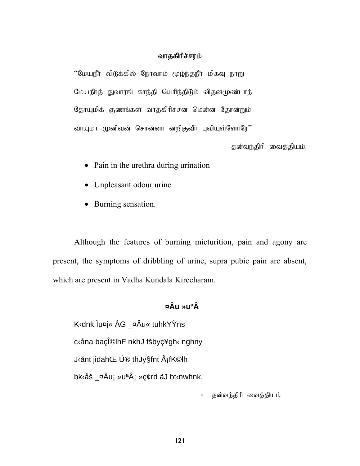#### வாதகிரிச்சரம்

"மேயநீா விடுக்கில் நோவாம் மூழ்ந்தநீா மிகவு நாறு மேயநீர்த் துவாரங் காந்தி யெரிந்திடும் விதனமுண்டாந் தோயுமிக் குணங்கள் வாதகிரிச்சன மென்ன தோன்றும் வாயுமா முனிவன் சொன்னா னறிகுவீா புவியுள்ளோரே''

- தன்வந்திரி வைத்தியம்.

- Pain in the urethra during urination
- Unpleasant odour urine
- Burning sensation.

Although the features of burning micturition, pain and agony are present, the symptoms of dribbling of urine, supra pubic pain are absent, which are present in Vadha Kundala Kirecharam.

# **\_¤Âu »uªÂ**

K‹dnk Ïu¤j« ÅG \_¤Âu« tuhkYŸns c‹åna baçΩlhF nkhJ fšbyç¥gh‹ nghny J‹ånt jidahŒ Ú® thJy§fnt Å¡fK©lh bk<sup>{</sup>åš ¤Âu¡ »u<sup>a</sup>¡ »ç¢rd äJ bt<sup>{</sup>nwhnk.

தன்வந்திரி வைத்தியம்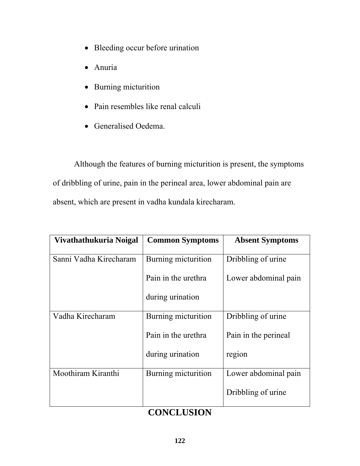- Bleeding occur before urination
- Anuria
- Burning micturition
- Pain resembles like renal calculi
- Generalised Oedema.

Although the features of burning micturition is present, the symptoms of dribbling of urine, pain in the perineal area, lower abdominal pain are absent, which are present in vadha kundala kirecharam.

| Vivathathukuria Noigal | <b>Common Symptoms</b> | <b>Absent Symptoms</b> |
|------------------------|------------------------|------------------------|
| Sanni Vadha Kirecharam | Burning micturition    | Dribbling of urine     |
|                        | Pain in the urethra    | Lower abdominal pain   |
|                        | during urination       |                        |
| Vadha Kirecharam       | Burning micturition    | Dribbling of urine     |
|                        | Pain in the urethra    | Pain in the perineal   |
|                        | during urination       | region                 |
| Moothiram Kiranthi     | Burning micturition    | Lower abdominal pain   |
|                        |                        | Dribbling of urine     |

# **CONCLUSION**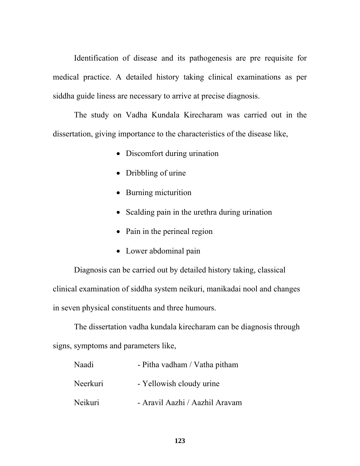Identification of disease and its pathogenesis are pre requisite for medical practice. A detailed history taking clinical examinations as per siddha guide liness are necessary to arrive at precise diagnosis.

 The study on Vadha Kundala Kirecharam was carried out in the dissertation, giving importance to the characteristics of the disease like,

- Discomfort during urination
- Dribbling of urine
- Burning micturition
- Scalding pain in the urethra during urination
- Pain in the perineal region
- Lower abdominal pain

 Diagnosis can be carried out by detailed history taking, classical clinical examination of siddha system neikuri, manikadai nool and changes in seven physical constituents and three humours.

The dissertation vadha kundala kirecharam can be diagnosis through signs, symptoms and parameters like,

| Naadi    | - Pitha vadham / Vatha pitham  |
|----------|--------------------------------|
| Neerkuri | - Yellowish cloudy urine       |
| Neikuri  | - Aravil Aazhi / Aazhil Aravam |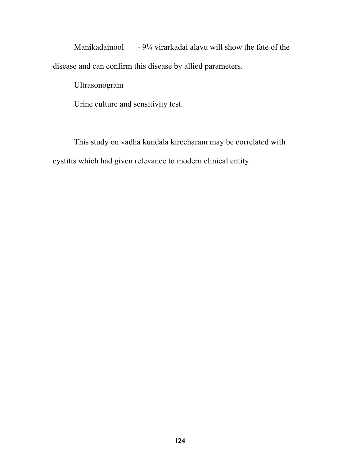Manikadainool - 9¼ virarkadai alavu will show the fate of the disease and can confirm this disease by allied parameters.

Ultrasonogram

Urine culture and sensitivity test.

This study on vadha kundala kirecharam may be correlated with cystitis which had given relevance to modern clinical entity.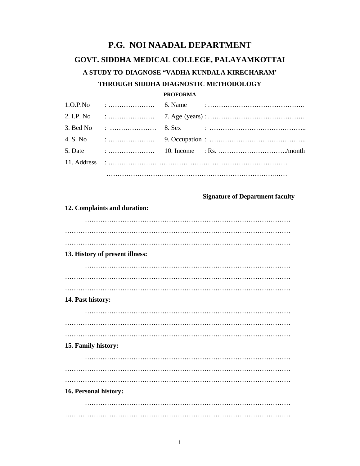# **P.G. NOI NAADAL DEPARTMENT GOVT. SIDDHA MEDICAL COLLEGE, PALAYAMKOTTAI A STUDY TO DIAGNOSE "VADHA KUNDALA KIRECHARAM' THROUGH SIDDHA DIAGNOSTIC METHODOLOGY**

#### **PROFORMA**

|  | 2. I.P. No $\cdots$ $\cdots$ $\cdots$ $\cdots$ $\cdots$ $\cdots$ $\cdots$ $\cdots$ $\cdots$                                                                                                                                                                                                                                              |
|--|------------------------------------------------------------------------------------------------------------------------------------------------------------------------------------------------------------------------------------------------------------------------------------------------------------------------------------------|
|  |                                                                                                                                                                                                                                                                                                                                          |
|  | 4. S. No $\cdots$ $\cdots$ $\cdots$ $\cdots$ 9. Occupation : $\cdots$ $\cdots$ $\cdots$ $\cdots$ $\cdots$ $\cdots$ $\cdots$                                                                                                                                                                                                              |
|  | 5. Date $\ldots$ $\ldots$ $\ldots$ $\ldots$ $\ldots$ $\ldots$ $\ldots$ $\ldots$ $\ldots$ $\ldots$ $\ldots$ $\ldots$ $\ldots$ $\ldots$ $\ldots$ $\ldots$ $\ldots$ $\ldots$ $\ldots$ $\ldots$ $\ldots$ $\ldots$ $\ldots$ $\ldots$ $\ldots$ $\ldots$ $\ldots$ $\ldots$ $\ldots$ $\ldots$ $\ldots$ $\ldots$ $\ldots$ $\ldots$ $\ldots$ $\ld$ |
|  |                                                                                                                                                                                                                                                                                                                                          |
|  |                                                                                                                                                                                                                                                                                                                                          |

#### **Signature of Department faculty**

| 13. History of present illness: |
|---------------------------------|
|                                 |
|                                 |
|                                 |
|                                 |
|                                 |
| 14. Past history:               |
|                                 |
|                                 |
|                                 |
| 15. Family history:             |
|                                 |
|                                 |
|                                 |
| 16. Personal history:           |
|                                 |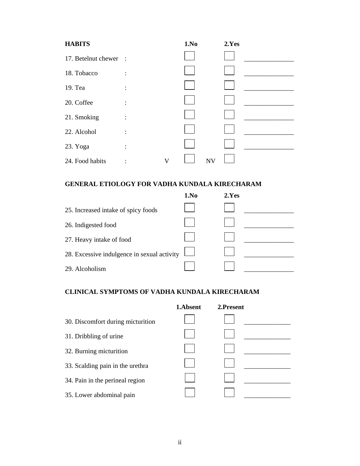| <b>HABITS</b>         |                |   | 1.No |           | 2.Yes |  |
|-----------------------|----------------|---|------|-----------|-------|--|
| 17. Betelnut chewer : |                |   |      |           |       |  |
| 18. Tobacco           | $\ddot{\cdot}$ |   |      |           |       |  |
| 19. Tea               | $\ddot{\cdot}$ |   |      |           |       |  |
| 20. Coffee            | $\ddot{\cdot}$ |   |      |           |       |  |
| 21. Smoking           | $\ddot{\cdot}$ |   |      |           |       |  |
| 22. Alcohol           | ٠              |   |      |           |       |  |
| 23. Yoga              |                |   |      |           |       |  |
|                       | $\ddot{\cdot}$ |   |      |           |       |  |
| 24. Food habits       |                | V |      | <b>NV</b> |       |  |

#### **GENERAL ETIOLOGY FOR VADHA KUNDALA KIRECHARAM**

|                                             | 1.No | 2.Yes |
|---------------------------------------------|------|-------|
| 25. Increased intake of spicy foods         |      |       |
| 26. Indigested food                         |      |       |
| 27. Heavy intake of food                    |      |       |
| 28. Excessive indulgence in sexual activity |      |       |
| 29. Alcoholism                              |      |       |

#### **CLINICAL SYMPTOMS OF VADHA KUNDALA KIRECHARAM**

|                                   | 1.Absent | 2.Present |  |
|-----------------------------------|----------|-----------|--|
| 30. Discomfort during micturition |          |           |  |
| 31. Dribbling of urine            |          |           |  |
| 32. Burning micturition           |          |           |  |
| 33. Scalding pain in the urethra  |          |           |  |
| 34. Pain in the perineal region   |          |           |  |
| 35. Lower abdominal pain          |          |           |  |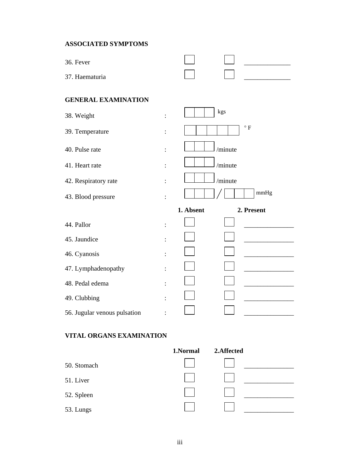#### **ASSOCIATED SYMPTOMS**

| 36. Fever                              |                        |              |
|----------------------------------------|------------------------|--------------|
| 37. Haematuria                         |                        |              |
| <b>GENERAL EXAMINATION</b>             |                        |              |
| 38. Weight<br>$\ddot{\cdot}$           | kgs                    |              |
| 39. Temperature<br>$\ddot{\cdot}$      |                        | $^{\circ}$ F |
| 40. Pulse rate<br>$\ddot{\phantom{a}}$ | /minute                |              |
| 41. Heart rate                         | /minute                |              |
| 42. Respiratory rate<br>$\ddot{\cdot}$ | /minute                |              |
| 43. Blood pressure                     |                        | mmHg         |
|                                        | 1. Absent              | 2. Present   |
| 44. Pallor                             |                        |              |
| 45. Jaundice                           |                        |              |
| 46. Cyanosis                           |                        |              |
| 47. Lymphadenopathy                    |                        |              |
| 48. Pedal edema                        |                        |              |
| 49. Clubbing                           |                        |              |
| 56. Jugular venous pulsation           |                        |              |
| <b>VITAL ORGANS EXAMINATION</b>        |                        |              |
|                                        | 1.Normal<br>2.Affected |              |
| 50. Stomach                            |                        |              |
| 51. Liver                              |                        |              |
| 52. Spleen                             |                        |              |
| 53. Lungs                              |                        |              |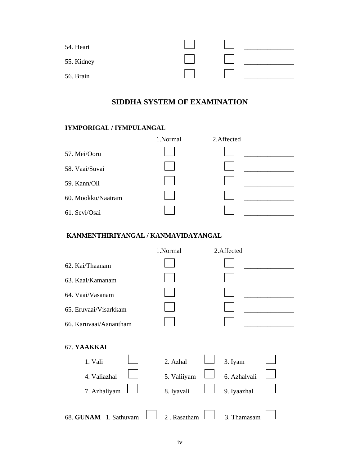| 54. Heart  |  |  |
|------------|--|--|
| 55. Kidney |  |  |
| 56. Brain  |  |  |

# **SIDDHA SYSTEM OF EXAMINATION**

# **IYMPORIGAL / IYMPULANGAL**

|                    | 1.Normal | 2.Affected |  |
|--------------------|----------|------------|--|
| 57. Mei/Ooru       |          |            |  |
| 58. Vaai/Suvai     |          |            |  |
| 59. Kann/Oli       |          |            |  |
| 60. Mookku/Naatram |          |            |  |
| 61. Sevi/Osai      |          |            |  |

#### **KANMENTHIRIYANGAL / KANMAVIDAYANGAL**

|                        | 1.Normal    | 2.Affected   |  |
|------------------------|-------------|--------------|--|
| 62. Kai/Thaanam        |             |              |  |
| 63. Kaal/Kamanam       |             |              |  |
| 64. Vaai/Vasanam       |             |              |  |
| 65. Eruvaai/Visarkkam  |             |              |  |
| 66. Karuvaai/Aanantham |             |              |  |
|                        |             |              |  |
| 67. YAAKKAI            |             |              |  |
| 1. Vali                | 2. Azhal    | 3. Iyam      |  |
| 4. Valiazhal           | 5. Valiiyam | 6. Azhalvali |  |
| 7. Azhaliyam           | 8. Iyavali  | 9. Iyaazhal  |  |
|                        |             |              |  |
| 68. GUNAM 1. Sathuvam  | 2. Rasatham | 3. Thamasam  |  |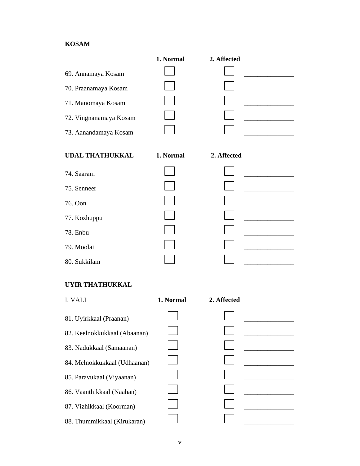#### **KOSAM**

|                        | 1. Normal | 2. Affected |  |
|------------------------|-----------|-------------|--|
| 69. Annamaya Kosam     |           |             |  |
| 70. Praanamaya Kosam   |           |             |  |
| 71. Manomaya Kosam     |           |             |  |
| 72. Vingnanamaya Kosam |           |             |  |
| 73. Aanandamaya Kosam  |           |             |  |
|                        |           |             |  |
| <b>UDAL THATHUKKAL</b> | 1. Normal | 2. Affected |  |
|                        |           |             |  |
|                        |           |             |  |
| 74. Saaram             |           |             |  |
| 75. Senneer            |           |             |  |
| 76. Oon                |           |             |  |
| 77. Kozhuppu           |           |             |  |
| 78. Enbu               |           |             |  |
| 79. Moolai             |           |             |  |

#### **UYIR THATHUKKAL**

| I. VALI                      | 1. Normal | 2. Affected |  |
|------------------------------|-----------|-------------|--|
| 81. Uyirkkaal (Praanan)      |           |             |  |
| 82. Keelnokkukkaal (Abaanan) |           |             |  |
| 83. Nadukkaal (Samaanan)     |           |             |  |
| 84. Melnokkukkaal (Udhaanan) |           |             |  |
| 85. Paravukaal (Viyaanan)    |           |             |  |
| 86. Vaanthikkaal (Naahan)    |           |             |  |
| 87. Vizhikkaal (Koorman)     |           |             |  |
| 88. Thummikkaal (Kirukaran)  |           |             |  |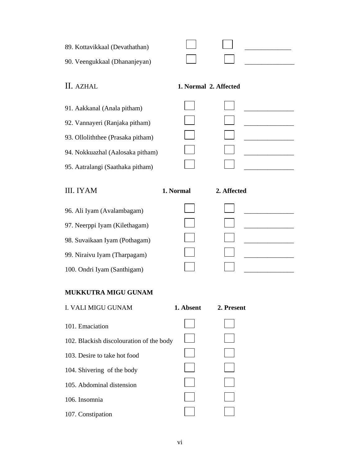| 89. Kottavikkaal (Devathathan) |  |  |
|--------------------------------|--|--|
| 90. Veengukkaal (Dhananjeyan)  |  |  |

# II. AZHAL **1. Normal 2. Affected**

| 91. Aakkanal (Anala pitham)       |  |  |
|-----------------------------------|--|--|
| 92. Vannayeri (Ranjaka pitham)    |  |  |
| 93. Olloliththee (Prasaka pitham) |  |  |
| 94. Nokkuazhal (Aalosaka pitham)  |  |  |
| 95. Aatralangi (Saathaka pitham)  |  |  |
|                                   |  |  |

III. IYAM **1. Normal 2. Affected** 

- 96. Ali Iyam (Avalambagam)  $\Box$ 97. Neerppi Iyam (Kilethagam)  $\Box$
- 98. Suvaikaan Iyam (Pothagam) \_\_\_\_\_\_\_\_\_\_\_\_\_\_\_
- 99. Niraivu Iyam (Tharpagam)  $\Box$
- 100. Ondri Iyam (Santhigam) \_\_\_\_\_\_\_\_\_\_\_\_\_\_\_

# **MUKKUTRA MIGU GUNAM**

| <b>I. VALI MIGU GUNAM</b>                | 1. Absent | 2. Present |
|------------------------------------------|-----------|------------|
| 101. Emaciation                          |           |            |
| 102. Blackish discolouration of the body |           |            |
| 103. Desire to take hot food             |           |            |
| 104. Shivering of the body               |           |            |
| 105. Abdominal distension                |           |            |
| 106. Insomnia                            |           |            |
| 107. Constipation                        |           |            |
|                                          |           |            |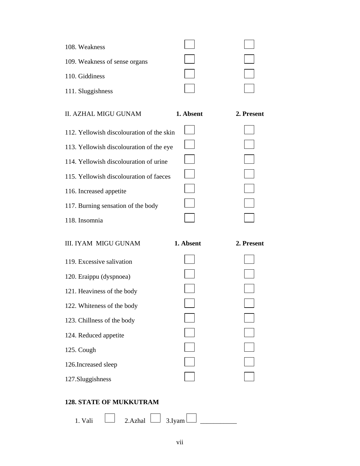| 108. Weakness                 |  |
|-------------------------------|--|
| 109. Weakness of sense organs |  |
| 110. Giddiness                |  |
| 111. Sluggishness             |  |

| II. AZHAL MIGU GUNAM                      | 1. Absent | 2. Present |
|-------------------------------------------|-----------|------------|
| 112. Yellowish discolouration of the skin |           |            |
| 113. Yellowish discolouration of the eye  |           |            |
| 114. Yellowish discolouration of urine    |           |            |
| 115. Yellowish discolouration of faeces   |           |            |
| 116. Increased appetite                   |           |            |
| 117. Burning sensation of the body        |           |            |
| 118. Insomnia                             |           |            |

| <b>III. IYAM MIGU GUNAM</b> | 1. Absent | 2. Present |
|-----------------------------|-----------|------------|
| 119. Excessive salivation   |           |            |
| 120. Eraippu (dyspnoea)     |           |            |
| 121. Heaviness of the body  |           |            |
| 122. Whiteness of the body  |           |            |
| 123. Chillness of the body  |           |            |
| 124. Reduced appetite       |           |            |
| 125. Cough                  |           |            |
| 126. Increased sleep        |           |            |
| 127. Sluggishness           |           |            |
|                             |           |            |

#### **128. STATE OF MUKKUTRAM**

| Vali<br>1. | 2. Azhal | 3 Ivam<br>◡. |  |
|------------|----------|--------------|--|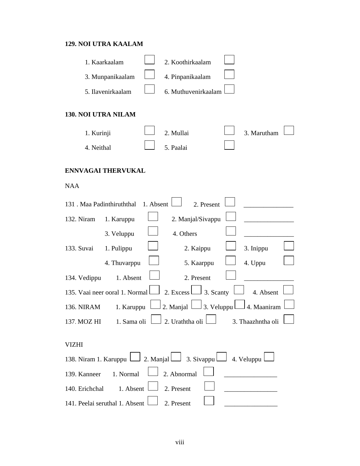#### **129. NOI UTRA KAALAM**

|                     | 1. Kaarkaalam                        | 2. Koothirkaalam                                                           |            |                   |  |
|---------------------|--------------------------------------|----------------------------------------------------------------------------|------------|-------------------|--|
|                     | 3. Munpanikaalam                     | 4. Pinpanikaalam                                                           |            |                   |  |
|                     | 5. Ilavenirkaalam                    | 6. Muthuvenirkaalam                                                        |            |                   |  |
| 130. NOI UTRA NILAM |                                      |                                                                            |            |                   |  |
| 1. Kurinji          |                                      | 2. Mullai                                                                  |            | 3. Marutham       |  |
| 4. Neithal          |                                      | 5. Paalai                                                                  |            |                   |  |
|                     | <b>ENNVAGAI THERVUKAL</b>            |                                                                            |            |                   |  |
| <b>NAA</b>          |                                      |                                                                            |            |                   |  |
|                     | 131 . Maa Padinthiruththal 1. Absent |                                                                            | 2. Present |                   |  |
| 132. Niram          | 1. Karuppu                           | 2. Manjal/Sivappu                                                          |            |                   |  |
|                     | 3. Veluppu                           | 4. Others                                                                  |            |                   |  |
| 133. Suvai          | 1. Pulippu                           | 2. Kaippu                                                                  |            | 3. Inippu         |  |
|                     | 4. Thuvarppu                         | 5. Kaarppu                                                                 |            | 4. Uppu           |  |
| 134. Vedippu        | 1. Absent                            | 2. Present                                                                 |            |                   |  |
|                     | 135. Vaai neer ooral 1. Normal L     | 2. Excess $\Box$ 3. Scanty                                                 |            | 4. Absent         |  |
| 136. NIRAM          | 1. Karuppu                           | 2. Manjal $\Box$ 3. Veluppul                                               |            | 4. Maaniram       |  |
| 137. MOZ HI         | 1. Sama oli L                        | ∟ 2. Uraththa oli l                                                        | ┍          | 3. Thaazhntha oli |  |
| <b>VIZHI</b>        |                                      |                                                                            |            |                   |  |
|                     |                                      | 138. Niram 1. Karuppu $\Box$ 2. Manjal 3. Sivappu $\Box$ 4. Veluppu $\Box$ |            |                   |  |
| 139. Kanneer        | 1. Normal                            | 2. Abnormal                                                                |            |                   |  |
| 140. Erichchal      | 1. Absent                            | 2. Present                                                                 |            |                   |  |
|                     | 141. Peelai seruthal 1. Absent       | 2. Present                                                                 |            |                   |  |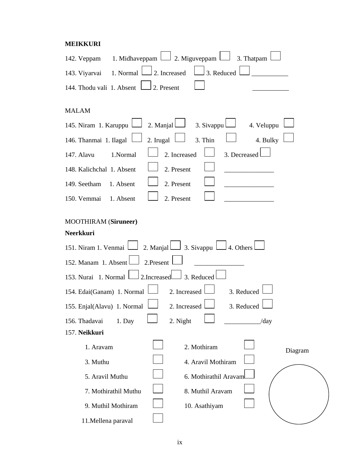#### **MEIKKURI**

| 142. Veppam 1. Midhaveppam $\Box$ 2. Miguveppam $\Box$<br>3. Thatpam                                               |
|--------------------------------------------------------------------------------------------------------------------|
| 3. Reduced<br>143. Viyarvai 1. Normal $\Box$ 2. Increased                                                          |
| 144. Thodu vali 1. Absent  <br>2. Present                                                                          |
| MALAM                                                                                                              |
| 145. Niram 1. Karuppu   2. Manjal  <br>3. Sivappu<br>4. Veluppu                                                    |
| 2. Irugal $\Box$<br>4. Bulky<br>146. Thanmai 1. Ilagal $\Box$<br>3. Thin                                           |
| 2. Increased<br>3. Decreased<br>147. Alavu<br>1.Normal                                                             |
| 148. Kalichchal 1. Absent<br>2. Present                                                                            |
| 149. Seetham<br>2. Present<br>1. Absent                                                                            |
| 150. Vemmai 1. Absent<br>2. Present                                                                                |
| <b>MOOTHIRAM</b> (Siruneer)                                                                                        |
| Neerkkuri                                                                                                          |
| 151. Niram 1. Venmai $\Box$ 2. Manjal $\Box$ 3. Sivappu $\Box$ 4. Others $\Box$<br>152. Manam 1. Absent 2. Present |
| 3. Reduced<br>153. Nurai 1. Normal 2. Increased                                                                    |
| 3. Reduced<br>154. Edai(Ganam) 1. Normal<br>2. Increased                                                           |
| 155. Enjal(Alavu) 1. Normal<br>3. Reduced<br>2. Increased                                                          |
| 2. Night<br>156. Thadavai<br>1. Day<br>/day                                                                        |
| 157. Neikkuri                                                                                                      |
| 2. Mothiram<br>1. Aravam<br>Diagram                                                                                |
| 3. Muthu<br>4. Aravil Mothiram                                                                                     |
| 5. Aravil Muthu<br>6. Mothirathil Aravam                                                                           |
| 7. Mothirathil Muthu<br>8. Muthil Aravam                                                                           |
| 9. Muthil Mothiram<br>10. Asathiyam                                                                                |
| 11. Mellena paraval                                                                                                |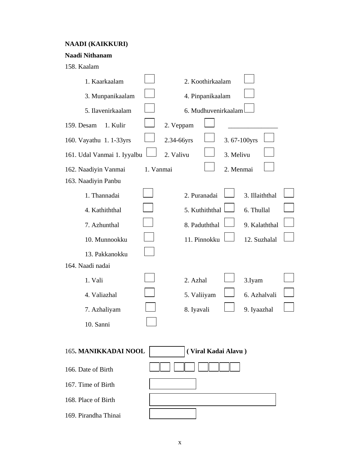#### **NAADI (KAIKKURI)**

#### **Naadi Nithanam**

158. Kaalam

| 1. Kaarkaalam                               |           |             | 2. Koothirkaalam |                     |                |  |
|---------------------------------------------|-----------|-------------|------------------|---------------------|----------------|--|
| 3. Munpanikaalam                            |           |             | 4. Pinpanikaalam |                     |                |  |
| 5. Ilavenirkaalam                           |           |             |                  | 6. Mudhuvenirkaalam |                |  |
| 1. Kulir<br>159. Desam                      |           | 2. Veppam   |                  |                     |                |  |
| 160. Vayathu 1. 1-33yrs                     |           | 2.34-66yrs  |                  | 3.67-100yrs         |                |  |
| 161. Udal Vanmai 1. Iyyalbu                 |           | 2. Valivu   |                  | 3. Melivu           |                |  |
| 162. Naadiyin Vanmai                        | 1. Vanmai |             |                  | 2. Menmai           |                |  |
| 163. Naadiyin Panbu                         |           |             |                  |                     |                |  |
| 1. Thannadai                                |           |             | 2. Puranadai     |                     | 3. Illaiththal |  |
| 4. Kathiththal                              |           |             | 5. Kuthiththal   |                     | 6. Thullal     |  |
| 7. Azhunthal                                |           |             | 8. Paduththal    |                     | 9. Kalaththal  |  |
| 10. Munnookku                               |           |             | 11. Pinnokku     |                     | 12. Suzhalal   |  |
| 13. Pakkanokku                              |           |             |                  |                     |                |  |
| 164. Naadi nadai                            |           |             |                  |                     |                |  |
| 1. Vali                                     |           | 2. Azhal    |                  |                     | 3.Iyam         |  |
| 4. Valiazhal                                |           | 5. Valiiyam |                  |                     | 6. Azhalvali   |  |
| 7. Azhaliyam                                |           | 8. Iyavali  |                  |                     | 9. Iyaazhal    |  |
| 10. Sanni                                   |           |             |                  |                     |                |  |
| 165. MANIKKADAI NOOL<br>(Viral Kadai Alavu) |           |             |                  |                     |                |  |
| 166. Date of Birth                          |           |             |                  |                     |                |  |
| 167. Time of Birth                          |           |             |                  |                     |                |  |
| 168. Place of Birth                         |           |             |                  |                     |                |  |
| 169. Pirandha Thinai                        |           |             |                  |                     |                |  |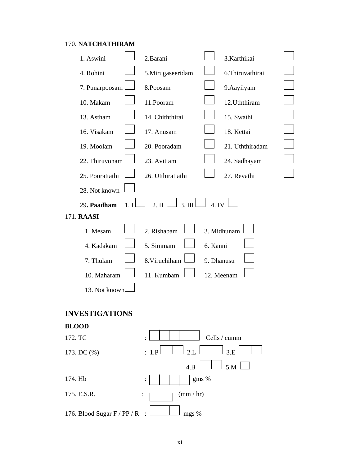# 170. **NATCHATHIRAM**

| 1. Aswini                                                             | 2.Barani          | 3.Karthikai      |  |  |  |  |  |
|-----------------------------------------------------------------------|-------------------|------------------|--|--|--|--|--|
| 4. Rohini                                                             | 5.Mirugaseeridam  | 6. Thiruvathirai |  |  |  |  |  |
| 7. Punarpoosam                                                        | 8.Poosam          | 9. Aayilyam      |  |  |  |  |  |
| 10. Makam                                                             | 11.Pooram         | 12. Uththiram    |  |  |  |  |  |
| 13. Astham                                                            | 14. Chiththirai   | 15. Swathi       |  |  |  |  |  |
| 16. Visakam                                                           | 17. Anusam        | 18. Kettai       |  |  |  |  |  |
| 19. Moolam                                                            | 20. Pooradam      | 21. Uththiradam  |  |  |  |  |  |
| 22. Thiruvonam                                                        | 23. Avittam       | 24. Sadhayam     |  |  |  |  |  |
| 25. Poorattathi                                                       | 26. Utthirattathi | 27. Revathi      |  |  |  |  |  |
| 28. Not known                                                         |                   |                  |  |  |  |  |  |
| 3. III $\Box$<br>4.1V<br>2. $\text{II}$ $\Box$<br>29. Paadham<br>1. I |                   |                  |  |  |  |  |  |
| 171. RAASI                                                            |                   |                  |  |  |  |  |  |
| 1. Mesam                                                              | 2. Rishabam       | 3. Midhunam      |  |  |  |  |  |
| 4. Kadakam                                                            | 5. Simmam         | 6. Kanni         |  |  |  |  |  |
| 7. Thulam                                                             | 8. Viruchiham     | 9. Dhanusu       |  |  |  |  |  |
| 10. Maharam<br>11. Kumbam<br>12. Meenam                               |                   |                  |  |  |  |  |  |
| 13. Not known                                                         |                   |                  |  |  |  |  |  |
|                                                                       |                   |                  |  |  |  |  |  |
| <b>INVESTIGATIONS</b>                                                 |                   |                  |  |  |  |  |  |
| <b>BLOOD</b>                                                          |                   |                  |  |  |  |  |  |
| 172. TC                                                               |                   | Cells / cumm     |  |  |  |  |  |
| 173. DC (%)                                                           | 2.L<br>: 1.P      | 3.E              |  |  |  |  |  |
|                                                                       | 4.B               | 5.M              |  |  |  |  |  |
| 174. Hb                                                               |                   | gms %            |  |  |  |  |  |
| 175. E.S.R.<br>(mm / hr)                                              |                   |                  |  |  |  |  |  |
| 176. Blood Sugar F / PP / R<br>mgs %                                  |                   |                  |  |  |  |  |  |